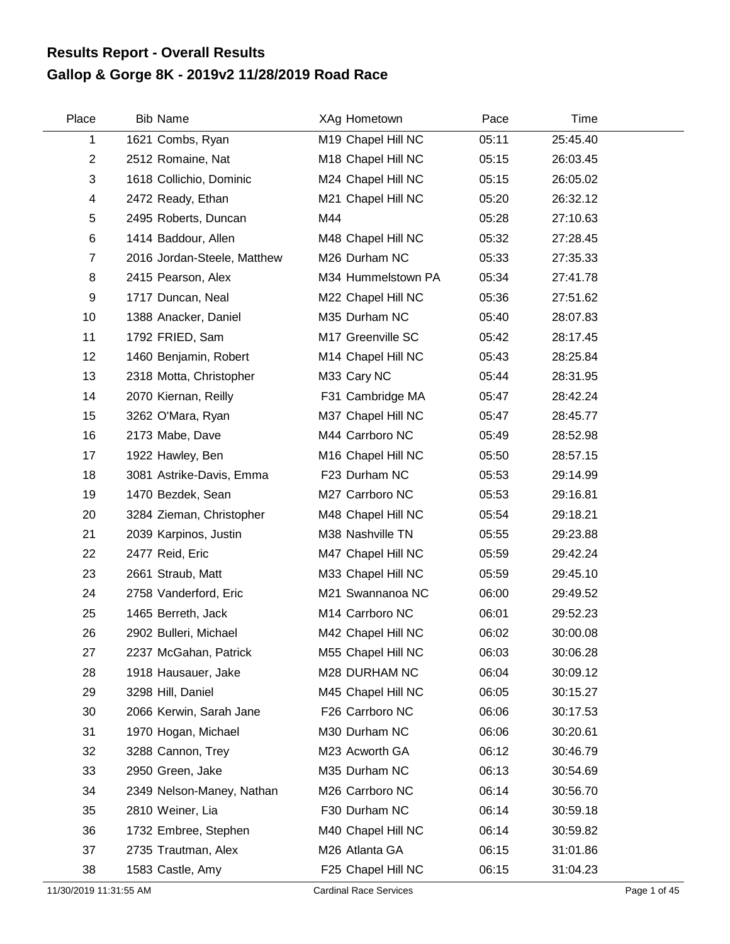## **Gallop & Gorge 8K - 2019v2 11/28/2019 Road Race Results Report - Overall Results**

| Place          | <b>Bib Name</b>             | XAg Hometown       | Pace  | Time     |  |
|----------------|-----------------------------|--------------------|-------|----------|--|
| 1              | 1621 Combs, Ryan            | M19 Chapel Hill NC | 05:11 | 25:45.40 |  |
| $\overline{2}$ | 2512 Romaine, Nat           | M18 Chapel Hill NC | 05:15 | 26:03.45 |  |
| 3              | 1618 Collichio, Dominic     | M24 Chapel Hill NC | 05:15 | 26:05.02 |  |
| 4              | 2472 Ready, Ethan           | M21 Chapel Hill NC | 05:20 | 26:32.12 |  |
| 5              | 2495 Roberts, Duncan        | M44                | 05:28 | 27:10.63 |  |
| 6              | 1414 Baddour, Allen         | M48 Chapel Hill NC | 05:32 | 27:28.45 |  |
| $\overline{7}$ | 2016 Jordan-Steele, Matthew | M26 Durham NC      | 05:33 | 27:35.33 |  |
| 8              | 2415 Pearson, Alex          | M34 Hummelstown PA | 05:34 | 27:41.78 |  |
| 9              | 1717 Duncan, Neal           | M22 Chapel Hill NC | 05:36 | 27:51.62 |  |
| 10             | 1388 Anacker, Daniel        | M35 Durham NC      | 05:40 | 28:07.83 |  |
| 11             | 1792 FRIED, Sam             | M17 Greenville SC  | 05:42 | 28:17.45 |  |
| 12             | 1460 Benjamin, Robert       | M14 Chapel Hill NC | 05:43 | 28:25.84 |  |
| 13             | 2318 Motta, Christopher     | M33 Cary NC        | 05:44 | 28:31.95 |  |
| 14             | 2070 Kiernan, Reilly        | F31 Cambridge MA   | 05:47 | 28:42.24 |  |
| 15             | 3262 O'Mara, Ryan           | M37 Chapel Hill NC | 05:47 | 28:45.77 |  |
| 16             | 2173 Mabe, Dave             | M44 Carrboro NC    | 05:49 | 28:52.98 |  |
| 17             | 1922 Hawley, Ben            | M16 Chapel Hill NC | 05:50 | 28:57.15 |  |
| 18             | 3081 Astrike-Davis, Emma    | F23 Durham NC      | 05:53 | 29:14.99 |  |
| 19             | 1470 Bezdek, Sean           | M27 Carrboro NC    | 05:53 | 29:16.81 |  |
| 20             | 3284 Zieman, Christopher    | M48 Chapel Hill NC | 05:54 | 29:18.21 |  |
| 21             | 2039 Karpinos, Justin       | M38 Nashville TN   | 05:55 | 29:23.88 |  |
| 22             | 2477 Reid, Eric             | M47 Chapel Hill NC | 05:59 | 29:42.24 |  |
| 23             | 2661 Straub, Matt           | M33 Chapel Hill NC | 05:59 | 29:45.10 |  |
| 24             | 2758 Vanderford, Eric       | M21 Swannanoa NC   | 06:00 | 29:49.52 |  |
| 25             | 1465 Berreth, Jack          | M14 Carrboro NC    | 06:01 | 29:52.23 |  |
| 26             | 2902 Bulleri, Michael       | M42 Chapel Hill NC | 06:02 | 30:00.08 |  |
| 27             | 2237 McGahan, Patrick       | M55 Chapel Hill NC | 06:03 | 30:06.28 |  |
| 28             | 1918 Hausauer, Jake         | M28 DURHAM NC      | 06:04 | 30:09.12 |  |
| 29             | 3298 Hill, Daniel           | M45 Chapel Hill NC | 06:05 | 30:15.27 |  |
| 30             | 2066 Kerwin, Sarah Jane     | F26 Carrboro NC    | 06:06 | 30:17.53 |  |
| 31             | 1970 Hogan, Michael         | M30 Durham NC      | 06:06 | 30:20.61 |  |
| 32             | 3288 Cannon, Trey           | M23 Acworth GA     | 06:12 | 30:46.79 |  |
| 33             | 2950 Green, Jake            | M35 Durham NC      | 06:13 | 30:54.69 |  |
| 34             | 2349 Nelson-Maney, Nathan   | M26 Carrboro NC    | 06:14 | 30:56.70 |  |
| 35             | 2810 Weiner, Lia            | F30 Durham NC      | 06:14 | 30:59.18 |  |
| 36             | 1732 Embree, Stephen        | M40 Chapel Hill NC | 06:14 | 30:59.82 |  |
| 37             | 2735 Trautman, Alex         | M26 Atlanta GA     | 06:15 | 31:01.86 |  |
| 38             | 1583 Castle, Amy            | F25 Chapel Hill NC | 06:15 | 31:04.23 |  |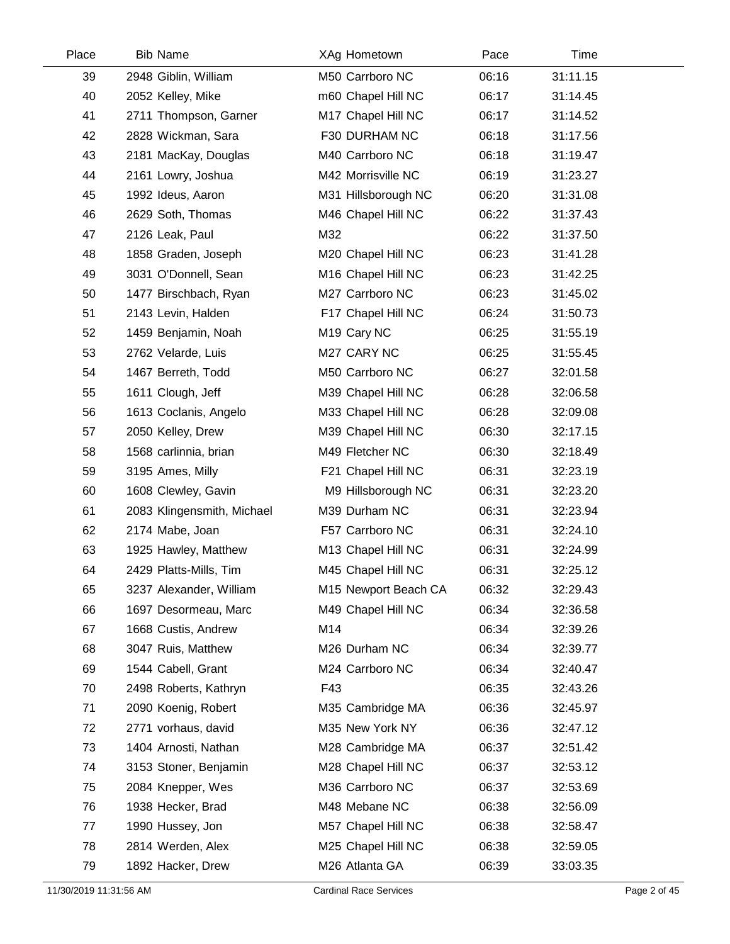| Place | <b>Bib Name</b>            |     | XAg Hometown            | Pace  | Time     |  |
|-------|----------------------------|-----|-------------------------|-------|----------|--|
| 39    | 2948 Giblin, William       |     | M50 Carrboro NC         | 06:16 | 31:11.15 |  |
| 40    | 2052 Kelley, Mike          |     | m60 Chapel Hill NC      | 06:17 | 31:14.45 |  |
| 41    | 2711 Thompson, Garner      |     | M17 Chapel Hill NC      | 06:17 | 31:14.52 |  |
| 42    | 2828 Wickman, Sara         |     | F30 DURHAM NC           | 06:18 | 31:17.56 |  |
| 43    | 2181 MacKay, Douglas       |     | M40 Carrboro NC         | 06:18 | 31:19.47 |  |
| 44    | 2161 Lowry, Joshua         |     | M42 Morrisville NC      | 06:19 | 31:23.27 |  |
| 45    | 1992 Ideus, Aaron          |     | M31 Hillsborough NC     | 06:20 | 31:31.08 |  |
| 46    | 2629 Soth, Thomas          |     | M46 Chapel Hill NC      | 06:22 | 31:37.43 |  |
| 47    | 2126 Leak, Paul            | M32 |                         | 06:22 | 31:37.50 |  |
| 48    | 1858 Graden, Joseph        |     | M20 Chapel Hill NC      | 06:23 | 31:41.28 |  |
| 49    | 3031 O'Donnell, Sean       |     | M16 Chapel Hill NC      | 06:23 | 31:42.25 |  |
| 50    | 1477 Birschbach, Ryan      |     | M27 Carrboro NC         | 06:23 | 31:45.02 |  |
| 51    | 2143 Levin, Halden         |     | F17 Chapel Hill NC      | 06:24 | 31:50.73 |  |
| 52    | 1459 Benjamin, Noah        |     | M <sub>19</sub> Cary NC | 06:25 | 31:55.19 |  |
| 53    | 2762 Velarde, Luis         |     | M27 CARY NC             | 06:25 | 31:55.45 |  |
| 54    | 1467 Berreth, Todd         |     | M50 Carrboro NC         | 06:27 | 32:01.58 |  |
| 55    | 1611 Clough, Jeff          |     | M39 Chapel Hill NC      | 06:28 | 32:06.58 |  |
| 56    | 1613 Coclanis, Angelo      |     | M33 Chapel Hill NC      | 06:28 | 32:09.08 |  |
| 57    | 2050 Kelley, Drew          |     | M39 Chapel Hill NC      | 06:30 | 32:17.15 |  |
| 58    | 1568 carlinnia, brian      |     | M49 Fletcher NC         | 06:30 | 32:18.49 |  |
| 59    | 3195 Ames, Milly           |     | F21 Chapel Hill NC      | 06:31 | 32:23.19 |  |
| 60    | 1608 Clewley, Gavin        |     | M9 Hillsborough NC      | 06:31 | 32:23.20 |  |
| 61    | 2083 Klingensmith, Michael |     | M39 Durham NC           | 06:31 | 32:23.94 |  |
| 62    | 2174 Mabe, Joan            |     | F57 Carrboro NC         | 06:31 | 32:24.10 |  |
| 63    | 1925 Hawley, Matthew       |     | M13 Chapel Hill NC      | 06:31 | 32:24.99 |  |
| 64    | 2429 Platts-Mills, Tim     |     | M45 Chapel Hill NC      | 06:31 | 32:25.12 |  |
| 65    | 3237 Alexander, William    |     | M15 Newport Beach CA    | 06:32 | 32:29.43 |  |
| 66    | 1697 Desormeau, Marc       |     | M49 Chapel Hill NC      | 06:34 | 32:36.58 |  |
| 67    | 1668 Custis, Andrew        | M14 |                         | 06:34 | 32:39.26 |  |
| 68    | 3047 Ruis, Matthew         |     | M26 Durham NC           | 06:34 | 32:39.77 |  |
| 69    | 1544 Cabell, Grant         |     | M24 Carrboro NC         | 06:34 | 32:40.47 |  |
| 70    | 2498 Roberts, Kathryn      | F43 |                         | 06:35 | 32:43.26 |  |
| 71    | 2090 Koenig, Robert        |     | M35 Cambridge MA        | 06:36 | 32:45.97 |  |
| 72    | 2771 vorhaus, david        |     | M35 New York NY         | 06:36 | 32:47.12 |  |
| 73    | 1404 Arnosti, Nathan       |     | M28 Cambridge MA        | 06:37 | 32:51.42 |  |
| 74    | 3153 Stoner, Benjamin      |     | M28 Chapel Hill NC      | 06:37 | 32:53.12 |  |
| 75    | 2084 Knepper, Wes          |     | M36 Carrboro NC         | 06:37 | 32:53.69 |  |
| 76    | 1938 Hecker, Brad          |     | M48 Mebane NC           | 06:38 | 32:56.09 |  |
| 77    | 1990 Hussey, Jon           |     | M57 Chapel Hill NC      | 06:38 | 32:58.47 |  |
| 78    | 2814 Werden, Alex          |     | M25 Chapel Hill NC      | 06:38 | 32:59.05 |  |
| 79    | 1892 Hacker, Drew          |     | M26 Atlanta GA          | 06:39 | 33:03.35 |  |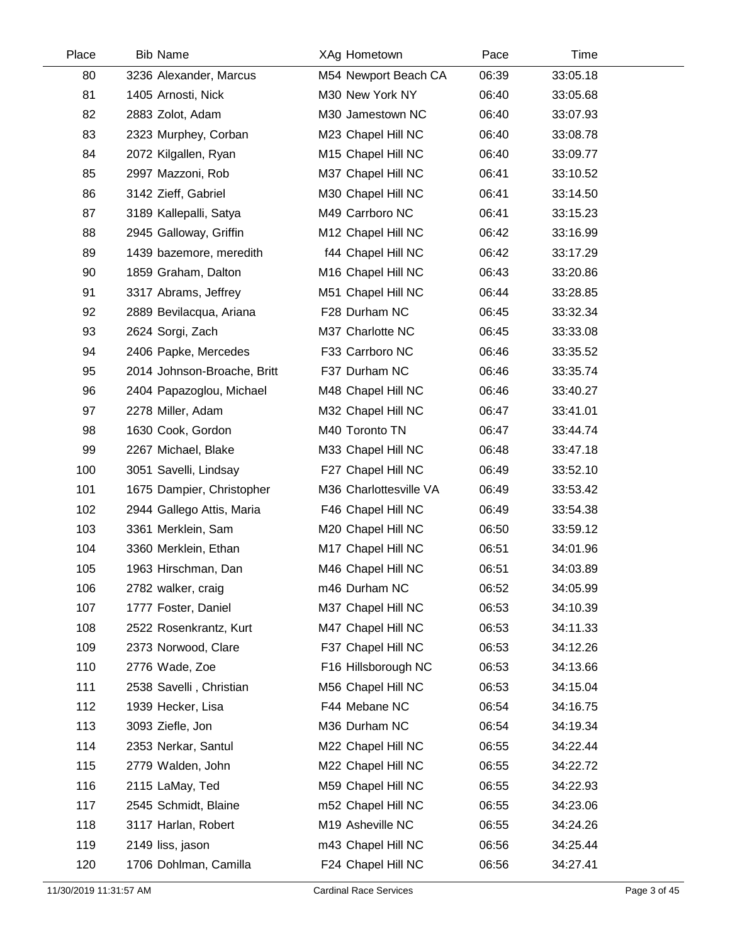| Place | <b>Bib Name</b>             | XAg Hometown                   | Pace  | Time     |  |
|-------|-----------------------------|--------------------------------|-------|----------|--|
| 80    | 3236 Alexander, Marcus      | M54 Newport Beach CA           | 06:39 | 33:05.18 |  |
| 81    | 1405 Arnosti, Nick          | M30 New York NY                | 06:40 | 33:05.68 |  |
| 82    | 2883 Zolot, Adam            | M30 Jamestown NC               | 06:40 | 33:07.93 |  |
| 83    | 2323 Murphey, Corban        | M23 Chapel Hill NC             | 06:40 | 33:08.78 |  |
| 84    | 2072 Kilgallen, Ryan        | M15 Chapel Hill NC             | 06:40 | 33:09.77 |  |
| 85    | 2997 Mazzoni, Rob           | M37 Chapel Hill NC             | 06:41 | 33:10.52 |  |
| 86    | 3142 Zieff, Gabriel         | M30 Chapel Hill NC             | 06:41 | 33:14.50 |  |
| 87    | 3189 Kallepalli, Satya      | M49 Carrboro NC                | 06:41 | 33:15.23 |  |
| 88    | 2945 Galloway, Griffin      | M12 Chapel Hill NC             | 06:42 | 33:16.99 |  |
| 89    | 1439 bazemore, meredith     | f44 Chapel Hill NC             | 06:42 | 33:17.29 |  |
| 90    | 1859 Graham, Dalton         | M <sub>16</sub> Chapel Hill NC | 06:43 | 33:20.86 |  |
| 91    | 3317 Abrams, Jeffrey        | M51 Chapel Hill NC             | 06:44 | 33:28.85 |  |
| 92    | 2889 Bevilacqua, Ariana     | F28 Durham NC                  | 06:45 | 33:32.34 |  |
| 93    | 2624 Sorgi, Zach            | M37 Charlotte NC               | 06:45 | 33:33.08 |  |
| 94    | 2406 Papke, Mercedes        | F33 Carrboro NC                | 06:46 | 33:35.52 |  |
| 95    | 2014 Johnson-Broache, Britt | F37 Durham NC                  | 06:46 | 33:35.74 |  |
| 96    | 2404 Papazoglou, Michael    | M48 Chapel Hill NC             | 06:46 | 33:40.27 |  |
| 97    | 2278 Miller, Adam           | M32 Chapel Hill NC             | 06:47 | 33:41.01 |  |
| 98    | 1630 Cook, Gordon           | M40 Toronto TN                 | 06:47 | 33:44.74 |  |
| 99    | 2267 Michael, Blake         | M33 Chapel Hill NC             | 06:48 | 33:47.18 |  |
| 100   | 3051 Savelli, Lindsay       | F27 Chapel Hill NC             | 06:49 | 33:52.10 |  |
| 101   | 1675 Dampier, Christopher   | M36 Charlottesville VA         | 06:49 | 33:53.42 |  |
| 102   | 2944 Gallego Attis, Maria   | F46 Chapel Hill NC             | 06:49 | 33:54.38 |  |
| 103   | 3361 Merklein, Sam          | M20 Chapel Hill NC             | 06:50 | 33:59.12 |  |
| 104   | 3360 Merklein, Ethan        | M17 Chapel Hill NC             | 06:51 | 34:01.96 |  |
| 105   | 1963 Hirschman, Dan         | M46 Chapel Hill NC             | 06:51 | 34:03.89 |  |
| 106   | 2782 walker, craig          | m46 Durham NC                  | 06:52 | 34:05.99 |  |
| 107   | 1777 Foster, Daniel         | M37 Chapel Hill NC             | 06:53 | 34:10.39 |  |
| 108   | 2522 Rosenkrantz, Kurt      | M47 Chapel Hill NC             | 06:53 | 34:11.33 |  |
| 109   | 2373 Norwood, Clare         | F37 Chapel Hill NC             | 06:53 | 34:12.26 |  |
| 110   | 2776 Wade, Zoe              | F16 Hillsborough NC            | 06:53 | 34:13.66 |  |
| 111   | 2538 Savelli, Christian     | M56 Chapel Hill NC             | 06:53 | 34:15.04 |  |
| 112   | 1939 Hecker, Lisa           | F44 Mebane NC                  | 06:54 | 34:16.75 |  |
| 113   | 3093 Ziefle, Jon            | M36 Durham NC                  | 06:54 | 34:19.34 |  |
| 114   | 2353 Nerkar, Santul         | M22 Chapel Hill NC             | 06:55 | 34:22.44 |  |
| 115   | 2779 Walden, John           | M22 Chapel Hill NC             | 06:55 | 34:22.72 |  |
| 116   | 2115 LaMay, Ted             | M59 Chapel Hill NC             | 06:55 | 34:22.93 |  |
| 117   | 2545 Schmidt, Blaine        | m52 Chapel Hill NC             | 06:55 | 34:23.06 |  |
| 118   | 3117 Harlan, Robert         | M19 Asheville NC               | 06:55 | 34:24.26 |  |
| 119   | 2149 liss, jason            | m43 Chapel Hill NC             | 06:56 | 34:25.44 |  |
| 120   | 1706 Dohlman, Camilla       | F24 Chapel Hill NC             | 06:56 | 34:27.41 |  |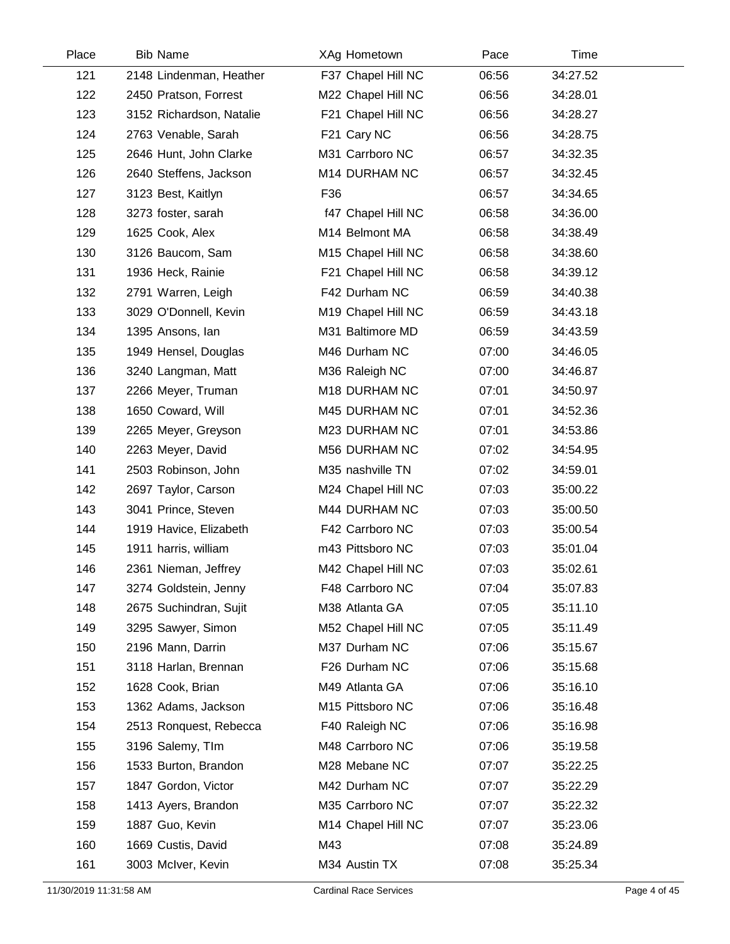| Place | <b>Bib Name</b>          | XAg Hometown       | Pace  | Time     |  |
|-------|--------------------------|--------------------|-------|----------|--|
| 121   | 2148 Lindenman, Heather  | F37 Chapel Hill NC | 06:56 | 34:27.52 |  |
| 122   | 2450 Pratson, Forrest    | M22 Chapel Hill NC | 06:56 | 34:28.01 |  |
| 123   | 3152 Richardson, Natalie | F21 Chapel Hill NC | 06:56 | 34:28.27 |  |
| 124   | 2763 Venable, Sarah      | F21 Cary NC        | 06:56 | 34:28.75 |  |
| 125   | 2646 Hunt, John Clarke   | M31 Carrboro NC    | 06:57 | 34:32.35 |  |
| 126   | 2640 Steffens, Jackson   | M14 DURHAM NC      | 06:57 | 34:32.45 |  |
| 127   | 3123 Best, Kaitlyn       | F36                | 06:57 | 34:34.65 |  |
| 128   | 3273 foster, sarah       | f47 Chapel Hill NC | 06:58 | 34:36.00 |  |
| 129   | 1625 Cook, Alex          | M14 Belmont MA     | 06:58 | 34:38.49 |  |
| 130   | 3126 Baucom, Sam         | M15 Chapel Hill NC | 06:58 | 34:38.60 |  |
| 131   | 1936 Heck, Rainie        | F21 Chapel Hill NC | 06:58 | 34:39.12 |  |
| 132   | 2791 Warren, Leigh       | F42 Durham NC      | 06:59 | 34:40.38 |  |
| 133   | 3029 O'Donnell, Kevin    | M19 Chapel Hill NC | 06:59 | 34:43.18 |  |
| 134   | 1395 Ansons, Ian         | M31 Baltimore MD   | 06:59 | 34:43.59 |  |
| 135   | 1949 Hensel, Douglas     | M46 Durham NC      | 07:00 | 34:46.05 |  |
| 136   | 3240 Langman, Matt       | M36 Raleigh NC     | 07:00 | 34:46.87 |  |
| 137   | 2266 Meyer, Truman       | M18 DURHAM NC      | 07:01 | 34:50.97 |  |
| 138   | 1650 Coward, Will        | M45 DURHAM NC      | 07:01 | 34:52.36 |  |
| 139   | 2265 Meyer, Greyson      | M23 DURHAM NC      | 07:01 | 34:53.86 |  |
| 140   | 2263 Meyer, David        | M56 DURHAM NC      | 07:02 | 34:54.95 |  |
| 141   | 2503 Robinson, John      | M35 nashville TN   | 07:02 | 34:59.01 |  |
| 142   | 2697 Taylor, Carson      | M24 Chapel Hill NC | 07:03 | 35:00.22 |  |
| 143   | 3041 Prince, Steven      | M44 DURHAM NC      | 07:03 | 35:00.50 |  |
| 144   | 1919 Havice, Elizabeth   | F42 Carrboro NC    | 07:03 | 35:00.54 |  |
| 145   | 1911 harris, william     | m43 Pittsboro NC   | 07:03 | 35:01.04 |  |
| 146   | 2361 Nieman, Jeffrey     | M42 Chapel Hill NC | 07:03 | 35:02.61 |  |
| 147   | 3274 Goldstein, Jenny    | F48 Carrboro NC    | 07:04 | 35:07.83 |  |
| 148   | 2675 Suchindran, Sujit   | M38 Atlanta GA     | 07:05 | 35:11.10 |  |
| 149   | 3295 Sawyer, Simon       | M52 Chapel Hill NC | 07:05 | 35:11.49 |  |
| 150   | 2196 Mann, Darrin        | M37 Durham NC      | 07:06 | 35:15.67 |  |
| 151   | 3118 Harlan, Brennan     | F26 Durham NC      | 07:06 | 35:15.68 |  |
| 152   | 1628 Cook, Brian         | M49 Atlanta GA     | 07:06 | 35:16.10 |  |
| 153   | 1362 Adams, Jackson      | M15 Pittsboro NC   | 07:06 | 35:16.48 |  |
| 154   | 2513 Ronquest, Rebecca   | F40 Raleigh NC     | 07:06 | 35:16.98 |  |
| 155   | 3196 Salemy, TIm         | M48 Carrboro NC    | 07:06 | 35:19.58 |  |
| 156   | 1533 Burton, Brandon     | M28 Mebane NC      | 07:07 | 35:22.25 |  |
| 157   | 1847 Gordon, Victor      | M42 Durham NC      | 07:07 | 35:22.29 |  |
| 158   | 1413 Ayers, Brandon      | M35 Carrboro NC    | 07:07 | 35:22.32 |  |
| 159   | 1887 Guo, Kevin          | M14 Chapel Hill NC | 07:07 | 35:23.06 |  |
| 160   | 1669 Custis, David       | M43                | 07:08 | 35:24.89 |  |
| 161   | 3003 McIver, Kevin       | M34 Austin TX      | 07:08 | 35:25.34 |  |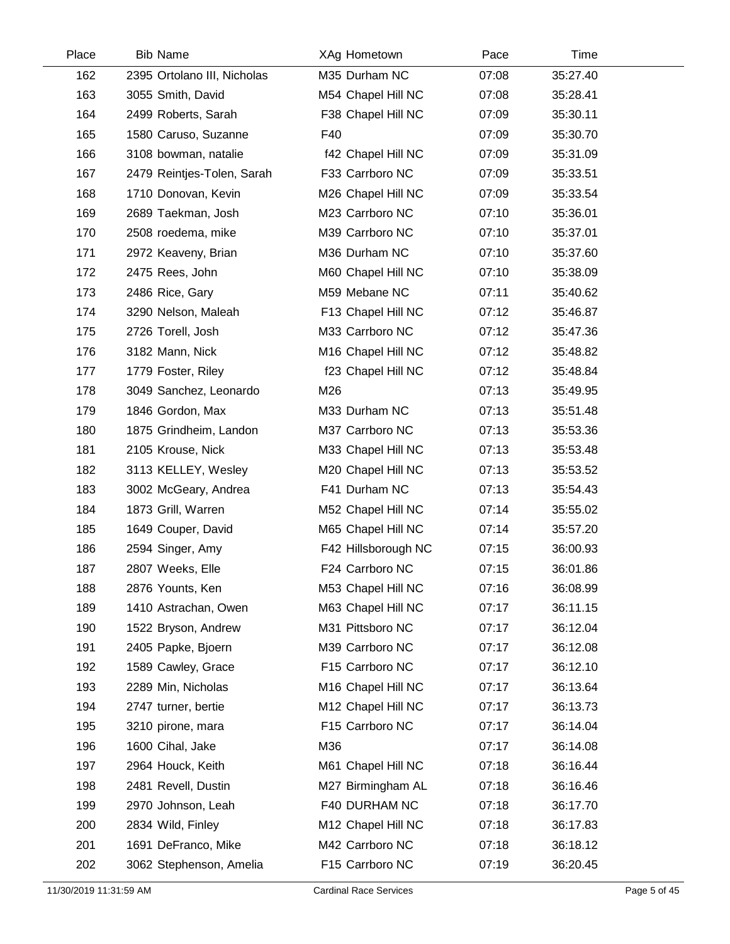| Place | <b>Bib Name</b>             | XAg Hometown        | Pace  | Time     |  |
|-------|-----------------------------|---------------------|-------|----------|--|
| 162   | 2395 Ortolano III, Nicholas | M35 Durham NC       | 07:08 | 35:27.40 |  |
| 163   | 3055 Smith, David           | M54 Chapel Hill NC  | 07:08 | 35:28.41 |  |
| 164   | 2499 Roberts, Sarah         | F38 Chapel Hill NC  | 07:09 | 35:30.11 |  |
| 165   | 1580 Caruso, Suzanne        | F40                 | 07:09 | 35:30.70 |  |
| 166   | 3108 bowman, natalie        | f42 Chapel Hill NC  | 07:09 | 35:31.09 |  |
| 167   | 2479 Reintjes-Tolen, Sarah  | F33 Carrboro NC     | 07:09 | 35:33.51 |  |
| 168   | 1710 Donovan, Kevin         | M26 Chapel Hill NC  | 07:09 | 35:33.54 |  |
| 169   | 2689 Taekman, Josh          | M23 Carrboro NC     | 07:10 | 35:36.01 |  |
| 170   | 2508 roedema, mike          | M39 Carrboro NC     | 07:10 | 35:37.01 |  |
| 171   | 2972 Keaveny, Brian         | M36 Durham NC       | 07:10 | 35:37.60 |  |
| 172   | 2475 Rees, John             | M60 Chapel Hill NC  | 07:10 | 35:38.09 |  |
| 173   | 2486 Rice, Gary             | M59 Mebane NC       | 07:11 | 35:40.62 |  |
| 174   | 3290 Nelson, Maleah         | F13 Chapel Hill NC  | 07:12 | 35:46.87 |  |
| 175   | 2726 Torell, Josh           | M33 Carrboro NC     | 07:12 | 35:47.36 |  |
| 176   | 3182 Mann, Nick             | M16 Chapel Hill NC  | 07:12 | 35:48.82 |  |
| 177   | 1779 Foster, Riley          | f23 Chapel Hill NC  | 07:12 | 35:48.84 |  |
| 178   | 3049 Sanchez, Leonardo      | M26                 | 07:13 | 35:49.95 |  |
| 179   | 1846 Gordon, Max            | M33 Durham NC       | 07:13 | 35:51.48 |  |
| 180   | 1875 Grindheim, Landon      | M37 Carrboro NC     | 07:13 | 35:53.36 |  |
| 181   | 2105 Krouse, Nick           | M33 Chapel Hill NC  | 07:13 | 35:53.48 |  |
| 182   | 3113 KELLEY, Wesley         | M20 Chapel Hill NC  | 07:13 | 35:53.52 |  |
| 183   | 3002 McGeary, Andrea        | F41 Durham NC       | 07:13 | 35:54.43 |  |
| 184   | 1873 Grill, Warren          | M52 Chapel Hill NC  | 07:14 | 35:55.02 |  |
| 185   | 1649 Couper, David          | M65 Chapel Hill NC  | 07:14 | 35:57.20 |  |
| 186   | 2594 Singer, Amy            | F42 Hillsborough NC | 07:15 | 36:00.93 |  |
| 187   | 2807 Weeks, Elle            | F24 Carrboro NC     | 07:15 | 36:01.86 |  |
| 188   | 2876 Younts, Ken            | M53 Chapel Hill NC  | 07:16 | 36:08.99 |  |
| 189   | 1410 Astrachan, Owen        | M63 Chapel Hill NC  | 07:17 | 36:11.15 |  |
| 190   | 1522 Bryson, Andrew         | M31 Pittsboro NC    | 07:17 | 36:12.04 |  |
| 191   | 2405 Papke, Bjoern          | M39 Carrboro NC     | 07:17 | 36:12.08 |  |
| 192   | 1589 Cawley, Grace          | F15 Carrboro NC     | 07:17 | 36:12.10 |  |
| 193   | 2289 Min, Nicholas          | M16 Chapel Hill NC  | 07:17 | 36:13.64 |  |
| 194   | 2747 turner, bertie         | M12 Chapel Hill NC  | 07:17 | 36:13.73 |  |
| 195   | 3210 pirone, mara           | F15 Carrboro NC     | 07:17 | 36:14.04 |  |
| 196   | 1600 Cihal, Jake            | M36                 | 07:17 | 36:14.08 |  |
| 197   | 2964 Houck, Keith           | M61 Chapel Hill NC  | 07:18 | 36:16.44 |  |
| 198   | 2481 Revell, Dustin         | M27 Birmingham AL   | 07:18 | 36:16.46 |  |
| 199   | 2970 Johnson, Leah          | F40 DURHAM NC       | 07:18 | 36:17.70 |  |
| 200   | 2834 Wild, Finley           | M12 Chapel Hill NC  | 07:18 | 36:17.83 |  |
| 201   | 1691 DeFranco, Mike         | M42 Carrboro NC     | 07:18 | 36:18.12 |  |
| 202   | 3062 Stephenson, Amelia     | F15 Carrboro NC     | 07:19 | 36:20.45 |  |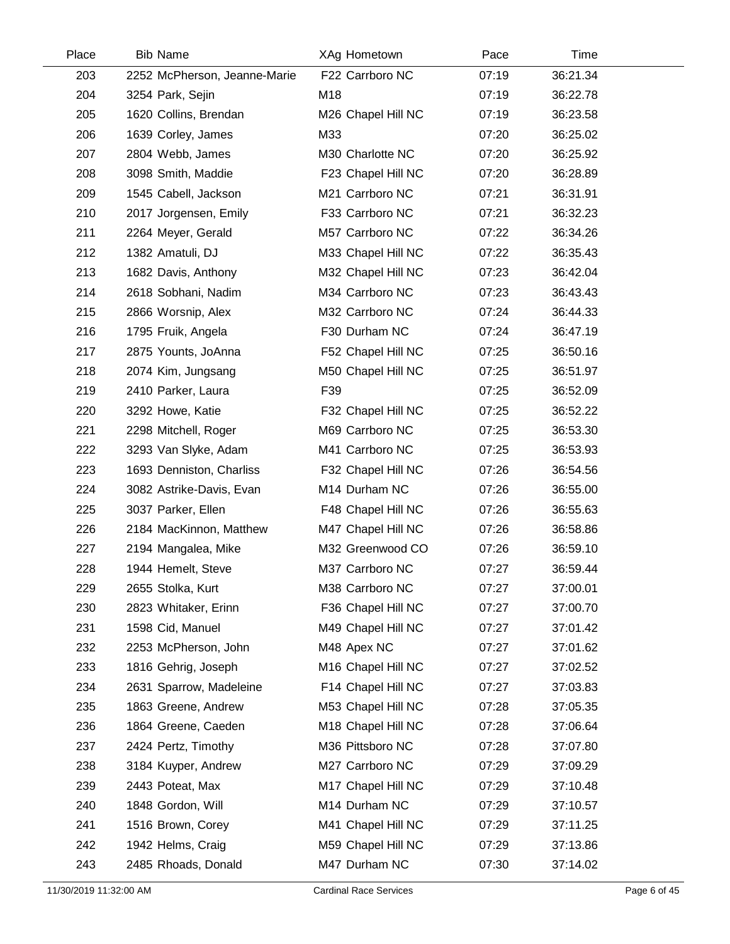| Place | <b>Bib Name</b>              | XAg Hometown       | Pace  | Time     |  |
|-------|------------------------------|--------------------|-------|----------|--|
| 203   | 2252 McPherson, Jeanne-Marie | F22 Carrboro NC    | 07:19 | 36:21.34 |  |
| 204   | 3254 Park, Sejin             | M18                | 07:19 | 36:22.78 |  |
| 205   | 1620 Collins, Brendan        | M26 Chapel Hill NC | 07:19 | 36:23.58 |  |
| 206   | 1639 Corley, James           | M33                | 07:20 | 36:25.02 |  |
| 207   | 2804 Webb, James             | M30 Charlotte NC   | 07:20 | 36:25.92 |  |
| 208   | 3098 Smith, Maddie           | F23 Chapel Hill NC | 07:20 | 36:28.89 |  |
| 209   | 1545 Cabell, Jackson         | M21 Carrboro NC    | 07:21 | 36:31.91 |  |
| 210   | 2017 Jorgensen, Emily        | F33 Carrboro NC    | 07:21 | 36:32.23 |  |
| 211   | 2264 Meyer, Gerald           | M57 Carrboro NC    | 07:22 | 36:34.26 |  |
| 212   | 1382 Amatuli, DJ             | M33 Chapel Hill NC | 07:22 | 36:35.43 |  |
| 213   | 1682 Davis, Anthony          | M32 Chapel Hill NC | 07:23 | 36:42.04 |  |
| 214   | 2618 Sobhani, Nadim          | M34 Carrboro NC    | 07:23 | 36:43.43 |  |
| 215   | 2866 Worsnip, Alex           | M32 Carrboro NC    | 07:24 | 36:44.33 |  |
| 216   | 1795 Fruik, Angela           | F30 Durham NC      | 07:24 | 36:47.19 |  |
| 217   | 2875 Younts, JoAnna          | F52 Chapel Hill NC | 07:25 | 36:50.16 |  |
| 218   | 2074 Kim, Jungsang           | M50 Chapel Hill NC | 07:25 | 36:51.97 |  |
| 219   | 2410 Parker, Laura           | F39                | 07:25 | 36:52.09 |  |
| 220   | 3292 Howe, Katie             | F32 Chapel Hill NC | 07:25 | 36:52.22 |  |
| 221   | 2298 Mitchell, Roger         | M69 Carrboro NC    | 07:25 | 36:53.30 |  |
| 222   | 3293 Van Slyke, Adam         | M41 Carrboro NC    | 07:25 | 36:53.93 |  |
| 223   | 1693 Denniston, Charliss     | F32 Chapel Hill NC | 07:26 | 36:54.56 |  |
| 224   | 3082 Astrike-Davis, Evan     | M14 Durham NC      | 07:26 | 36:55.00 |  |
| 225   | 3037 Parker, Ellen           | F48 Chapel Hill NC | 07:26 | 36:55.63 |  |
| 226   | 2184 MacKinnon, Matthew      | M47 Chapel Hill NC | 07:26 | 36:58.86 |  |
| 227   | 2194 Mangalea, Mike          | M32 Greenwood CO   | 07:26 | 36:59.10 |  |
| 228   | 1944 Hemelt, Steve           | M37 Carrboro NC    | 07:27 | 36:59.44 |  |
| 229   | 2655 Stolka, Kurt            | M38 Carrboro NC    | 07:27 | 37:00.01 |  |
| 230   | 2823 Whitaker, Erinn         | F36 Chapel Hill NC | 07:27 | 37:00.70 |  |
| 231   | 1598 Cid, Manuel             | M49 Chapel Hill NC | 07:27 | 37:01.42 |  |
| 232   | 2253 McPherson, John         | M48 Apex NC        | 07:27 | 37:01.62 |  |
| 233   | 1816 Gehrig, Joseph          | M16 Chapel Hill NC | 07:27 | 37:02.52 |  |
| 234   | 2631 Sparrow, Madeleine      | F14 Chapel Hill NC | 07:27 | 37:03.83 |  |
| 235   | 1863 Greene, Andrew          | M53 Chapel Hill NC | 07:28 | 37:05.35 |  |
| 236   | 1864 Greene, Caeden          | M18 Chapel Hill NC | 07:28 | 37:06.64 |  |
| 237   | 2424 Pertz, Timothy          | M36 Pittsboro NC   | 07:28 | 37:07.80 |  |
| 238   | 3184 Kuyper, Andrew          | M27 Carrboro NC    | 07:29 | 37:09.29 |  |
| 239   | 2443 Poteat, Max             | M17 Chapel Hill NC | 07:29 | 37:10.48 |  |
| 240   | 1848 Gordon, Will            | M14 Durham NC      | 07:29 | 37:10.57 |  |
| 241   | 1516 Brown, Corey            | M41 Chapel Hill NC | 07:29 | 37:11.25 |  |
| 242   | 1942 Helms, Craig            | M59 Chapel Hill NC | 07:29 | 37:13.86 |  |
| 243   | 2485 Rhoads, Donald          | M47 Durham NC      | 07:30 | 37:14.02 |  |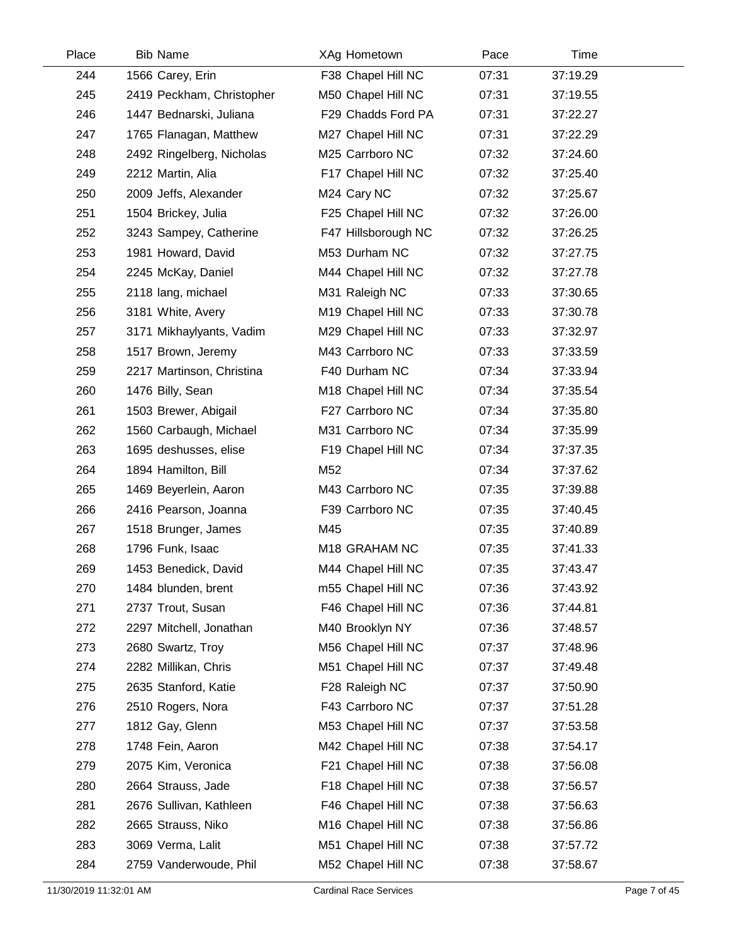| Place | <b>Bib Name</b>           | XAg Hometown        | Pace  | Time     |  |
|-------|---------------------------|---------------------|-------|----------|--|
| 244   | 1566 Carey, Erin          | F38 Chapel Hill NC  | 07:31 | 37:19.29 |  |
| 245   | 2419 Peckham, Christopher | M50 Chapel Hill NC  | 07:31 | 37:19.55 |  |
| 246   | 1447 Bednarski, Juliana   | F29 Chadds Ford PA  | 07:31 | 37:22.27 |  |
| 247   | 1765 Flanagan, Matthew    | M27 Chapel Hill NC  | 07:31 | 37:22.29 |  |
| 248   | 2492 Ringelberg, Nicholas | M25 Carrboro NC     | 07:32 | 37:24.60 |  |
| 249   | 2212 Martin, Alia         | F17 Chapel Hill NC  | 07:32 | 37:25.40 |  |
| 250   | 2009 Jeffs, Alexander     | M24 Cary NC         | 07:32 | 37:25.67 |  |
| 251   | 1504 Brickey, Julia       | F25 Chapel Hill NC  | 07:32 | 37:26.00 |  |
| 252   | 3243 Sampey, Catherine    | F47 Hillsborough NC | 07:32 | 37:26.25 |  |
| 253   | 1981 Howard, David        | M53 Durham NC       | 07:32 | 37:27.75 |  |
| 254   | 2245 McKay, Daniel        | M44 Chapel Hill NC  | 07:32 | 37:27.78 |  |
| 255   | 2118 lang, michael        | M31 Raleigh NC      | 07:33 | 37:30.65 |  |
| 256   | 3181 White, Avery         | M19 Chapel Hill NC  | 07:33 | 37:30.78 |  |
| 257   | 3171 Mikhaylyants, Vadim  | M29 Chapel Hill NC  | 07:33 | 37:32.97 |  |
| 258   | 1517 Brown, Jeremy        | M43 Carrboro NC     | 07:33 | 37:33.59 |  |
| 259   | 2217 Martinson, Christina | F40 Durham NC       | 07:34 | 37:33.94 |  |
| 260   | 1476 Billy, Sean          | M18 Chapel Hill NC  | 07:34 | 37:35.54 |  |
| 261   | 1503 Brewer, Abigail      | F27 Carrboro NC     | 07:34 | 37:35.80 |  |
| 262   | 1560 Carbaugh, Michael    | M31 Carrboro NC     | 07:34 | 37:35.99 |  |
| 263   | 1695 deshusses, elise     | F19 Chapel Hill NC  | 07:34 | 37:37.35 |  |
| 264   | 1894 Hamilton, Bill       | M52                 | 07:34 | 37:37.62 |  |
| 265   | 1469 Beyerlein, Aaron     | M43 Carrboro NC     | 07:35 | 37:39.88 |  |
| 266   | 2416 Pearson, Joanna      | F39 Carrboro NC     | 07:35 | 37:40.45 |  |
| 267   | 1518 Brunger, James       | M45                 | 07:35 | 37:40.89 |  |
| 268   | 1796 Funk, Isaac          | M18 GRAHAM NC       | 07:35 | 37:41.33 |  |
| 269   | 1453 Benedick, David      | M44 Chapel Hill NC  | 07:35 | 37:43.47 |  |
| 270   | 1484 blunden, brent       | m55 Chapel Hill NC  | 07:36 | 37:43.92 |  |
| 271   | 2737 Trout, Susan         | F46 Chapel Hill NC  | 07:36 | 37:44.81 |  |
| 272   | 2297 Mitchell, Jonathan   | M40 Brooklyn NY     | 07:36 | 37:48.57 |  |
| 273   | 2680 Swartz, Troy         | M56 Chapel Hill NC  | 07:37 | 37:48.96 |  |
| 274   | 2282 Millikan, Chris      | M51 Chapel Hill NC  | 07:37 | 37:49.48 |  |
| 275   | 2635 Stanford, Katie      | F28 Raleigh NC      | 07:37 | 37:50.90 |  |
| 276   | 2510 Rogers, Nora         | F43 Carrboro NC     | 07:37 | 37:51.28 |  |
| 277   | 1812 Gay, Glenn           | M53 Chapel Hill NC  | 07:37 | 37:53.58 |  |
| 278   | 1748 Fein, Aaron          | M42 Chapel Hill NC  | 07:38 | 37:54.17 |  |
| 279   | 2075 Kim, Veronica        | F21 Chapel Hill NC  | 07:38 | 37:56.08 |  |
| 280   | 2664 Strauss, Jade        | F18 Chapel Hill NC  | 07:38 | 37:56.57 |  |
| 281   | 2676 Sullivan, Kathleen   | F46 Chapel Hill NC  | 07:38 | 37:56.63 |  |
| 282   | 2665 Strauss, Niko        | M16 Chapel Hill NC  | 07:38 | 37:56.86 |  |
| 283   | 3069 Verma, Lalit         | M51 Chapel Hill NC  | 07:38 | 37:57.72 |  |
| 284   | 2759 Vanderwoude, Phil    | M52 Chapel Hill NC  | 07:38 | 37:58.67 |  |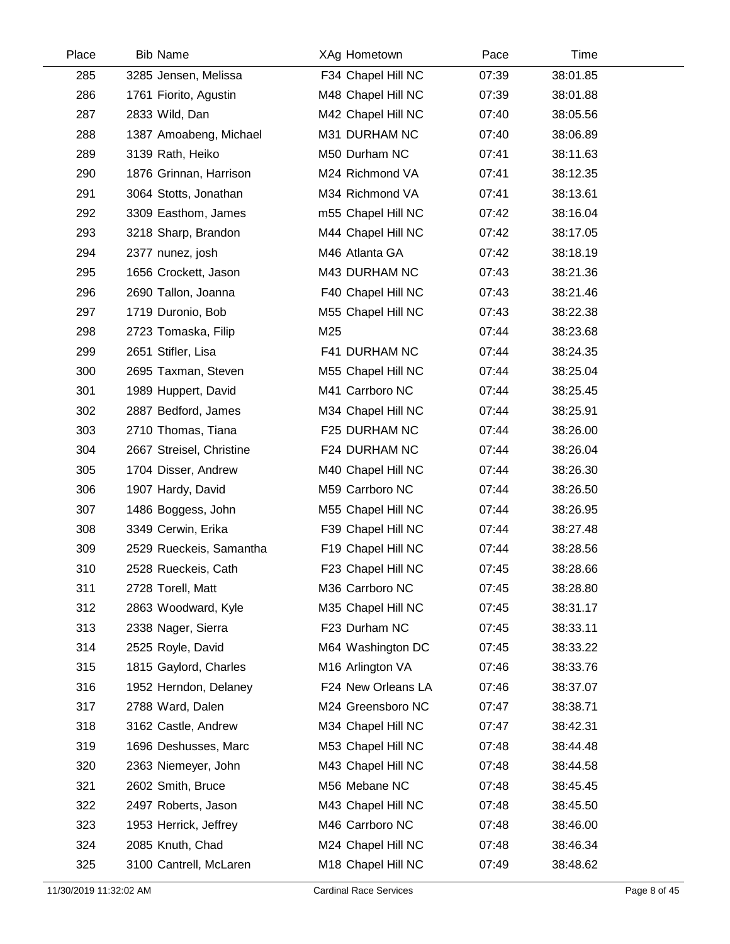| Place | <b>Bib Name</b>          | XAg Hometown       | Pace  | Time     |  |
|-------|--------------------------|--------------------|-------|----------|--|
| 285   | 3285 Jensen, Melissa     | F34 Chapel Hill NC | 07:39 | 38:01.85 |  |
| 286   | 1761 Fiorito, Agustin    | M48 Chapel Hill NC | 07:39 | 38:01.88 |  |
| 287   | 2833 Wild, Dan           | M42 Chapel Hill NC | 07:40 | 38:05.56 |  |
| 288   | 1387 Amoabeng, Michael   | M31 DURHAM NC      | 07:40 | 38:06.89 |  |
| 289   | 3139 Rath, Heiko         | M50 Durham NC      | 07:41 | 38:11.63 |  |
| 290   | 1876 Grinnan, Harrison   | M24 Richmond VA    | 07:41 | 38:12.35 |  |
| 291   | 3064 Stotts, Jonathan    | M34 Richmond VA    | 07:41 | 38:13.61 |  |
| 292   | 3309 Easthom, James      | m55 Chapel Hill NC | 07:42 | 38:16.04 |  |
| 293   | 3218 Sharp, Brandon      | M44 Chapel Hill NC | 07:42 | 38:17.05 |  |
| 294   | 2377 nunez, josh         | M46 Atlanta GA     | 07:42 | 38:18.19 |  |
| 295   | 1656 Crockett, Jason     | M43 DURHAM NC      | 07:43 | 38:21.36 |  |
| 296   | 2690 Tallon, Joanna      | F40 Chapel Hill NC | 07:43 | 38:21.46 |  |
| 297   | 1719 Duronio, Bob        | M55 Chapel Hill NC | 07:43 | 38:22.38 |  |
| 298   | 2723 Tomaska, Filip      | M25                | 07:44 | 38:23.68 |  |
| 299   | 2651 Stifler, Lisa       | F41 DURHAM NC      | 07:44 | 38:24.35 |  |
| 300   | 2695 Taxman, Steven      | M55 Chapel Hill NC | 07:44 | 38:25.04 |  |
| 301   | 1989 Huppert, David      | M41 Carrboro NC    | 07:44 | 38:25.45 |  |
| 302   | 2887 Bedford, James      | M34 Chapel Hill NC | 07:44 | 38:25.91 |  |
| 303   | 2710 Thomas, Tiana       | F25 DURHAM NC      | 07:44 | 38:26.00 |  |
| 304   | 2667 Streisel, Christine | F24 DURHAM NC      | 07:44 | 38:26.04 |  |
| 305   | 1704 Disser, Andrew      | M40 Chapel Hill NC | 07:44 | 38:26.30 |  |
| 306   | 1907 Hardy, David        | M59 Carrboro NC    | 07:44 | 38:26.50 |  |
| 307   | 1486 Boggess, John       | M55 Chapel Hill NC | 07:44 | 38:26.95 |  |
| 308   | 3349 Cerwin, Erika       | F39 Chapel Hill NC | 07:44 | 38:27.48 |  |
| 309   | 2529 Rueckeis, Samantha  | F19 Chapel Hill NC | 07:44 | 38:28.56 |  |
| 310   | 2528 Rueckeis, Cath      | F23 Chapel Hill NC | 07:45 | 38:28.66 |  |
| 311   | 2728 Torell, Matt        | M36 Carrboro NC    | 07:45 | 38:28.80 |  |
| 312   | 2863 Woodward, Kyle      | M35 Chapel Hill NC | 07:45 | 38:31.17 |  |
| 313   | 2338 Nager, Sierra       | F23 Durham NC      | 07:45 | 38:33.11 |  |
| 314   | 2525 Royle, David        | M64 Washington DC  | 07:45 | 38:33.22 |  |
| 315   | 1815 Gaylord, Charles    | M16 Arlington VA   | 07:46 | 38:33.76 |  |
| 316   | 1952 Herndon, Delaney    | F24 New Orleans LA | 07:46 | 38:37.07 |  |
| 317   | 2788 Ward, Dalen         | M24 Greensboro NC  | 07:47 | 38:38.71 |  |
| 318   | 3162 Castle, Andrew      | M34 Chapel Hill NC | 07:47 | 38:42.31 |  |
| 319   | 1696 Deshusses, Marc     | M53 Chapel Hill NC | 07:48 | 38:44.48 |  |
| 320   | 2363 Niemeyer, John      | M43 Chapel Hill NC | 07:48 | 38:44.58 |  |
| 321   | 2602 Smith, Bruce        | M56 Mebane NC      | 07:48 | 38:45.45 |  |
| 322   | 2497 Roberts, Jason      | M43 Chapel Hill NC | 07:48 | 38:45.50 |  |
| 323   | 1953 Herrick, Jeffrey    | M46 Carrboro NC    | 07:48 | 38:46.00 |  |
| 324   | 2085 Knuth, Chad         | M24 Chapel Hill NC | 07:48 | 38:46.34 |  |
| 325   | 3100 Cantrell, McLaren   | M18 Chapel Hill NC | 07:49 | 38:48.62 |  |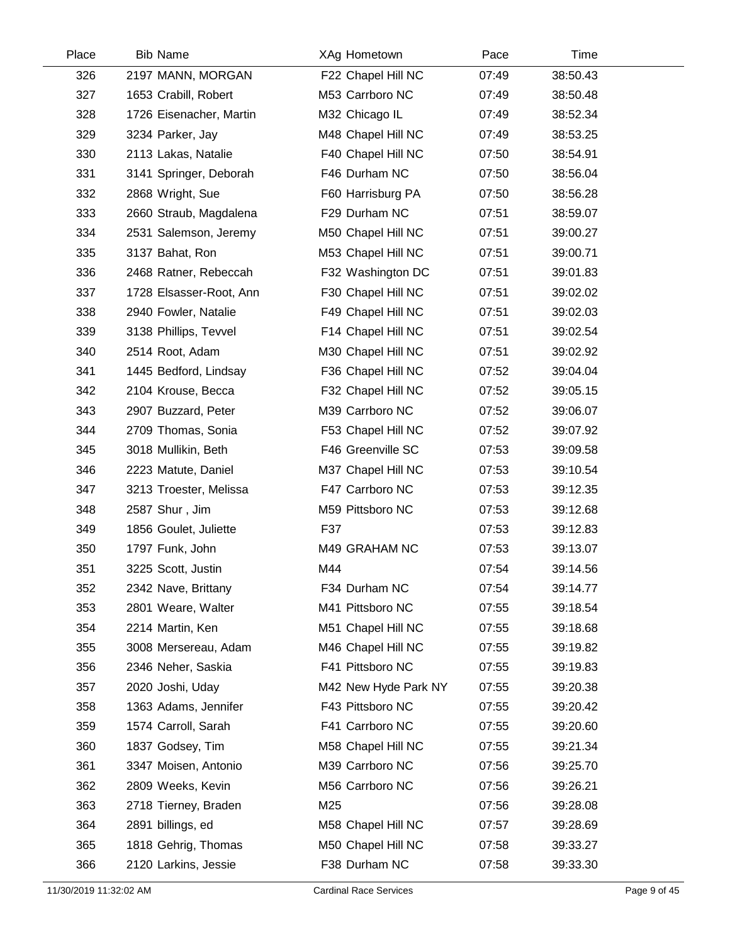| Place | <b>Bib Name</b>         | XAg Hometown         | Pace  | Time     |  |
|-------|-------------------------|----------------------|-------|----------|--|
| 326   | 2197 MANN, MORGAN       | F22 Chapel Hill NC   | 07:49 | 38:50.43 |  |
| 327   | 1653 Crabill, Robert    | M53 Carrboro NC      | 07:49 | 38:50.48 |  |
| 328   | 1726 Eisenacher, Martin | M32 Chicago IL       | 07:49 | 38:52.34 |  |
| 329   | 3234 Parker, Jay        | M48 Chapel Hill NC   | 07:49 | 38:53.25 |  |
| 330   | 2113 Lakas, Natalie     | F40 Chapel Hill NC   | 07:50 | 38:54.91 |  |
| 331   | 3141 Springer, Deborah  | F46 Durham NC        | 07:50 | 38:56.04 |  |
| 332   | 2868 Wright, Sue        | F60 Harrisburg PA    | 07:50 | 38:56.28 |  |
| 333   | 2660 Straub, Magdalena  | F29 Durham NC        | 07:51 | 38:59.07 |  |
| 334   | 2531 Salemson, Jeremy   | M50 Chapel Hill NC   | 07:51 | 39:00.27 |  |
| 335   | 3137 Bahat, Ron         | M53 Chapel Hill NC   | 07:51 | 39:00.71 |  |
| 336   | 2468 Ratner, Rebeccah   | F32 Washington DC    | 07:51 | 39:01.83 |  |
| 337   | 1728 Elsasser-Root, Ann | F30 Chapel Hill NC   | 07:51 | 39:02.02 |  |
| 338   | 2940 Fowler, Natalie    | F49 Chapel Hill NC   | 07:51 | 39:02.03 |  |
| 339   | 3138 Phillips, Tevvel   | F14 Chapel Hill NC   | 07:51 | 39:02.54 |  |
| 340   | 2514 Root, Adam         | M30 Chapel Hill NC   | 07:51 | 39:02.92 |  |
| 341   | 1445 Bedford, Lindsay   | F36 Chapel Hill NC   | 07:52 | 39:04.04 |  |
| 342   | 2104 Krouse, Becca      | F32 Chapel Hill NC   | 07:52 | 39:05.15 |  |
| 343   | 2907 Buzzard, Peter     | M39 Carrboro NC      | 07:52 | 39:06.07 |  |
| 344   | 2709 Thomas, Sonia      | F53 Chapel Hill NC   | 07:52 | 39:07.92 |  |
| 345   | 3018 Mullikin, Beth     | F46 Greenville SC    | 07:53 | 39:09.58 |  |
| 346   | 2223 Matute, Daniel     | M37 Chapel Hill NC   | 07:53 | 39:10.54 |  |
| 347   | 3213 Troester, Melissa  | F47 Carrboro NC      | 07:53 | 39:12.35 |  |
| 348   | 2587 Shur, Jim          | M59 Pittsboro NC     | 07:53 | 39:12.68 |  |
| 349   | 1856 Goulet, Juliette   | F37                  | 07:53 | 39:12.83 |  |
| 350   | 1797 Funk, John         | M49 GRAHAM NC        | 07:53 | 39:13.07 |  |
| 351   | 3225 Scott, Justin      | M44                  | 07:54 | 39:14.56 |  |
| 352   | 2342 Nave, Brittany     | F34 Durham NC        | 07:54 | 39:14.77 |  |
| 353   | 2801 Weare, Walter      | M41 Pittsboro NC     | 07:55 | 39:18.54 |  |
| 354   | 2214 Martin, Ken        | M51 Chapel Hill NC   | 07:55 | 39:18.68 |  |
| 355   | 3008 Mersereau, Adam    | M46 Chapel Hill NC   | 07:55 | 39:19.82 |  |
| 356   | 2346 Neher, Saskia      | F41 Pittsboro NC     | 07:55 | 39:19.83 |  |
| 357   | 2020 Joshi, Uday        | M42 New Hyde Park NY | 07:55 | 39:20.38 |  |
| 358   | 1363 Adams, Jennifer    | F43 Pittsboro NC     | 07:55 | 39:20.42 |  |
| 359   | 1574 Carroll, Sarah     | F41 Carrboro NC      | 07:55 | 39:20.60 |  |
| 360   | 1837 Godsey, Tim        | M58 Chapel Hill NC   | 07:55 | 39:21.34 |  |
| 361   | 3347 Moisen, Antonio    | M39 Carrboro NC      | 07:56 | 39:25.70 |  |
| 362   | 2809 Weeks, Kevin       | M56 Carrboro NC      | 07:56 | 39:26.21 |  |
| 363   | 2718 Tierney, Braden    | M25                  | 07:56 | 39:28.08 |  |
| 364   | 2891 billings, ed       | M58 Chapel Hill NC   | 07:57 | 39:28.69 |  |
| 365   | 1818 Gehrig, Thomas     | M50 Chapel Hill NC   | 07:58 | 39:33.27 |  |
| 366   | 2120 Larkins, Jessie    | F38 Durham NC        | 07:58 | 39:33.30 |  |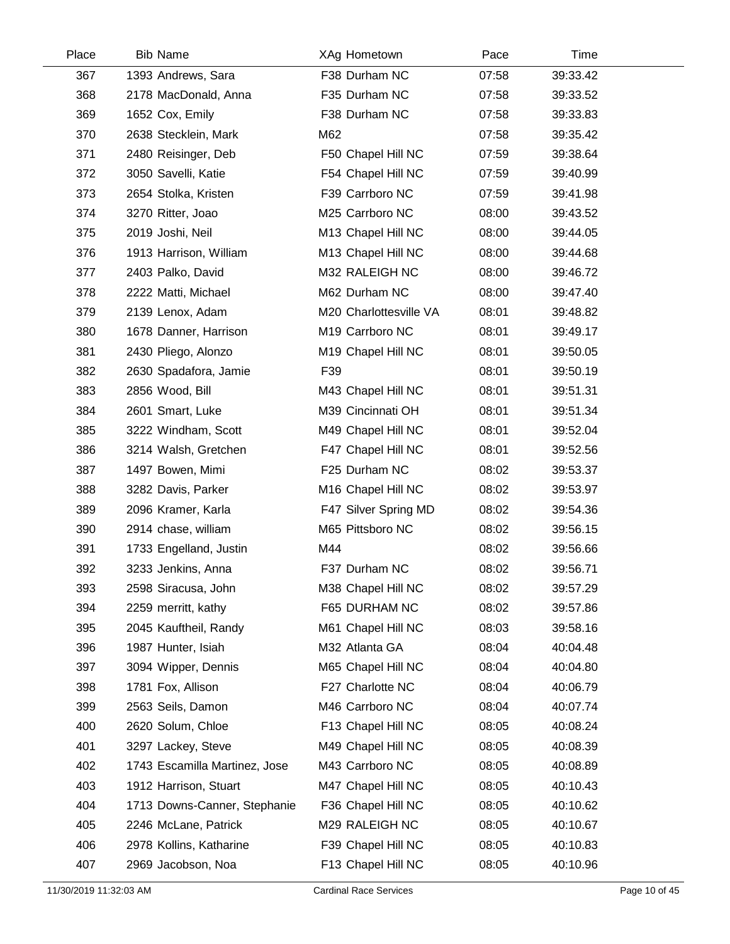| Place | <b>Bib Name</b>               | XAg Hometown                   | Pace  | Time     |  |
|-------|-------------------------------|--------------------------------|-------|----------|--|
| 367   | 1393 Andrews, Sara            | F38 Durham NC                  | 07:58 | 39:33.42 |  |
| 368   | 2178 MacDonald, Anna          | F35 Durham NC                  | 07:58 | 39:33.52 |  |
| 369   | 1652 Cox, Emily               | F38 Durham NC                  | 07:58 | 39:33.83 |  |
| 370   | 2638 Stecklein, Mark          | M62                            | 07:58 | 39:35.42 |  |
| 371   | 2480 Reisinger, Deb           | F50 Chapel Hill NC             | 07:59 | 39:38.64 |  |
| 372   | 3050 Savelli, Katie           | F54 Chapel Hill NC             | 07:59 | 39:40.99 |  |
| 373   | 2654 Stolka, Kristen          | F39 Carrboro NC                | 07:59 | 39:41.98 |  |
| 374   | 3270 Ritter, Joao             | M25 Carrboro NC                | 08:00 | 39:43.52 |  |
| 375   | 2019 Joshi, Neil              | M13 Chapel Hill NC             | 08:00 | 39:44.05 |  |
| 376   | 1913 Harrison, William        | M13 Chapel Hill NC             | 08:00 | 39:44.68 |  |
| 377   | 2403 Palko, David             | M32 RALEIGH NC                 | 08:00 | 39:46.72 |  |
| 378   | 2222 Matti, Michael           | M62 Durham NC                  | 08:00 | 39:47.40 |  |
| 379   | 2139 Lenox, Adam              | M20 Charlottesville VA         | 08:01 | 39:48.82 |  |
| 380   | 1678 Danner, Harrison         | M19 Carrboro NC                | 08:01 | 39:49.17 |  |
| 381   | 2430 Pliego, Alonzo           | M19 Chapel Hill NC             | 08:01 | 39:50.05 |  |
| 382   | 2630 Spadafora, Jamie         | F39                            | 08:01 | 39:50.19 |  |
| 383   | 2856 Wood, Bill               | M43 Chapel Hill NC             | 08:01 | 39:51.31 |  |
| 384   | 2601 Smart, Luke              | M39 Cincinnati OH              | 08:01 | 39:51.34 |  |
| 385   | 3222 Windham, Scott           | M49 Chapel Hill NC             | 08:01 | 39:52.04 |  |
| 386   | 3214 Walsh, Gretchen          | F47 Chapel Hill NC             | 08:01 | 39:52.56 |  |
| 387   | 1497 Bowen, Mimi              | F25 Durham NC                  | 08:02 | 39:53.37 |  |
| 388   | 3282 Davis, Parker            | M <sub>16</sub> Chapel Hill NC | 08:02 | 39:53.97 |  |
| 389   | 2096 Kramer, Karla            | F47 Silver Spring MD           | 08:02 | 39:54.36 |  |
| 390   | 2914 chase, william           | M65 Pittsboro NC               | 08:02 | 39:56.15 |  |
| 391   | 1733 Engelland, Justin        | M44                            | 08:02 | 39:56.66 |  |
| 392   | 3233 Jenkins, Anna            | F37 Durham NC                  | 08:02 | 39:56.71 |  |
| 393   | 2598 Siracusa, John           | M38 Chapel Hill NC             | 08:02 | 39:57.29 |  |
| 394   | 2259 merritt, kathy           | F65 DURHAM NC                  | 08:02 | 39:57.86 |  |
| 395   | 2045 Kauftheil, Randy         | M61 Chapel Hill NC             | 08:03 | 39:58.16 |  |
| 396   | 1987 Hunter, Isiah            | M32 Atlanta GA                 | 08:04 | 40:04.48 |  |
| 397   | 3094 Wipper, Dennis           | M65 Chapel Hill NC             | 08:04 | 40:04.80 |  |
| 398   | 1781 Fox, Allison             | F27 Charlotte NC               | 08:04 | 40:06.79 |  |
| 399   | 2563 Seils, Damon             | M46 Carrboro NC                | 08:04 | 40:07.74 |  |
| 400   | 2620 Solum, Chloe             | F13 Chapel Hill NC             | 08:05 | 40:08.24 |  |
| 401   | 3297 Lackey, Steve            | M49 Chapel Hill NC             | 08:05 | 40:08.39 |  |
| 402   | 1743 Escamilla Martinez, Jose | M43 Carrboro NC                | 08:05 | 40:08.89 |  |
| 403   | 1912 Harrison, Stuart         | M47 Chapel Hill NC             | 08:05 | 40:10.43 |  |
| 404   | 1713 Downs-Canner, Stephanie  | F36 Chapel Hill NC             | 08:05 | 40:10.62 |  |
| 405   | 2246 McLane, Patrick          | M29 RALEIGH NC                 | 08:05 | 40:10.67 |  |
| 406   | 2978 Kollins, Katharine       | F39 Chapel Hill NC             | 08:05 | 40:10.83 |  |
| 407   | 2969 Jacobson, Noa            | F13 Chapel Hill NC             | 08:05 | 40:10.96 |  |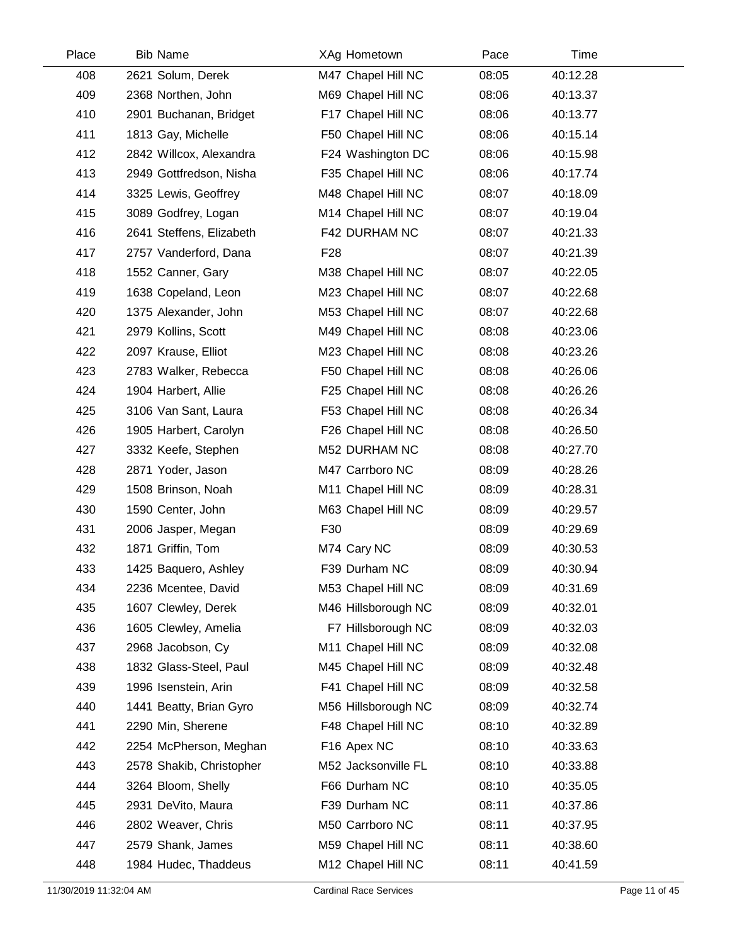| Place | <b>Bib Name</b>          | XAg Hometown        | Pace  | Time     |  |
|-------|--------------------------|---------------------|-------|----------|--|
| 408   | 2621 Solum, Derek        | M47 Chapel Hill NC  | 08:05 | 40:12.28 |  |
| 409   | 2368 Northen, John       | M69 Chapel Hill NC  | 08:06 | 40:13.37 |  |
| 410   | 2901 Buchanan, Bridget   | F17 Chapel Hill NC  | 08:06 | 40:13.77 |  |
| 411   | 1813 Gay, Michelle       | F50 Chapel Hill NC  | 08:06 | 40:15.14 |  |
| 412   | 2842 Willcox, Alexandra  | F24 Washington DC   | 08:06 | 40:15.98 |  |
| 413   | 2949 Gottfredson, Nisha  | F35 Chapel Hill NC  | 08:06 | 40:17.74 |  |
| 414   | 3325 Lewis, Geoffrey     | M48 Chapel Hill NC  | 08:07 | 40:18.09 |  |
| 415   | 3089 Godfrey, Logan      | M14 Chapel Hill NC  | 08:07 | 40:19.04 |  |
| 416   | 2641 Steffens, Elizabeth | F42 DURHAM NC       | 08:07 | 40:21.33 |  |
| 417   | 2757 Vanderford, Dana    | F <sub>28</sub>     | 08:07 | 40:21.39 |  |
| 418   | 1552 Canner, Gary        | M38 Chapel Hill NC  | 08:07 | 40:22.05 |  |
| 419   | 1638 Copeland, Leon      | M23 Chapel Hill NC  | 08:07 | 40:22.68 |  |
| 420   | 1375 Alexander, John     | M53 Chapel Hill NC  | 08:07 | 40:22.68 |  |
| 421   | 2979 Kollins, Scott      | M49 Chapel Hill NC  | 08:08 | 40:23.06 |  |
| 422   | 2097 Krause, Elliot      | M23 Chapel Hill NC  | 08:08 | 40:23.26 |  |
| 423   | 2783 Walker, Rebecca     | F50 Chapel Hill NC  | 08:08 | 40:26.06 |  |
| 424   | 1904 Harbert, Allie      | F25 Chapel Hill NC  | 08:08 | 40:26.26 |  |
| 425   | 3106 Van Sant, Laura     | F53 Chapel Hill NC  | 08:08 | 40:26.34 |  |
| 426   | 1905 Harbert, Carolyn    | F26 Chapel Hill NC  | 08:08 | 40:26.50 |  |
| 427   | 3332 Keefe, Stephen      | M52 DURHAM NC       | 08:08 | 40:27.70 |  |
| 428   | 2871 Yoder, Jason        | M47 Carrboro NC     | 08:09 | 40:28.26 |  |
| 429   | 1508 Brinson, Noah       | M11 Chapel Hill NC  | 08:09 | 40:28.31 |  |
| 430   | 1590 Center, John        | M63 Chapel Hill NC  | 08:09 | 40:29.57 |  |
| 431   | 2006 Jasper, Megan       | F30                 | 08:09 | 40:29.69 |  |
| 432   | 1871 Griffin, Tom        | M74 Cary NC         | 08:09 | 40:30.53 |  |
| 433   | 1425 Baquero, Ashley     | F39 Durham NC       | 08:09 | 40:30.94 |  |
| 434   | 2236 Mcentee, David      | M53 Chapel Hill NC  | 08:09 | 40:31.69 |  |
| 435   | 1607 Clewley, Derek      | M46 Hillsborough NC | 08:09 | 40:32.01 |  |
| 436   | 1605 Clewley, Amelia     | F7 Hillsborough NC  | 08:09 | 40:32.03 |  |
| 437   | 2968 Jacobson, Cy        | M11 Chapel Hill NC  | 08:09 | 40:32.08 |  |
| 438   | 1832 Glass-Steel, Paul   | M45 Chapel Hill NC  | 08:09 | 40:32.48 |  |
| 439   | 1996 Isenstein, Arin     | F41 Chapel Hill NC  | 08:09 | 40:32.58 |  |
| 440   | 1441 Beatty, Brian Gyro  | M56 Hillsborough NC | 08:09 | 40:32.74 |  |
| 441   | 2290 Min, Sherene        | F48 Chapel Hill NC  | 08:10 | 40:32.89 |  |
| 442   | 2254 McPherson, Meghan   | F16 Apex NC         | 08:10 | 40:33.63 |  |
| 443   | 2578 Shakib, Christopher | M52 Jacksonville FL | 08:10 | 40:33.88 |  |
| 444   | 3264 Bloom, Shelly       | F66 Durham NC       | 08:10 | 40:35.05 |  |
| 445   | 2931 DeVito, Maura       | F39 Durham NC       | 08:11 | 40:37.86 |  |
| 446   | 2802 Weaver, Chris       | M50 Carrboro NC     | 08:11 | 40:37.95 |  |
| 447   | 2579 Shank, James        | M59 Chapel Hill NC  | 08:11 | 40:38.60 |  |
| 448   | 1984 Hudec, Thaddeus     | M12 Chapel Hill NC  | 08:11 | 40:41.59 |  |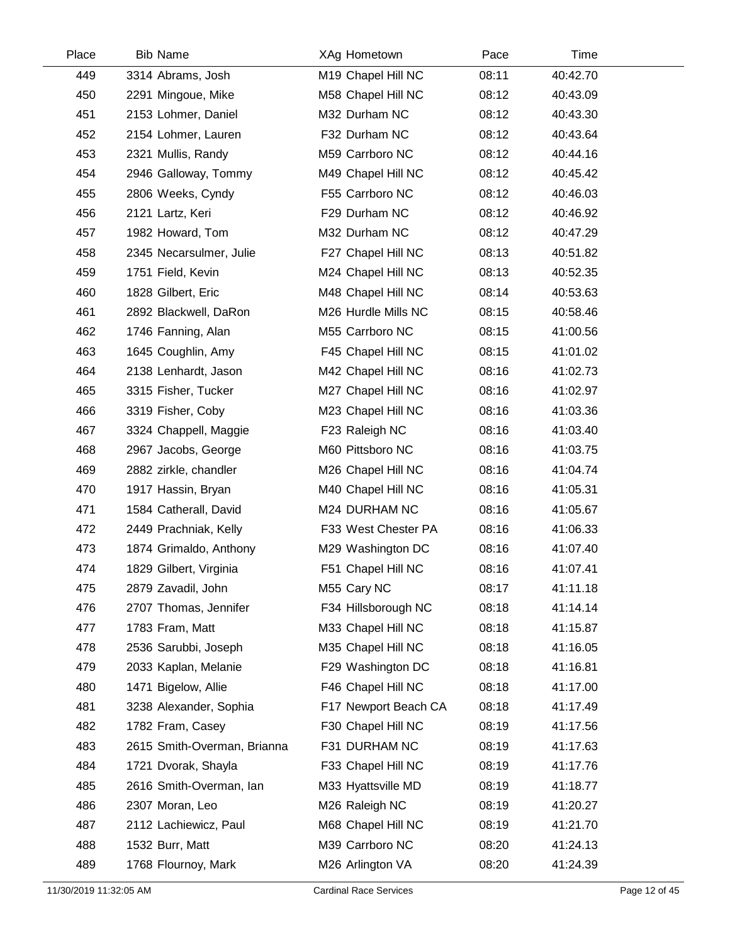| Place | <b>Bib Name</b>             | XAg Hometown         | Pace  | Time     |  |
|-------|-----------------------------|----------------------|-------|----------|--|
| 449   | 3314 Abrams, Josh           | M19 Chapel Hill NC   | 08:11 | 40:42.70 |  |
| 450   | 2291 Mingoue, Mike          | M58 Chapel Hill NC   | 08:12 | 40:43.09 |  |
| 451   | 2153 Lohmer, Daniel         | M32 Durham NC        | 08:12 | 40:43.30 |  |
| 452   | 2154 Lohmer, Lauren         | F32 Durham NC        | 08:12 | 40:43.64 |  |
| 453   | 2321 Mullis, Randy          | M59 Carrboro NC      | 08:12 | 40:44.16 |  |
| 454   | 2946 Galloway, Tommy        | M49 Chapel Hill NC   | 08:12 | 40:45.42 |  |
| 455   | 2806 Weeks, Cyndy           | F55 Carrboro NC      | 08:12 | 40:46.03 |  |
| 456   | 2121 Lartz, Keri            | F29 Durham NC        | 08:12 | 40:46.92 |  |
| 457   | 1982 Howard, Tom            | M32 Durham NC        | 08:12 | 40:47.29 |  |
| 458   | 2345 Necarsulmer, Julie     | F27 Chapel Hill NC   | 08:13 | 40:51.82 |  |
| 459   | 1751 Field, Kevin           | M24 Chapel Hill NC   | 08:13 | 40:52.35 |  |
| 460   | 1828 Gilbert, Eric          | M48 Chapel Hill NC   | 08:14 | 40:53.63 |  |
| 461   | 2892 Blackwell, DaRon       | M26 Hurdle Mills NC  | 08:15 | 40:58.46 |  |
| 462   | 1746 Fanning, Alan          | M55 Carrboro NC      | 08:15 | 41:00.56 |  |
| 463   | 1645 Coughlin, Amy          | F45 Chapel Hill NC   | 08:15 | 41:01.02 |  |
| 464   | 2138 Lenhardt, Jason        | M42 Chapel Hill NC   | 08:16 | 41:02.73 |  |
| 465   | 3315 Fisher, Tucker         | M27 Chapel Hill NC   | 08:16 | 41:02.97 |  |
| 466   | 3319 Fisher, Coby           | M23 Chapel Hill NC   | 08:16 | 41:03.36 |  |
| 467   | 3324 Chappell, Maggie       | F23 Raleigh NC       | 08:16 | 41:03.40 |  |
| 468   | 2967 Jacobs, George         | M60 Pittsboro NC     | 08:16 | 41:03.75 |  |
| 469   | 2882 zirkle, chandler       | M26 Chapel Hill NC   | 08:16 | 41:04.74 |  |
| 470   | 1917 Hassin, Bryan          | M40 Chapel Hill NC   | 08:16 | 41:05.31 |  |
| 471   | 1584 Catherall, David       | M24 DURHAM NC        | 08:16 | 41:05.67 |  |
| 472   | 2449 Prachniak, Kelly       | F33 West Chester PA  | 08:16 | 41:06.33 |  |
| 473   | 1874 Grimaldo, Anthony      | M29 Washington DC    | 08:16 | 41:07.40 |  |
| 474   | 1829 Gilbert, Virginia      | F51 Chapel Hill NC   | 08:16 | 41:07.41 |  |
| 475   | 2879 Zavadil, John          | M55 Cary NC          | 08:17 | 41:11.18 |  |
| 476   | 2707 Thomas, Jennifer       | F34 Hillsborough NC  | 08:18 | 41:14.14 |  |
| 477   | 1783 Fram, Matt             | M33 Chapel Hill NC   | 08:18 | 41:15.87 |  |
| 478   | 2536 Sarubbi, Joseph        | M35 Chapel Hill NC   | 08:18 | 41:16.05 |  |
| 479   | 2033 Kaplan, Melanie        | F29 Washington DC    | 08:18 | 41:16.81 |  |
| 480   | 1471 Bigelow, Allie         | F46 Chapel Hill NC   | 08:18 | 41:17.00 |  |
| 481   | 3238 Alexander, Sophia      | F17 Newport Beach CA | 08:18 | 41:17.49 |  |
| 482   | 1782 Fram, Casey            | F30 Chapel Hill NC   | 08:19 | 41:17.56 |  |
| 483   | 2615 Smith-Overman, Brianna | F31 DURHAM NC        | 08:19 | 41:17.63 |  |
| 484   | 1721 Dvorak, Shayla         | F33 Chapel Hill NC   | 08:19 | 41:17.76 |  |
| 485   | 2616 Smith-Overman, lan     | M33 Hyattsville MD   | 08:19 | 41:18.77 |  |
| 486   | 2307 Moran, Leo             | M26 Raleigh NC       | 08:19 | 41:20.27 |  |
| 487   | 2112 Lachiewicz, Paul       | M68 Chapel Hill NC   | 08:19 | 41:21.70 |  |
| 488   | 1532 Burr, Matt             | M39 Carrboro NC      | 08:20 | 41:24.13 |  |
| 489   | 1768 Flournoy, Mark         | M26 Arlington VA     | 08:20 | 41:24.39 |  |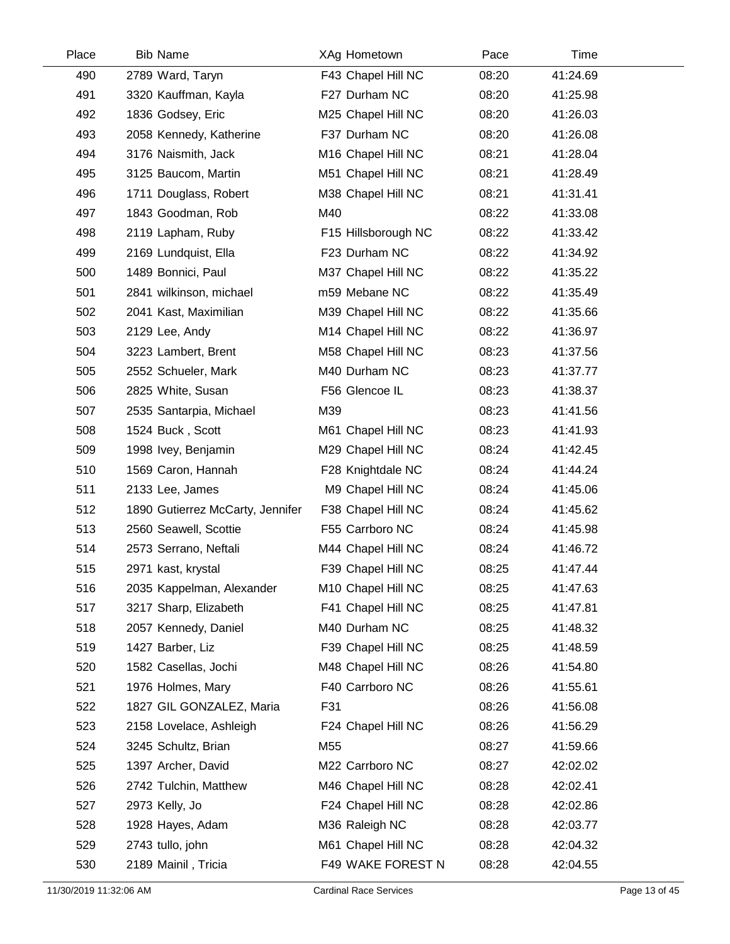| Place | <b>Bib Name</b>                  | XAg Hometown        | Pace  | Time     |  |
|-------|----------------------------------|---------------------|-------|----------|--|
| 490   | 2789 Ward, Taryn                 | F43 Chapel Hill NC  | 08:20 | 41:24.69 |  |
| 491   | 3320 Kauffman, Kayla             | F27 Durham NC       | 08:20 | 41:25.98 |  |
| 492   | 1836 Godsey, Eric                | M25 Chapel Hill NC  | 08:20 | 41:26.03 |  |
| 493   | 2058 Kennedy, Katherine          | F37 Durham NC       | 08:20 | 41:26.08 |  |
| 494   | 3176 Naismith, Jack              | M16 Chapel Hill NC  | 08:21 | 41:28.04 |  |
| 495   | 3125 Baucom, Martin              | M51 Chapel Hill NC  | 08:21 | 41:28.49 |  |
| 496   | 1711 Douglass, Robert            | M38 Chapel Hill NC  | 08:21 | 41:31.41 |  |
| 497   | 1843 Goodman, Rob                | M40                 | 08:22 | 41:33.08 |  |
| 498   | 2119 Lapham, Ruby                | F15 Hillsborough NC | 08:22 | 41:33.42 |  |
| 499   | 2169 Lundquist, Ella             | F23 Durham NC       | 08:22 | 41:34.92 |  |
| 500   | 1489 Bonnici, Paul               | M37 Chapel Hill NC  | 08:22 | 41:35.22 |  |
| 501   | 2841 wilkinson, michael          | m59 Mebane NC       | 08:22 | 41:35.49 |  |
| 502   | 2041 Kast, Maximilian            | M39 Chapel Hill NC  | 08:22 | 41:35.66 |  |
| 503   | 2129 Lee, Andy                   | M14 Chapel Hill NC  | 08:22 | 41:36.97 |  |
| 504   | 3223 Lambert, Brent              | M58 Chapel Hill NC  | 08:23 | 41:37.56 |  |
| 505   | 2552 Schueler, Mark              | M40 Durham NC       | 08:23 | 41:37.77 |  |
| 506   | 2825 White, Susan                | F56 Glencoe IL      | 08:23 | 41:38.37 |  |
| 507   | 2535 Santarpia, Michael          | M39                 | 08:23 | 41:41.56 |  |
| 508   | 1524 Buck, Scott                 | M61 Chapel Hill NC  | 08:23 | 41:41.93 |  |
| 509   | 1998 Ivey, Benjamin              | M29 Chapel Hill NC  | 08:24 | 41:42.45 |  |
| 510   | 1569 Caron, Hannah               | F28 Knightdale NC   | 08:24 | 41:44.24 |  |
| 511   | 2133 Lee, James                  | M9 Chapel Hill NC   | 08:24 | 41:45.06 |  |
| 512   | 1890 Gutierrez McCarty, Jennifer | F38 Chapel Hill NC  | 08:24 | 41:45.62 |  |
| 513   | 2560 Seawell, Scottie            | F55 Carrboro NC     | 08:24 | 41:45.98 |  |
| 514   | 2573 Serrano, Neftali            | M44 Chapel Hill NC  | 08:24 | 41:46.72 |  |
| 515   | 2971 kast, krystal               | F39 Chapel Hill NC  | 08:25 | 41:47.44 |  |
| 516   | 2035 Kappelman, Alexander        | M10 Chapel Hill NC  | 08:25 | 41:47.63 |  |
| 517   | 3217 Sharp, Elizabeth            | F41 Chapel Hill NC  | 08:25 | 41:47.81 |  |
| 518   | 2057 Kennedy, Daniel             | M40 Durham NC       | 08:25 | 41:48.32 |  |
| 519   | 1427 Barber, Liz                 | F39 Chapel Hill NC  | 08:25 | 41:48.59 |  |
| 520   | 1582 Casellas, Jochi             | M48 Chapel Hill NC  | 08:26 | 41:54.80 |  |
| 521   | 1976 Holmes, Mary                | F40 Carrboro NC     | 08:26 | 41:55.61 |  |
| 522   | 1827 GIL GONZALEZ, Maria         | F31                 | 08:26 | 41:56.08 |  |
| 523   | 2158 Lovelace, Ashleigh          | F24 Chapel Hill NC  | 08:26 | 41:56.29 |  |
| 524   | 3245 Schultz, Brian              | M <sub>55</sub>     | 08:27 | 41:59.66 |  |
| 525   | 1397 Archer, David               | M22 Carrboro NC     | 08:27 | 42:02.02 |  |
| 526   | 2742 Tulchin, Matthew            | M46 Chapel Hill NC  | 08:28 | 42:02.41 |  |
| 527   | 2973 Kelly, Jo                   | F24 Chapel Hill NC  | 08:28 | 42:02.86 |  |
| 528   | 1928 Hayes, Adam                 | M36 Raleigh NC      | 08:28 | 42:03.77 |  |
| 529   | 2743 tullo, john                 | M61 Chapel Hill NC  | 08:28 | 42:04.32 |  |
| 530   | 2189 Mainil, Tricia              | F49 WAKE FOREST N   | 08:28 | 42:04.55 |  |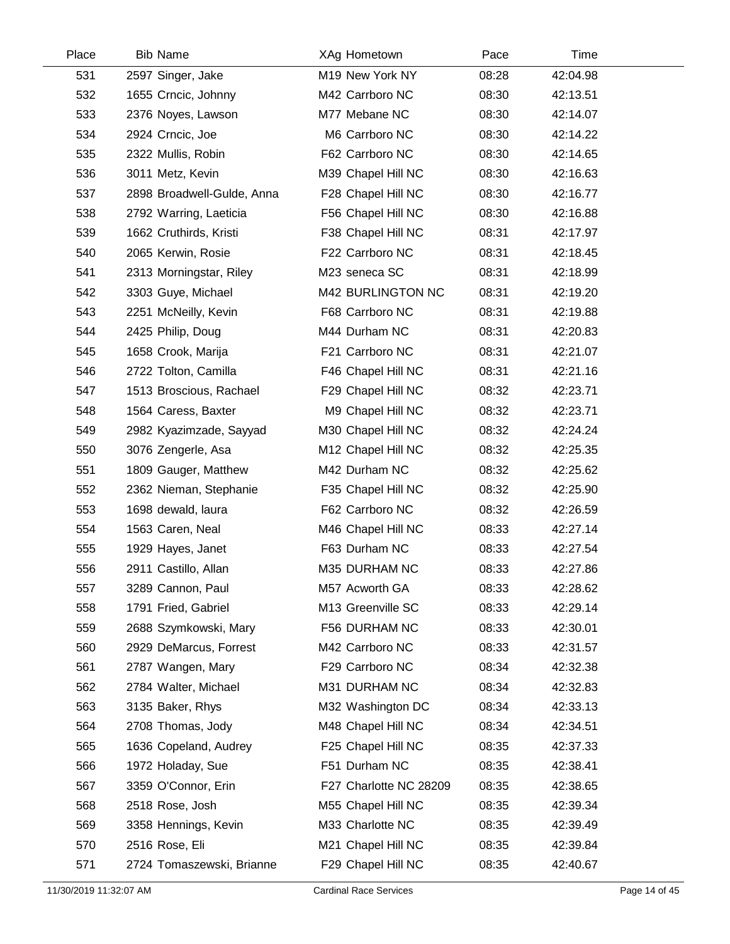| Place | <b>Bib Name</b>            | XAg Hometown           | Pace  | Time     |  |
|-------|----------------------------|------------------------|-------|----------|--|
| 531   | 2597 Singer, Jake          | M19 New York NY        | 08:28 | 42:04.98 |  |
| 532   | 1655 Crncic, Johnny        | M42 Carrboro NC        | 08:30 | 42:13.51 |  |
| 533   | 2376 Noyes, Lawson         | M77 Mebane NC          | 08:30 | 42:14.07 |  |
| 534   | 2924 Crncic, Joe           | M6 Carrboro NC         | 08:30 | 42:14.22 |  |
| 535   | 2322 Mullis, Robin         | F62 Carrboro NC        | 08:30 | 42:14.65 |  |
| 536   | 3011 Metz, Kevin           | M39 Chapel Hill NC     | 08:30 | 42:16.63 |  |
| 537   | 2898 Broadwell-Gulde, Anna | F28 Chapel Hill NC     | 08:30 | 42:16.77 |  |
| 538   | 2792 Warring, Laeticia     | F56 Chapel Hill NC     | 08:30 | 42:16.88 |  |
| 539   | 1662 Cruthirds, Kristi     | F38 Chapel Hill NC     | 08:31 | 42:17.97 |  |
| 540   | 2065 Kerwin, Rosie         | F22 Carrboro NC        | 08:31 | 42:18.45 |  |
| 541   | 2313 Morningstar, Riley    | M23 seneca SC          | 08:31 | 42:18.99 |  |
| 542   | 3303 Guye, Michael         | M42 BURLINGTON NC      | 08:31 | 42:19.20 |  |
| 543   | 2251 McNeilly, Kevin       | F68 Carrboro NC        | 08:31 | 42:19.88 |  |
| 544   | 2425 Philip, Doug          | M44 Durham NC          | 08:31 | 42:20.83 |  |
| 545   | 1658 Crook, Marija         | F21 Carrboro NC        | 08:31 | 42:21.07 |  |
| 546   | 2722 Tolton, Camilla       | F46 Chapel Hill NC     | 08:31 | 42:21.16 |  |
| 547   | 1513 Broscious, Rachael    | F29 Chapel Hill NC     | 08:32 | 42:23.71 |  |
| 548   | 1564 Caress, Baxter        | M9 Chapel Hill NC      | 08:32 | 42:23.71 |  |
| 549   | 2982 Kyazimzade, Sayyad    | M30 Chapel Hill NC     | 08:32 | 42:24.24 |  |
| 550   | 3076 Zengerle, Asa         | M12 Chapel Hill NC     | 08:32 | 42:25.35 |  |
| 551   | 1809 Gauger, Matthew       | M42 Durham NC          | 08:32 | 42:25.62 |  |
| 552   | 2362 Nieman, Stephanie     | F35 Chapel Hill NC     | 08:32 | 42:25.90 |  |
| 553   | 1698 dewald, laura         | F62 Carrboro NC        | 08:32 | 42:26.59 |  |
| 554   | 1563 Caren, Neal           | M46 Chapel Hill NC     | 08:33 | 42:27.14 |  |
| 555   | 1929 Hayes, Janet          | F63 Durham NC          | 08:33 | 42:27.54 |  |
| 556   | 2911 Castillo, Allan       | M35 DURHAM NC          | 08:33 | 42:27.86 |  |
| 557   | 3289 Cannon, Paul          | M57 Acworth GA         | 08:33 | 42:28.62 |  |
| 558   | 1791 Fried, Gabriel        | M13 Greenville SC      | 08:33 | 42:29.14 |  |
| 559   | 2688 Szymkowski, Mary      | F56 DURHAM NC          | 08:33 | 42:30.01 |  |
| 560   | 2929 DeMarcus, Forrest     | M42 Carrboro NC        | 08:33 | 42:31.57 |  |
| 561   | 2787 Wangen, Mary          | F29 Carrboro NC        | 08:34 | 42:32.38 |  |
| 562   | 2784 Walter, Michael       | M31 DURHAM NC          | 08:34 | 42:32.83 |  |
| 563   | 3135 Baker, Rhys           | M32 Washington DC      | 08:34 | 42:33.13 |  |
| 564   | 2708 Thomas, Jody          | M48 Chapel Hill NC     | 08:34 | 42:34.51 |  |
| 565   | 1636 Copeland, Audrey      | F25 Chapel Hill NC     | 08:35 | 42:37.33 |  |
| 566   | 1972 Holaday, Sue          | F51 Durham NC          | 08:35 | 42:38.41 |  |
| 567   | 3359 O'Connor, Erin        | F27 Charlotte NC 28209 | 08:35 | 42:38.65 |  |
| 568   | 2518 Rose, Josh            | M55 Chapel Hill NC     | 08:35 | 42:39.34 |  |
| 569   | 3358 Hennings, Kevin       | M33 Charlotte NC       | 08:35 | 42:39.49 |  |
| 570   | 2516 Rose, Eli             | M21 Chapel Hill NC     | 08:35 | 42:39.84 |  |
| 571   | 2724 Tomaszewski, Brianne  | F29 Chapel Hill NC     | 08:35 | 42:40.67 |  |
|       |                            |                        |       |          |  |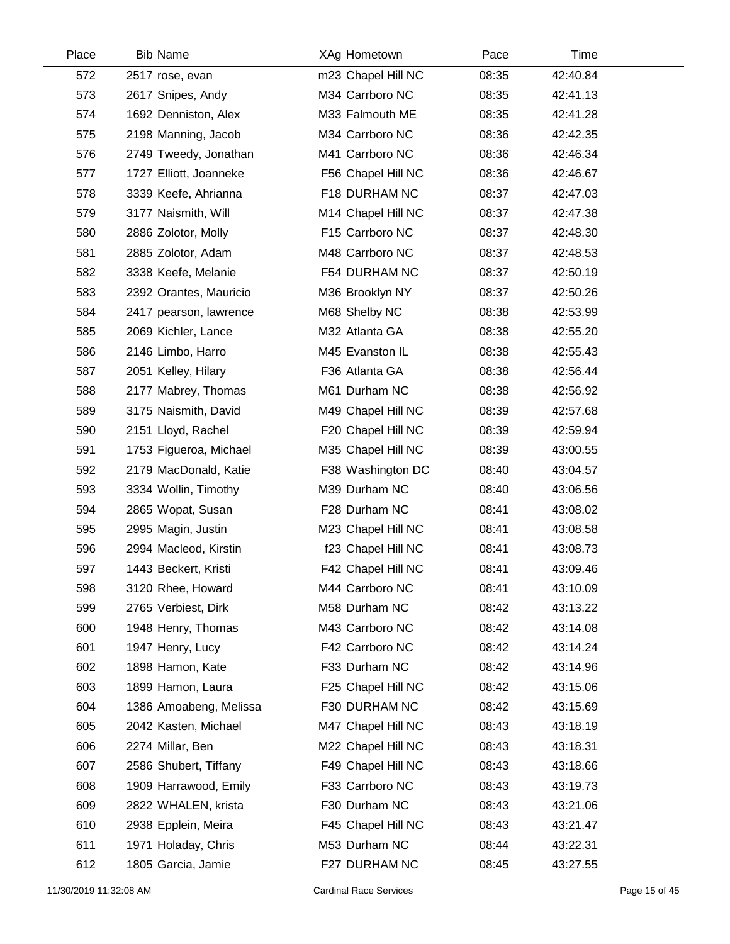| Place | <b>Bib Name</b>        | XAg Hometown       | Pace  | Time     |  |
|-------|------------------------|--------------------|-------|----------|--|
| 572   | 2517 rose, evan        | m23 Chapel Hill NC | 08:35 | 42:40.84 |  |
| 573   | 2617 Snipes, Andy      | M34 Carrboro NC    | 08:35 | 42:41.13 |  |
| 574   | 1692 Denniston, Alex   | M33 Falmouth ME    | 08:35 | 42:41.28 |  |
| 575   | 2198 Manning, Jacob    | M34 Carrboro NC    | 08:36 | 42:42.35 |  |
| 576   | 2749 Tweedy, Jonathan  | M41 Carrboro NC    | 08:36 | 42:46.34 |  |
| 577   | 1727 Elliott, Joanneke | F56 Chapel Hill NC | 08:36 | 42:46.67 |  |
| 578   | 3339 Keefe, Ahrianna   | F18 DURHAM NC      | 08:37 | 42:47.03 |  |
| 579   | 3177 Naismith, Will    | M14 Chapel Hill NC | 08:37 | 42:47.38 |  |
| 580   | 2886 Zolotor, Molly    | F15 Carrboro NC    | 08:37 | 42:48.30 |  |
| 581   | 2885 Zolotor, Adam     | M48 Carrboro NC    | 08:37 | 42:48.53 |  |
| 582   | 3338 Keefe, Melanie    | F54 DURHAM NC      | 08:37 | 42:50.19 |  |
| 583   | 2392 Orantes, Mauricio | M36 Brooklyn NY    | 08:37 | 42:50.26 |  |
| 584   | 2417 pearson, lawrence | M68 Shelby NC      | 08:38 | 42:53.99 |  |
| 585   | 2069 Kichler, Lance    | M32 Atlanta GA     | 08:38 | 42:55.20 |  |
| 586   | 2146 Limbo, Harro      | M45 Evanston IL    | 08:38 | 42:55.43 |  |
| 587   | 2051 Kelley, Hilary    | F36 Atlanta GA     | 08:38 | 42:56.44 |  |
| 588   | 2177 Mabrey, Thomas    | M61 Durham NC      | 08:38 | 42:56.92 |  |
| 589   | 3175 Naismith, David   | M49 Chapel Hill NC | 08:39 | 42:57.68 |  |
| 590   | 2151 Lloyd, Rachel     | F20 Chapel Hill NC | 08:39 | 42:59.94 |  |
| 591   | 1753 Figueroa, Michael | M35 Chapel Hill NC | 08:39 | 43:00.55 |  |
| 592   | 2179 MacDonald, Katie  | F38 Washington DC  | 08:40 | 43:04.57 |  |
| 593   | 3334 Wollin, Timothy   | M39 Durham NC      | 08:40 | 43:06.56 |  |
| 594   | 2865 Wopat, Susan      | F28 Durham NC      | 08:41 | 43:08.02 |  |
| 595   | 2995 Magin, Justin     | M23 Chapel Hill NC | 08:41 | 43:08.58 |  |
| 596   | 2994 Macleod, Kirstin  | f23 Chapel Hill NC | 08:41 | 43:08.73 |  |
| 597   | 1443 Beckert, Kristi   | F42 Chapel Hill NC | 08:41 | 43:09.46 |  |
| 598   | 3120 Rhee, Howard      | M44 Carrboro NC    | 08:41 | 43:10.09 |  |
| 599   | 2765 Verbiest, Dirk    | M58 Durham NC      | 08:42 | 43:13.22 |  |
| 600   | 1948 Henry, Thomas     | M43 Carrboro NC    | 08:42 | 43:14.08 |  |
| 601   | 1947 Henry, Lucy       | F42 Carrboro NC    | 08:42 | 43:14.24 |  |
| 602   | 1898 Hamon, Kate       | F33 Durham NC      | 08:42 | 43:14.96 |  |
| 603   | 1899 Hamon, Laura      | F25 Chapel Hill NC | 08:42 | 43:15.06 |  |
| 604   | 1386 Amoabeng, Melissa | F30 DURHAM NC      | 08:42 | 43:15.69 |  |
| 605   | 2042 Kasten, Michael   | M47 Chapel Hill NC | 08:43 | 43:18.19 |  |
| 606   | 2274 Millar, Ben       | M22 Chapel Hill NC | 08:43 | 43:18.31 |  |
| 607   | 2586 Shubert, Tiffany  | F49 Chapel Hill NC | 08:43 | 43:18.66 |  |
| 608   | 1909 Harrawood, Emily  | F33 Carrboro NC    | 08:43 | 43:19.73 |  |
| 609   | 2822 WHALEN, krista    | F30 Durham NC      | 08:43 | 43:21.06 |  |
| 610   | 2938 Epplein, Meira    | F45 Chapel Hill NC | 08:43 | 43:21.47 |  |
| 611   | 1971 Holaday, Chris    | M53 Durham NC      | 08:44 | 43:22.31 |  |
| 612   | 1805 Garcia, Jamie     | F27 DURHAM NC      | 08:45 | 43:27.55 |  |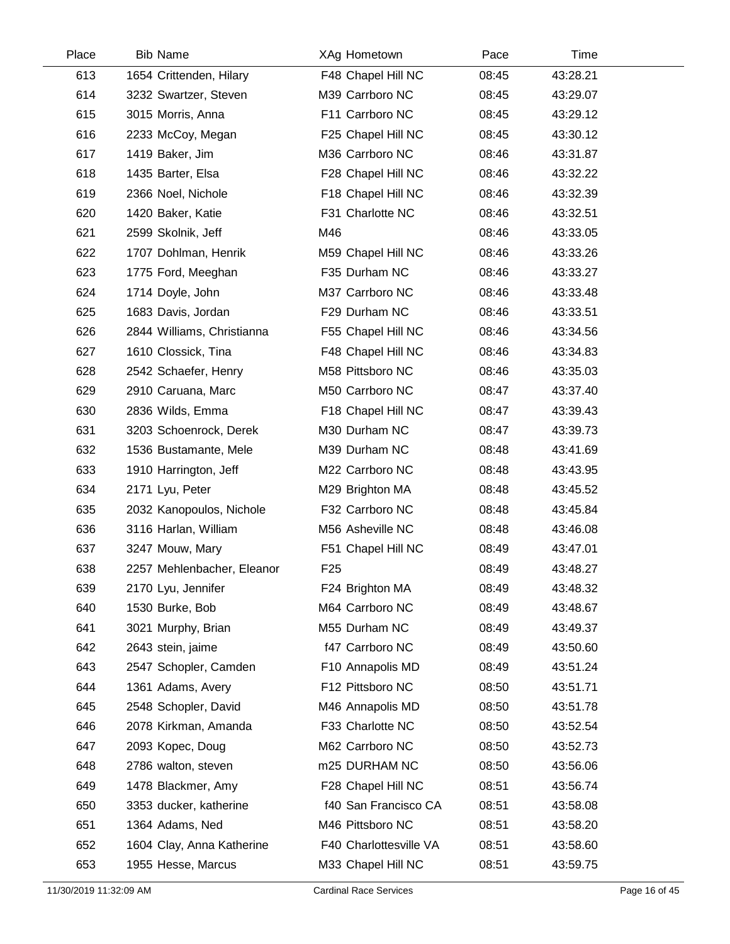| Place | <b>Bib Name</b>            | XAg Hometown           | Pace  | Time     |  |
|-------|----------------------------|------------------------|-------|----------|--|
| 613   | 1654 Crittenden, Hilary    | F48 Chapel Hill NC     | 08:45 | 43:28.21 |  |
| 614   | 3232 Swartzer, Steven      | M39 Carrboro NC        | 08:45 | 43:29.07 |  |
| 615   | 3015 Morris, Anna          | F11 Carrboro NC        | 08:45 | 43:29.12 |  |
| 616   | 2233 McCoy, Megan          | F25 Chapel Hill NC     | 08:45 | 43:30.12 |  |
| 617   | 1419 Baker, Jim            | M36 Carrboro NC        | 08:46 | 43:31.87 |  |
| 618   | 1435 Barter, Elsa          | F28 Chapel Hill NC     | 08:46 | 43:32.22 |  |
| 619   | 2366 Noel, Nichole         | F18 Chapel Hill NC     | 08:46 | 43:32.39 |  |
| 620   | 1420 Baker, Katie          | F31 Charlotte NC       | 08:46 | 43:32.51 |  |
| 621   | 2599 Skolnik, Jeff         | M46                    | 08:46 | 43:33.05 |  |
| 622   | 1707 Dohlman, Henrik       | M59 Chapel Hill NC     | 08:46 | 43:33.26 |  |
| 623   | 1775 Ford, Meeghan         | F35 Durham NC          | 08:46 | 43:33.27 |  |
| 624   | 1714 Doyle, John           | M37 Carrboro NC        | 08:46 | 43:33.48 |  |
| 625   | 1683 Davis, Jordan         | F29 Durham NC          | 08:46 | 43:33.51 |  |
| 626   | 2844 Williams, Christianna | F55 Chapel Hill NC     | 08:46 | 43:34.56 |  |
| 627   | 1610 Clossick, Tina        | F48 Chapel Hill NC     | 08:46 | 43:34.83 |  |
| 628   | 2542 Schaefer, Henry       | M58 Pittsboro NC       | 08:46 | 43:35.03 |  |
| 629   | 2910 Caruana, Marc         | M50 Carrboro NC        | 08:47 | 43:37.40 |  |
| 630   | 2836 Wilds, Emma           | F18 Chapel Hill NC     | 08:47 | 43:39.43 |  |
| 631   | 3203 Schoenrock, Derek     | M30 Durham NC          | 08:47 | 43:39.73 |  |
| 632   | 1536 Bustamante, Mele      | M39 Durham NC          | 08:48 | 43:41.69 |  |
| 633   | 1910 Harrington, Jeff      | M22 Carrboro NC        | 08:48 | 43:43.95 |  |
| 634   | 2171 Lyu, Peter            | M29 Brighton MA        | 08:48 | 43:45.52 |  |
| 635   | 2032 Kanopoulos, Nichole   | F32 Carrboro NC        | 08:48 | 43:45.84 |  |
| 636   | 3116 Harlan, William       | M56 Asheville NC       | 08:48 | 43:46.08 |  |
| 637   | 3247 Mouw, Mary            | F51 Chapel Hill NC     | 08:49 | 43:47.01 |  |
| 638   | 2257 Mehlenbacher, Eleanor | F <sub>25</sub>        | 08:49 | 43:48.27 |  |
| 639   | 2170 Lyu, Jennifer         | F24 Brighton MA        | 08:49 | 43:48.32 |  |
| 640   | 1530 Burke, Bob            | M64 Carrboro NC        | 08:49 | 43:48.67 |  |
| 641   | 3021 Murphy, Brian         | M55 Durham NC          | 08:49 | 43:49.37 |  |
| 642   | 2643 stein, jaime          | f47 Carrboro NC        | 08:49 | 43:50.60 |  |
| 643   | 2547 Schopler, Camden      | F10 Annapolis MD       | 08:49 | 43:51.24 |  |
| 644   | 1361 Adams, Avery          | F12 Pittsboro NC       | 08:50 | 43:51.71 |  |
| 645   | 2548 Schopler, David       | M46 Annapolis MD       | 08:50 | 43:51.78 |  |
| 646   | 2078 Kirkman, Amanda       | F33 Charlotte NC       | 08:50 | 43:52.54 |  |
| 647   | 2093 Kopec, Doug           | M62 Carrboro NC        | 08:50 | 43:52.73 |  |
| 648   | 2786 walton, steven        | m25 DURHAM NC          | 08:50 | 43:56.06 |  |
| 649   | 1478 Blackmer, Amy         | F28 Chapel Hill NC     | 08:51 | 43:56.74 |  |
| 650   | 3353 ducker, katherine     | f40 San Francisco CA   | 08:51 | 43:58.08 |  |
| 651   | 1364 Adams, Ned            | M46 Pittsboro NC       | 08:51 | 43:58.20 |  |
| 652   | 1604 Clay, Anna Katherine  | F40 Charlottesville VA | 08:51 | 43:58.60 |  |
| 653   | 1955 Hesse, Marcus         | M33 Chapel Hill NC     | 08:51 | 43:59.75 |  |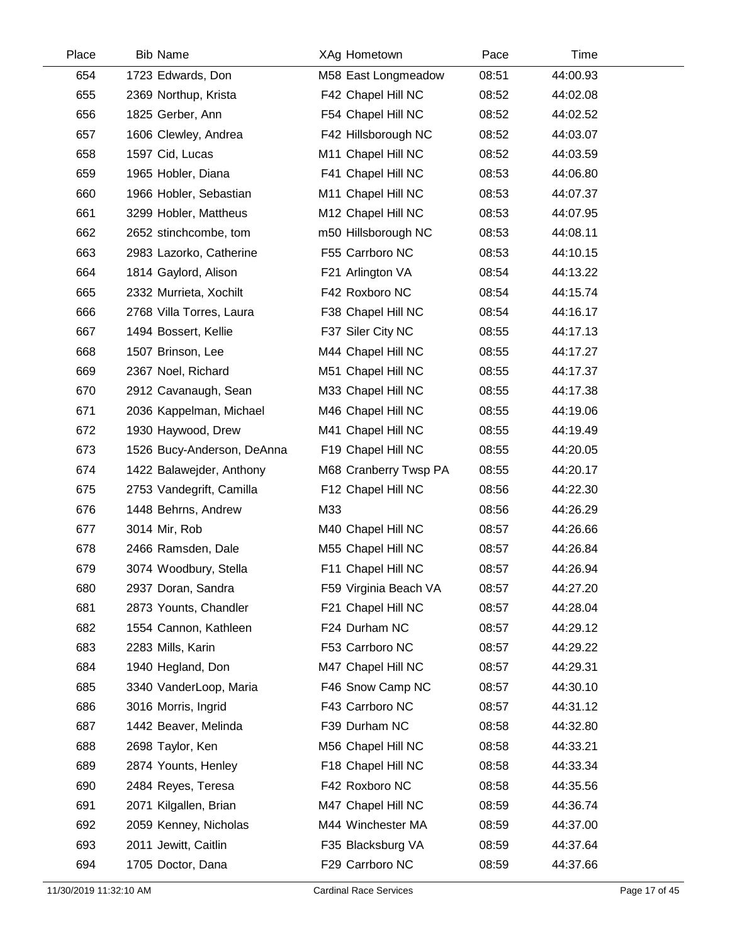| Place | <b>Bib Name</b>            | XAg Hometown          | Pace  | Time     |  |
|-------|----------------------------|-----------------------|-------|----------|--|
| 654   | 1723 Edwards, Don          | M58 East Longmeadow   | 08:51 | 44:00.93 |  |
| 655   | 2369 Northup, Krista       | F42 Chapel Hill NC    | 08:52 | 44:02.08 |  |
| 656   | 1825 Gerber, Ann           | F54 Chapel Hill NC    | 08:52 | 44:02.52 |  |
| 657   | 1606 Clewley, Andrea       | F42 Hillsborough NC   | 08:52 | 44:03.07 |  |
| 658   | 1597 Cid, Lucas            | M11 Chapel Hill NC    | 08:52 | 44:03.59 |  |
| 659   | 1965 Hobler, Diana         | F41 Chapel Hill NC    | 08:53 | 44:06.80 |  |
| 660   | 1966 Hobler, Sebastian     | M11 Chapel Hill NC    | 08:53 | 44:07.37 |  |
| 661   | 3299 Hobler, Mattheus      | M12 Chapel Hill NC    | 08:53 | 44:07.95 |  |
| 662   | 2652 stinchcombe, tom      | m50 Hillsborough NC   | 08:53 | 44:08.11 |  |
| 663   | 2983 Lazorko, Catherine    | F55 Carrboro NC       | 08:53 | 44:10.15 |  |
| 664   | 1814 Gaylord, Alison       | F21 Arlington VA      | 08:54 | 44:13.22 |  |
| 665   | 2332 Murrieta, Xochilt     | F42 Roxboro NC        | 08:54 | 44:15.74 |  |
| 666   | 2768 Villa Torres, Laura   | F38 Chapel Hill NC    | 08:54 | 44:16.17 |  |
| 667   | 1494 Bossert, Kellie       | F37 Siler City NC     | 08:55 | 44:17.13 |  |
| 668   | 1507 Brinson, Lee          | M44 Chapel Hill NC    | 08:55 | 44:17.27 |  |
| 669   | 2367 Noel, Richard         | M51 Chapel Hill NC    | 08:55 | 44:17.37 |  |
| 670   | 2912 Cavanaugh, Sean       | M33 Chapel Hill NC    | 08:55 | 44:17.38 |  |
| 671   | 2036 Kappelman, Michael    | M46 Chapel Hill NC    | 08:55 | 44:19.06 |  |
| 672   | 1930 Haywood, Drew         | M41 Chapel Hill NC    | 08:55 | 44:19.49 |  |
| 673   | 1526 Bucy-Anderson, DeAnna | F19 Chapel Hill NC    | 08:55 | 44:20.05 |  |
| 674   | 1422 Balawejder, Anthony   | M68 Cranberry Twsp PA | 08:55 | 44:20.17 |  |
| 675   | 2753 Vandegrift, Camilla   | F12 Chapel Hill NC    | 08:56 | 44:22.30 |  |
| 676   | 1448 Behrns, Andrew        | M33                   | 08:56 | 44:26.29 |  |
| 677   | 3014 Mir, Rob              | M40 Chapel Hill NC    | 08:57 | 44:26.66 |  |
| 678   | 2466 Ramsden, Dale         | M55 Chapel Hill NC    | 08:57 | 44:26.84 |  |
| 679   | 3074 Woodbury, Stella      | F11 Chapel Hill NC    | 08:57 | 44:26.94 |  |
| 680   | 2937 Doran, Sandra         | F59 Virginia Beach VA | 08:57 | 44:27.20 |  |
| 681   | 2873 Younts, Chandler      | F21 Chapel Hill NC    | 08:57 | 44:28.04 |  |
| 682   | 1554 Cannon, Kathleen      | F24 Durham NC         | 08:57 | 44:29.12 |  |
| 683   | 2283 Mills, Karin          | F53 Carrboro NC       | 08:57 | 44:29.22 |  |
| 684   | 1940 Hegland, Don          | M47 Chapel Hill NC    | 08:57 | 44:29.31 |  |
| 685   | 3340 VanderLoop, Maria     | F46 Snow Camp NC      | 08:57 | 44:30.10 |  |
| 686   | 3016 Morris, Ingrid        | F43 Carrboro NC       | 08:57 | 44:31.12 |  |
| 687   | 1442 Beaver, Melinda       | F39 Durham NC         | 08:58 | 44:32.80 |  |
| 688   | 2698 Taylor, Ken           | M56 Chapel Hill NC    | 08:58 | 44:33.21 |  |
| 689   | 2874 Younts, Henley        | F18 Chapel Hill NC    | 08:58 | 44:33.34 |  |
| 690   | 2484 Reyes, Teresa         | F42 Roxboro NC        | 08:58 | 44:35.56 |  |
| 691   | 2071 Kilgallen, Brian      | M47 Chapel Hill NC    | 08:59 | 44:36.74 |  |
| 692   | 2059 Kenney, Nicholas      | M44 Winchester MA     | 08:59 | 44:37.00 |  |
| 693   | 2011 Jewitt, Caitlin       | F35 Blacksburg VA     | 08:59 | 44:37.64 |  |
| 694   | 1705 Doctor, Dana          | F29 Carrboro NC       | 08:59 | 44:37.66 |  |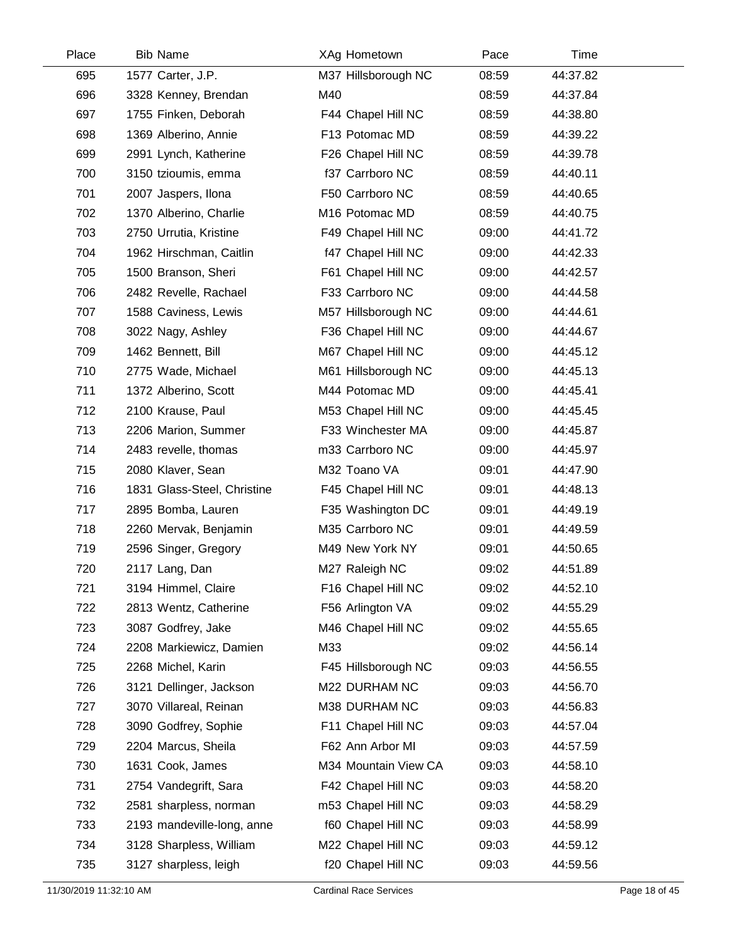| Place | <b>Bib Name</b>             | XAg Hometown         | Pace  | Time     |  |
|-------|-----------------------------|----------------------|-------|----------|--|
| 695   | 1577 Carter, J.P.           | M37 Hillsborough NC  | 08:59 | 44:37.82 |  |
| 696   | 3328 Kenney, Brendan        | M40                  | 08:59 | 44:37.84 |  |
| 697   | 1755 Finken, Deborah        | F44 Chapel Hill NC   | 08:59 | 44:38.80 |  |
| 698   | 1369 Alberino, Annie        | F13 Potomac MD       | 08:59 | 44:39.22 |  |
| 699   | 2991 Lynch, Katherine       | F26 Chapel Hill NC   | 08:59 | 44:39.78 |  |
| 700   | 3150 tzioumis, emma         | f37 Carrboro NC      | 08:59 | 44:40.11 |  |
| 701   | 2007 Jaspers, Ilona         | F50 Carrboro NC      | 08:59 | 44:40.65 |  |
| 702   | 1370 Alberino, Charlie      | M16 Potomac MD       | 08:59 | 44:40.75 |  |
| 703   | 2750 Urrutia, Kristine      | F49 Chapel Hill NC   | 09:00 | 44:41.72 |  |
| 704   | 1962 Hirschman, Caitlin     | f47 Chapel Hill NC   | 09:00 | 44:42.33 |  |
| 705   | 1500 Branson, Sheri         | F61 Chapel Hill NC   | 09:00 | 44:42.57 |  |
| 706   | 2482 Revelle, Rachael       | F33 Carrboro NC      | 09:00 | 44:44.58 |  |
| 707   | 1588 Caviness, Lewis        | M57 Hillsborough NC  | 09:00 | 44:44.61 |  |
| 708   | 3022 Nagy, Ashley           | F36 Chapel Hill NC   | 09:00 | 44:44.67 |  |
| 709   | 1462 Bennett, Bill          | M67 Chapel Hill NC   | 09:00 | 44:45.12 |  |
| 710   | 2775 Wade, Michael          | M61 Hillsborough NC  | 09:00 | 44:45.13 |  |
| 711   | 1372 Alberino, Scott        | M44 Potomac MD       | 09:00 | 44:45.41 |  |
| 712   | 2100 Krause, Paul           | M53 Chapel Hill NC   | 09:00 | 44:45.45 |  |
| 713   | 2206 Marion, Summer         | F33 Winchester MA    | 09:00 | 44:45.87 |  |
| 714   | 2483 revelle, thomas        | m33 Carrboro NC      | 09:00 | 44:45.97 |  |
| 715   | 2080 Klaver, Sean           | M32 Toano VA         | 09:01 | 44:47.90 |  |
| 716   | 1831 Glass-Steel, Christine | F45 Chapel Hill NC   | 09:01 | 44:48.13 |  |
| 717   | 2895 Bomba, Lauren          | F35 Washington DC    | 09:01 | 44:49.19 |  |
| 718   | 2260 Mervak, Benjamin       | M35 Carrboro NC      | 09:01 | 44:49.59 |  |
| 719   | 2596 Singer, Gregory        | M49 New York NY      | 09:01 | 44:50.65 |  |
| 720   | 2117 Lang, Dan              | M27 Raleigh NC       | 09:02 | 44:51.89 |  |
| 721   | 3194 Himmel, Claire         | F16 Chapel Hill NC   | 09:02 | 44:52.10 |  |
| 722   | 2813 Wentz, Catherine       | F56 Arlington VA     | 09:02 | 44:55.29 |  |
| 723   | 3087 Godfrey, Jake          | M46 Chapel Hill NC   | 09:02 | 44:55.65 |  |
| 724   | 2208 Markiewicz, Damien     | M33                  | 09:02 | 44:56.14 |  |
| 725   | 2268 Michel, Karin          | F45 Hillsborough NC  | 09:03 | 44:56.55 |  |
| 726   | 3121 Dellinger, Jackson     | M22 DURHAM NC        | 09:03 | 44:56.70 |  |
| 727   | 3070 Villareal, Reinan      | M38 DURHAM NC        | 09:03 | 44:56.83 |  |
| 728   | 3090 Godfrey, Sophie        | F11 Chapel Hill NC   | 09:03 | 44:57.04 |  |
| 729   | 2204 Marcus, Sheila         | F62 Ann Arbor MI     | 09:03 | 44:57.59 |  |
| 730   | 1631 Cook, James            | M34 Mountain View CA | 09:03 | 44:58.10 |  |
| 731   | 2754 Vandegrift, Sara       | F42 Chapel Hill NC   | 09:03 | 44:58.20 |  |
| 732   | 2581 sharpless, norman      | m53 Chapel Hill NC   | 09:03 | 44:58.29 |  |
| 733   | 2193 mandeville-long, anne  | f60 Chapel Hill NC   | 09:03 | 44:58.99 |  |
| 734   | 3128 Sharpless, William     | M22 Chapel Hill NC   | 09:03 | 44:59.12 |  |
| 735   | 3127 sharpless, leigh       | f20 Chapel Hill NC   | 09:03 | 44:59.56 |  |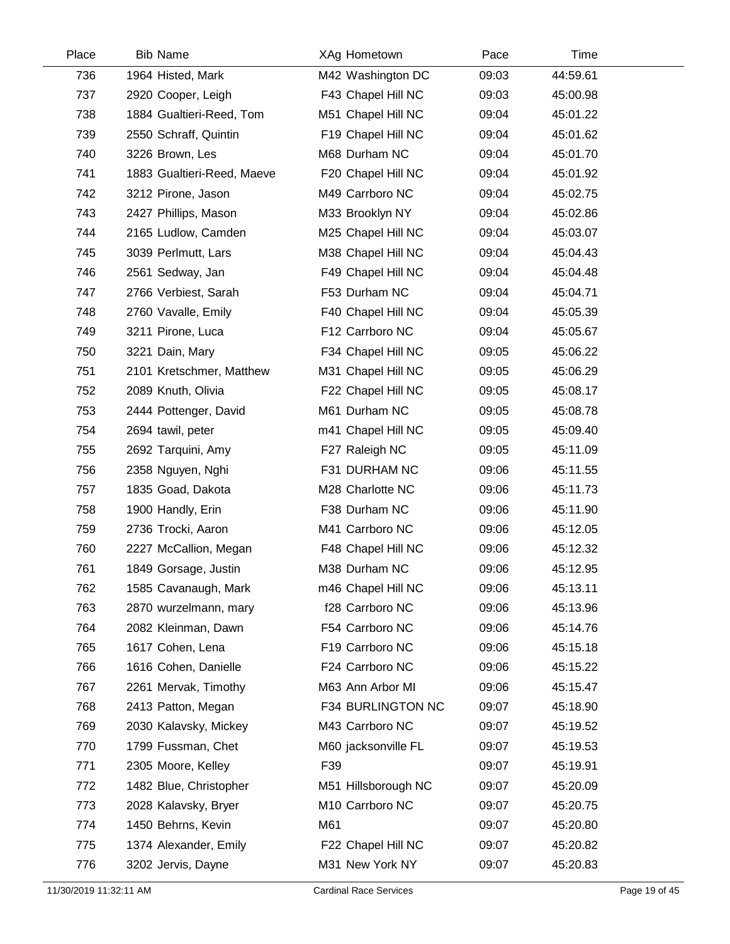| Place | <b>Bib Name</b>            | XAg Hometown        | Pace  | Time     |  |
|-------|----------------------------|---------------------|-------|----------|--|
| 736   | 1964 Histed, Mark          | M42 Washington DC   | 09:03 | 44:59.61 |  |
| 737   | 2920 Cooper, Leigh         | F43 Chapel Hill NC  | 09:03 | 45:00.98 |  |
| 738   | 1884 Gualtieri-Reed, Tom   | M51 Chapel Hill NC  | 09:04 | 45:01.22 |  |
| 739   | 2550 Schraff, Quintin      | F19 Chapel Hill NC  | 09:04 | 45:01.62 |  |
| 740   | 3226 Brown, Les            | M68 Durham NC       | 09:04 | 45:01.70 |  |
| 741   | 1883 Gualtieri-Reed, Maeve | F20 Chapel Hill NC  | 09:04 | 45:01.92 |  |
| 742   | 3212 Pirone, Jason         | M49 Carrboro NC     | 09:04 | 45:02.75 |  |
| 743   | 2427 Phillips, Mason       | M33 Brooklyn NY     | 09:04 | 45:02.86 |  |
| 744   | 2165 Ludlow, Camden        | M25 Chapel Hill NC  | 09:04 | 45:03.07 |  |
| 745   | 3039 Perlmutt, Lars        | M38 Chapel Hill NC  | 09:04 | 45:04.43 |  |
| 746   | 2561 Sedway, Jan           | F49 Chapel Hill NC  | 09:04 | 45:04.48 |  |
| 747   | 2766 Verbiest, Sarah       | F53 Durham NC       | 09:04 | 45:04.71 |  |
| 748   | 2760 Vavalle, Emily        | F40 Chapel Hill NC  | 09:04 | 45:05.39 |  |
| 749   | 3211 Pirone, Luca          | F12 Carrboro NC     | 09:04 | 45:05.67 |  |
| 750   | 3221 Dain, Mary            | F34 Chapel Hill NC  | 09:05 | 45:06.22 |  |
| 751   | 2101 Kretschmer, Matthew   | M31 Chapel Hill NC  | 09:05 | 45:06.29 |  |
| 752   | 2089 Knuth, Olivia         | F22 Chapel Hill NC  | 09:05 | 45:08.17 |  |
| 753   | 2444 Pottenger, David      | M61 Durham NC       | 09:05 | 45:08.78 |  |
| 754   | 2694 tawil, peter          | m41 Chapel Hill NC  | 09:05 | 45:09.40 |  |
| 755   | 2692 Tarquini, Amy         | F27 Raleigh NC      | 09:05 | 45:11.09 |  |
| 756   | 2358 Nguyen, Nghi          | F31 DURHAM NC       | 09:06 | 45:11.55 |  |
| 757   | 1835 Goad, Dakota          | M28 Charlotte NC    | 09:06 | 45:11.73 |  |
| 758   | 1900 Handly, Erin          | F38 Durham NC       | 09:06 | 45:11.90 |  |
| 759   | 2736 Trocki, Aaron         | M41 Carrboro NC     | 09:06 | 45:12.05 |  |
| 760   | 2227 McCallion, Megan      | F48 Chapel Hill NC  | 09:06 | 45:12.32 |  |
| 761   | 1849 Gorsage, Justin       | M38 Durham NC       | 09:06 | 45:12.95 |  |
| 762   | 1585 Cavanaugh, Mark       | m46 Chapel Hill NC  | 09:06 | 45:13.11 |  |
| 763   | 2870 wurzelmann, mary      | f28 Carrboro NC     | 09:06 | 45:13.96 |  |
| 764   | 2082 Kleinman, Dawn        | F54 Carrboro NC     | 09:06 | 45:14.76 |  |
| 765   | 1617 Cohen, Lena           | F19 Carrboro NC     | 09:06 | 45:15.18 |  |
| 766   | 1616 Cohen, Danielle       | F24 Carrboro NC     | 09:06 | 45:15.22 |  |
| 767   | 2261 Mervak, Timothy       | M63 Ann Arbor MI    | 09:06 | 45:15.47 |  |
| 768   | 2413 Patton, Megan         | F34 BURLINGTON NC   | 09:07 | 45:18.90 |  |
| 769   | 2030 Kalavsky, Mickey      | M43 Carrboro NC     | 09:07 | 45:19.52 |  |
| 770   | 1799 Fussman, Chet         | M60 jacksonville FL | 09:07 | 45:19.53 |  |
| 771   | 2305 Moore, Kelley         | F39                 | 09:07 | 45:19.91 |  |
| 772   | 1482 Blue, Christopher     | M51 Hillsborough NC | 09:07 | 45:20.09 |  |
| 773   | 2028 Kalavsky, Bryer       | M10 Carrboro NC     | 09:07 | 45:20.75 |  |
| 774   | 1450 Behrns, Kevin         | M61                 | 09:07 | 45:20.80 |  |
| 775   | 1374 Alexander, Emily      | F22 Chapel Hill NC  | 09:07 | 45:20.82 |  |
| 776   | 3202 Jervis, Dayne         | M31 New York NY     | 09:07 | 45:20.83 |  |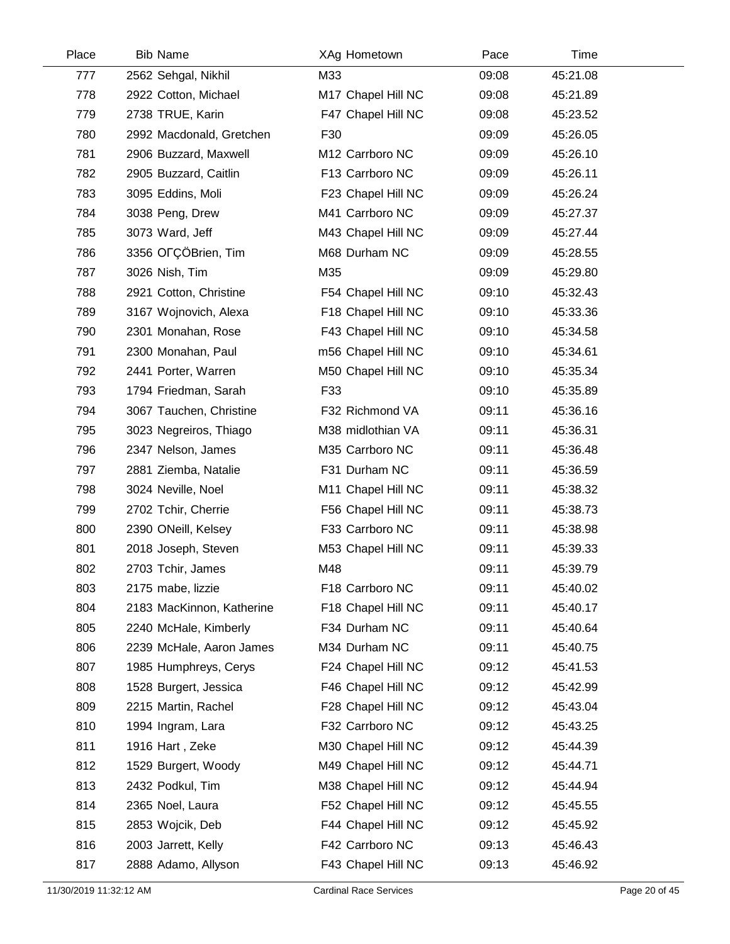| Place | <b>Bib Name</b>           | XAg Hometown       | Pace  | Time     |  |
|-------|---------------------------|--------------------|-------|----------|--|
| 777   | 2562 Sehgal, Nikhil       | M33                | 09:08 | 45:21.08 |  |
| 778   | 2922 Cotton, Michael      | M17 Chapel Hill NC | 09:08 | 45:21.89 |  |
| 779   | 2738 TRUE, Karin          | F47 Chapel Hill NC | 09:08 | 45:23.52 |  |
| 780   | 2992 Macdonald, Gretchen  | F30                | 09:09 | 45:26.05 |  |
| 781   | 2906 Buzzard, Maxwell     | M12 Carrboro NC    | 09:09 | 45:26.10 |  |
| 782   | 2905 Buzzard, Caitlin     | F13 Carrboro NC    | 09:09 | 45:26.11 |  |
| 783   | 3095 Eddins, Moli         | F23 Chapel Hill NC | 09:09 | 45:26.24 |  |
| 784   | 3038 Peng, Drew           | M41 Carrboro NC    | 09:09 | 45:27.37 |  |
| 785   | 3073 Ward, Jeff           | M43 Chapel Hill NC | 09:09 | 45:27.44 |  |
| 786   | 3356 OFÇÖBrien, Tim       | M68 Durham NC      | 09:09 | 45:28.55 |  |
| 787   | 3026 Nish, Tim            | M35                | 09:09 | 45:29.80 |  |
| 788   | 2921 Cotton, Christine    | F54 Chapel Hill NC | 09:10 | 45:32.43 |  |
| 789   | 3167 Wojnovich, Alexa     | F18 Chapel Hill NC | 09:10 | 45:33.36 |  |
| 790   | 2301 Monahan, Rose        | F43 Chapel Hill NC | 09:10 | 45:34.58 |  |
| 791   | 2300 Monahan, Paul        | m56 Chapel Hill NC | 09:10 | 45:34.61 |  |
| 792   | 2441 Porter, Warren       | M50 Chapel Hill NC | 09:10 | 45:35.34 |  |
| 793   | 1794 Friedman, Sarah      | F33                | 09:10 | 45:35.89 |  |
| 794   | 3067 Tauchen, Christine   | F32 Richmond VA    | 09:11 | 45:36.16 |  |
| 795   | 3023 Negreiros, Thiago    | M38 midlothian VA  | 09:11 | 45:36.31 |  |
| 796   | 2347 Nelson, James        | M35 Carrboro NC    | 09:11 | 45:36.48 |  |
| 797   | 2881 Ziemba, Natalie      | F31 Durham NC      | 09:11 | 45:36.59 |  |
| 798   | 3024 Neville, Noel        | M11 Chapel Hill NC | 09:11 | 45:38.32 |  |
| 799   | 2702 Tchir, Cherrie       | F56 Chapel Hill NC | 09:11 | 45:38.73 |  |
| 800   | 2390 ONeill, Kelsey       | F33 Carrboro NC    | 09:11 | 45:38.98 |  |
| 801   | 2018 Joseph, Steven       | M53 Chapel Hill NC | 09:11 | 45:39.33 |  |
| 802   | 2703 Tchir, James         | M48                | 09:11 | 45:39.79 |  |
| 803   | 2175 mabe, lizzie         | F18 Carrboro NC    | 09:11 | 45:40.02 |  |
| 804   | 2183 MacKinnon, Katherine | F18 Chapel Hill NC | 09:11 | 45:40.17 |  |
| 805   | 2240 McHale, Kimberly     | F34 Durham NC      | 09:11 | 45:40.64 |  |
| 806   | 2239 McHale, Aaron James  | M34 Durham NC      | 09:11 | 45:40.75 |  |
| 807   | 1985 Humphreys, Cerys     | F24 Chapel Hill NC | 09:12 | 45:41.53 |  |
| 808   | 1528 Burgert, Jessica     | F46 Chapel Hill NC | 09:12 | 45:42.99 |  |
| 809   | 2215 Martin, Rachel       | F28 Chapel Hill NC | 09:12 | 45:43.04 |  |
| 810   | 1994 Ingram, Lara         | F32 Carrboro NC    | 09:12 | 45:43.25 |  |
| 811   | 1916 Hart, Zeke           | M30 Chapel Hill NC | 09:12 | 45:44.39 |  |
| 812   | 1529 Burgert, Woody       | M49 Chapel Hill NC | 09:12 | 45:44.71 |  |
| 813   | 2432 Podkul, Tim          | M38 Chapel Hill NC | 09:12 | 45:44.94 |  |
| 814   | 2365 Noel, Laura          | F52 Chapel Hill NC | 09:12 | 45:45.55 |  |
| 815   | 2853 Wojcik, Deb          | F44 Chapel Hill NC | 09:12 | 45:45.92 |  |
| 816   | 2003 Jarrett, Kelly       | F42 Carrboro NC    | 09:13 | 45:46.43 |  |
| 817   | 2888 Adamo, Allyson       | F43 Chapel Hill NC | 09:13 | 45:46.92 |  |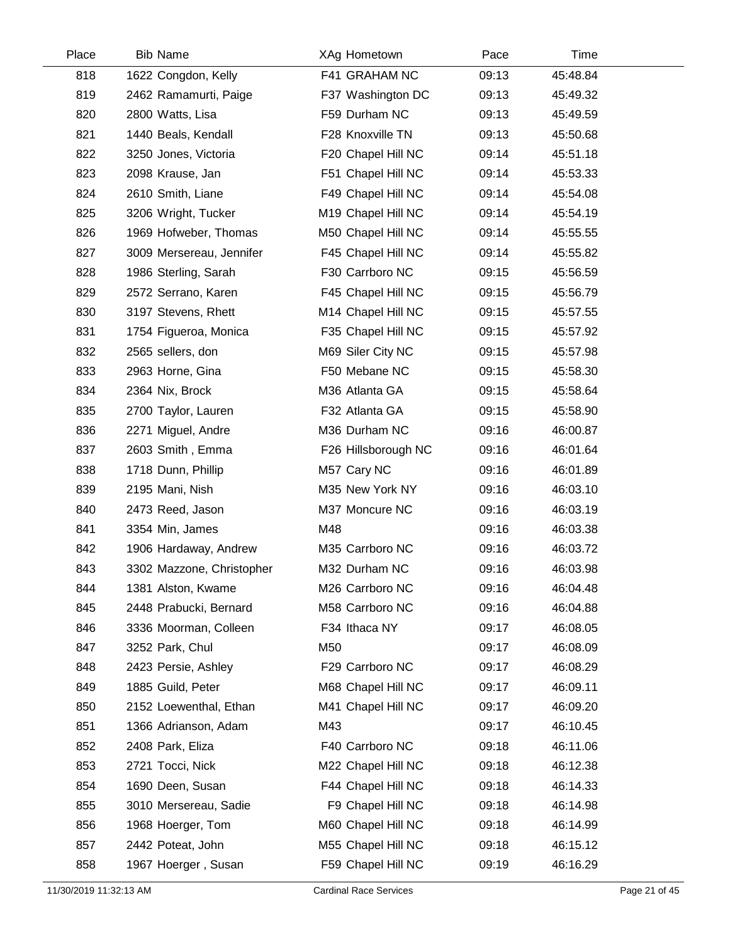| Place | <b>Bib Name</b>           | XAg Hometown        | Pace  | Time     |  |
|-------|---------------------------|---------------------|-------|----------|--|
| 818   | 1622 Congdon, Kelly       | F41 GRAHAM NC       | 09:13 | 45:48.84 |  |
| 819   | 2462 Ramamurti, Paige     | F37 Washington DC   | 09:13 | 45:49.32 |  |
| 820   | 2800 Watts, Lisa          | F59 Durham NC       | 09:13 | 45:49.59 |  |
| 821   | 1440 Beals, Kendall       | F28 Knoxville TN    | 09:13 | 45:50.68 |  |
| 822   | 3250 Jones, Victoria      | F20 Chapel Hill NC  | 09:14 | 45:51.18 |  |
| 823   | 2098 Krause, Jan          | F51 Chapel Hill NC  | 09:14 | 45:53.33 |  |
| 824   | 2610 Smith, Liane         | F49 Chapel Hill NC  | 09:14 | 45:54.08 |  |
| 825   | 3206 Wright, Tucker       | M19 Chapel Hill NC  | 09:14 | 45:54.19 |  |
| 826   | 1969 Hofweber, Thomas     | M50 Chapel Hill NC  | 09:14 | 45:55.55 |  |
| 827   | 3009 Mersereau, Jennifer  | F45 Chapel Hill NC  | 09:14 | 45:55.82 |  |
| 828   | 1986 Sterling, Sarah      | F30 Carrboro NC     | 09:15 | 45:56.59 |  |
| 829   | 2572 Serrano, Karen       | F45 Chapel Hill NC  | 09:15 | 45:56.79 |  |
| 830   | 3197 Stevens, Rhett       | M14 Chapel Hill NC  | 09:15 | 45:57.55 |  |
| 831   | 1754 Figueroa, Monica     | F35 Chapel Hill NC  | 09:15 | 45:57.92 |  |
| 832   | 2565 sellers, don         | M69 Siler City NC   | 09:15 | 45:57.98 |  |
| 833   | 2963 Horne, Gina          | F50 Mebane NC       | 09:15 | 45:58.30 |  |
| 834   | 2364 Nix, Brock           | M36 Atlanta GA      | 09:15 | 45:58.64 |  |
| 835   | 2700 Taylor, Lauren       | F32 Atlanta GA      | 09:15 | 45:58.90 |  |
| 836   | 2271 Miguel, Andre        | M36 Durham NC       | 09:16 | 46:00.87 |  |
| 837   | 2603 Smith, Emma          | F26 Hillsborough NC | 09:16 | 46:01.64 |  |
| 838   | 1718 Dunn, Phillip        | M57 Cary NC         | 09:16 | 46:01.89 |  |
| 839   | 2195 Mani, Nish           | M35 New York NY     | 09:16 | 46:03.10 |  |
| 840   | 2473 Reed, Jason          | M37 Moncure NC      | 09:16 | 46:03.19 |  |
| 841   | 3354 Min, James           | M48                 | 09:16 | 46:03.38 |  |
| 842   | 1906 Hardaway, Andrew     | M35 Carrboro NC     | 09:16 | 46:03.72 |  |
| 843   | 3302 Mazzone, Christopher | M32 Durham NC       | 09:16 | 46:03.98 |  |
| 844   | 1381 Alston, Kwame        | M26 Carrboro NC     | 09:16 | 46:04.48 |  |
| 845   | 2448 Prabucki, Bernard    | M58 Carrboro NC     | 09:16 | 46:04.88 |  |
| 846   | 3336 Moorman, Colleen     | F34 Ithaca NY       | 09:17 | 46:08.05 |  |
| 847   | 3252 Park, Chul           | M50                 | 09:17 | 46:08.09 |  |
| 848   | 2423 Persie, Ashley       | F29 Carrboro NC     | 09:17 | 46:08.29 |  |
| 849   | 1885 Guild, Peter         | M68 Chapel Hill NC  | 09:17 | 46:09.11 |  |
| 850   | 2152 Loewenthal, Ethan    | M41 Chapel Hill NC  | 09:17 | 46:09.20 |  |
| 851   | 1366 Adrianson, Adam      | M43                 | 09:17 | 46:10.45 |  |
| 852   | 2408 Park, Eliza          | F40 Carrboro NC     | 09:18 | 46:11.06 |  |
| 853   | 2721 Tocci, Nick          | M22 Chapel Hill NC  | 09:18 | 46:12.38 |  |
| 854   | 1690 Deen, Susan          | F44 Chapel Hill NC  | 09:18 | 46:14.33 |  |
| 855   | 3010 Mersereau, Sadie     | F9 Chapel Hill NC   | 09:18 | 46:14.98 |  |
| 856   | 1968 Hoerger, Tom         | M60 Chapel Hill NC  | 09:18 | 46:14.99 |  |
| 857   | 2442 Poteat, John         | M55 Chapel Hill NC  | 09:18 | 46:15.12 |  |
| 858   | 1967 Hoerger, Susan       | F59 Chapel Hill NC  | 09:19 | 46:16.29 |  |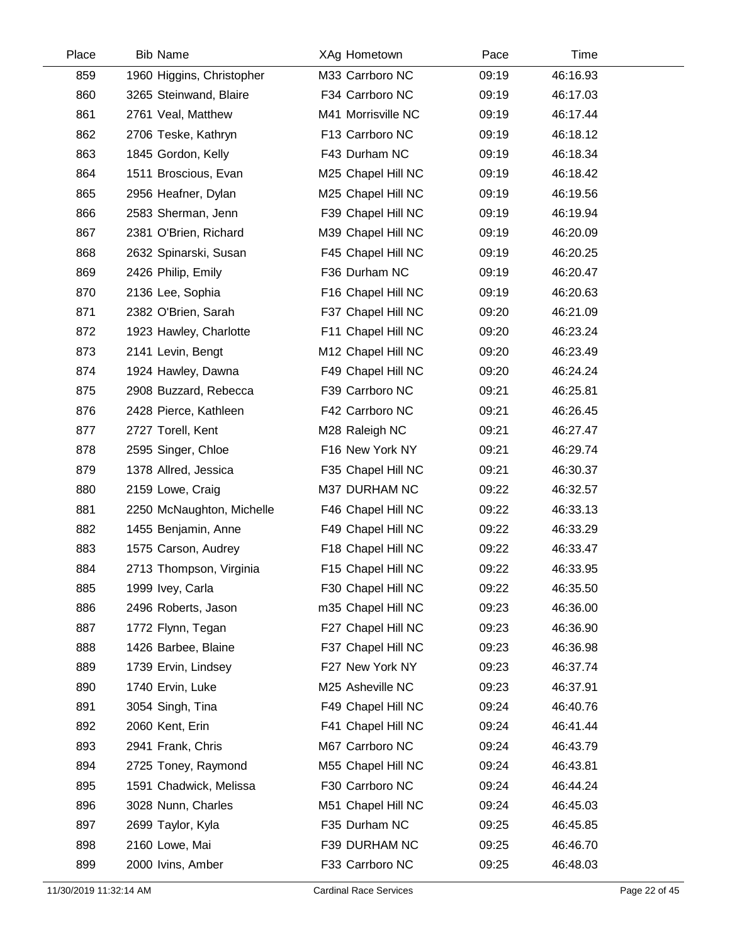| Place | <b>Bib Name</b>           | XAg Hometown       | Pace  | Time     |  |
|-------|---------------------------|--------------------|-------|----------|--|
| 859   | 1960 Higgins, Christopher | M33 Carrboro NC    | 09:19 | 46:16.93 |  |
| 860   | 3265 Steinwand, Blaire    | F34 Carrboro NC    | 09:19 | 46:17.03 |  |
| 861   | 2761 Veal, Matthew        | M41 Morrisville NC | 09:19 | 46:17.44 |  |
| 862   | 2706 Teske, Kathryn       | F13 Carrboro NC    | 09:19 | 46:18.12 |  |
| 863   | 1845 Gordon, Kelly        | F43 Durham NC      | 09:19 | 46:18.34 |  |
| 864   | 1511 Broscious, Evan      | M25 Chapel Hill NC | 09:19 | 46:18.42 |  |
| 865   | 2956 Heafner, Dylan       | M25 Chapel Hill NC | 09:19 | 46:19.56 |  |
| 866   | 2583 Sherman, Jenn        | F39 Chapel Hill NC | 09:19 | 46:19.94 |  |
| 867   | 2381 O'Brien, Richard     | M39 Chapel Hill NC | 09:19 | 46:20.09 |  |
| 868   | 2632 Spinarski, Susan     | F45 Chapel Hill NC | 09:19 | 46:20.25 |  |
| 869   | 2426 Philip, Emily        | F36 Durham NC      | 09:19 | 46:20.47 |  |
| 870   | 2136 Lee, Sophia          | F16 Chapel Hill NC | 09:19 | 46:20.63 |  |
| 871   | 2382 O'Brien, Sarah       | F37 Chapel Hill NC | 09:20 | 46:21.09 |  |
| 872   | 1923 Hawley, Charlotte    | F11 Chapel Hill NC | 09:20 | 46:23.24 |  |
| 873   | 2141 Levin, Bengt         | M12 Chapel Hill NC | 09:20 | 46:23.49 |  |
| 874   | 1924 Hawley, Dawna        | F49 Chapel Hill NC | 09:20 | 46:24.24 |  |
| 875   | 2908 Buzzard, Rebecca     | F39 Carrboro NC    | 09:21 | 46:25.81 |  |
| 876   | 2428 Pierce, Kathleen     | F42 Carrboro NC    | 09:21 | 46:26.45 |  |
| 877   | 2727 Torell, Kent         | M28 Raleigh NC     | 09:21 | 46:27.47 |  |
| 878   | 2595 Singer, Chloe        | F16 New York NY    | 09:21 | 46:29.74 |  |
| 879   | 1378 Allred, Jessica      | F35 Chapel Hill NC | 09:21 | 46:30.37 |  |
| 880   | 2159 Lowe, Craig          | M37 DURHAM NC      | 09:22 | 46:32.57 |  |
| 881   | 2250 McNaughton, Michelle | F46 Chapel Hill NC | 09:22 | 46:33.13 |  |
| 882   | 1455 Benjamin, Anne       | F49 Chapel Hill NC | 09:22 | 46:33.29 |  |
| 883   | 1575 Carson, Audrey       | F18 Chapel Hill NC | 09:22 | 46:33.47 |  |
| 884   | 2713 Thompson, Virginia   | F15 Chapel Hill NC | 09:22 | 46:33.95 |  |
| 885   | 1999 Ivey, Carla          | F30 Chapel Hill NC | 09:22 | 46:35.50 |  |
| 886   | 2496 Roberts, Jason       | m35 Chapel Hill NC | 09:23 | 46:36.00 |  |
| 887   | 1772 Flynn, Tegan         | F27 Chapel Hill NC | 09:23 | 46:36.90 |  |
| 888   | 1426 Barbee, Blaine       | F37 Chapel Hill NC | 09:23 | 46:36.98 |  |
| 889   | 1739 Ervin, Lindsey       | F27 New York NY    | 09:23 | 46:37.74 |  |
| 890   | 1740 Ervin, Luke          | M25 Asheville NC   | 09:23 | 46:37.91 |  |
| 891   | 3054 Singh, Tina          | F49 Chapel Hill NC | 09:24 | 46:40.76 |  |
| 892   | 2060 Kent, Erin           | F41 Chapel Hill NC | 09:24 | 46:41.44 |  |
| 893   | 2941 Frank, Chris         | M67 Carrboro NC    | 09:24 | 46:43.79 |  |
| 894   | 2725 Toney, Raymond       | M55 Chapel Hill NC | 09:24 | 46:43.81 |  |
| 895   | 1591 Chadwick, Melissa    | F30 Carrboro NC    | 09:24 | 46:44.24 |  |
| 896   | 3028 Nunn, Charles        | M51 Chapel Hill NC | 09:24 | 46:45.03 |  |
| 897   | 2699 Taylor, Kyla         | F35 Durham NC      | 09:25 | 46:45.85 |  |
| 898   | 2160 Lowe, Mai            | F39 DURHAM NC      | 09:25 | 46:46.70 |  |
| 899   | 2000 Ivins, Amber         | F33 Carrboro NC    | 09:25 | 46:48.03 |  |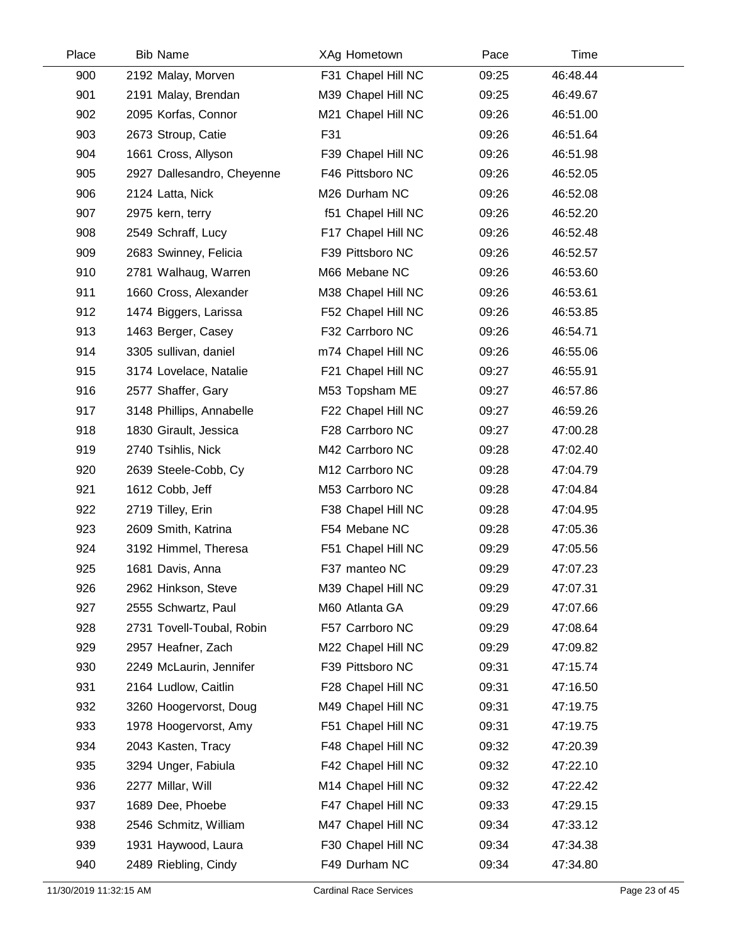| Place | <b>Bib Name</b>            | XAg Hometown       | Pace  | Time     |  |
|-------|----------------------------|--------------------|-------|----------|--|
| 900   | 2192 Malay, Morven         | F31 Chapel Hill NC | 09:25 | 46:48.44 |  |
| 901   | 2191 Malay, Brendan        | M39 Chapel Hill NC | 09:25 | 46:49.67 |  |
| 902   | 2095 Korfas, Connor        | M21 Chapel Hill NC | 09:26 | 46:51.00 |  |
| 903   | 2673 Stroup, Catie         | F31                | 09:26 | 46:51.64 |  |
| 904   | 1661 Cross, Allyson        | F39 Chapel Hill NC | 09:26 | 46:51.98 |  |
| 905   | 2927 Dallesandro, Cheyenne | F46 Pittsboro NC   | 09:26 | 46:52.05 |  |
| 906   | 2124 Latta, Nick           | M26 Durham NC      | 09:26 | 46:52.08 |  |
| 907   | 2975 kern, terry           | f51 Chapel Hill NC | 09:26 | 46:52.20 |  |
| 908   | 2549 Schraff, Lucy         | F17 Chapel Hill NC | 09:26 | 46:52.48 |  |
| 909   | 2683 Swinney, Felicia      | F39 Pittsboro NC   | 09:26 | 46:52.57 |  |
| 910   | 2781 Walhaug, Warren       | M66 Mebane NC      | 09:26 | 46:53.60 |  |
| 911   | 1660 Cross, Alexander      | M38 Chapel Hill NC | 09:26 | 46:53.61 |  |
| 912   | 1474 Biggers, Larissa      | F52 Chapel Hill NC | 09:26 | 46:53.85 |  |
| 913   | 1463 Berger, Casey         | F32 Carrboro NC    | 09:26 | 46:54.71 |  |
| 914   | 3305 sullivan, daniel      | m74 Chapel Hill NC | 09:26 | 46:55.06 |  |
| 915   | 3174 Lovelace, Natalie     | F21 Chapel Hill NC | 09:27 | 46:55.91 |  |
| 916   | 2577 Shaffer, Gary         | M53 Topsham ME     | 09:27 | 46:57.86 |  |
| 917   | 3148 Phillips, Annabelle   | F22 Chapel Hill NC | 09:27 | 46:59.26 |  |
| 918   | 1830 Girault, Jessica      | F28 Carrboro NC    | 09:27 | 47:00.28 |  |
| 919   | 2740 Tsihlis, Nick         | M42 Carrboro NC    | 09:28 | 47:02.40 |  |
| 920   | 2639 Steele-Cobb, Cy       | M12 Carrboro NC    | 09:28 | 47:04.79 |  |
| 921   | 1612 Cobb, Jeff            | M53 Carrboro NC    | 09:28 | 47:04.84 |  |
| 922   | 2719 Tilley, Erin          | F38 Chapel Hill NC | 09:28 | 47:04.95 |  |
| 923   | 2609 Smith, Katrina        | F54 Mebane NC      | 09:28 | 47:05.36 |  |
| 924   | 3192 Himmel, Theresa       | F51 Chapel Hill NC | 09:29 | 47:05.56 |  |
| 925   | 1681 Davis, Anna           | F37 manteo NC      | 09:29 | 47:07.23 |  |
| 926   | 2962 Hinkson, Steve        | M39 Chapel Hill NC | 09:29 | 47:07.31 |  |
| 927   | 2555 Schwartz, Paul        | M60 Atlanta GA     | 09:29 | 47:07.66 |  |
| 928   | 2731 Tovell-Toubal, Robin  | F57 Carrboro NC    | 09:29 | 47:08.64 |  |
| 929   | 2957 Heafner, Zach         | M22 Chapel Hill NC | 09:29 | 47:09.82 |  |
| 930   | 2249 McLaurin, Jennifer    | F39 Pittsboro NC   | 09:31 | 47:15.74 |  |
| 931   | 2164 Ludlow, Caitlin       | F28 Chapel Hill NC | 09:31 | 47:16.50 |  |
| 932   | 3260 Hoogervorst, Doug     | M49 Chapel Hill NC | 09:31 | 47:19.75 |  |
| 933   | 1978 Hoogervorst, Amy      | F51 Chapel Hill NC | 09:31 | 47:19.75 |  |
| 934   | 2043 Kasten, Tracy         | F48 Chapel Hill NC | 09:32 | 47:20.39 |  |
| 935   | 3294 Unger, Fabiula        | F42 Chapel Hill NC | 09:32 | 47:22.10 |  |
| 936   | 2277 Millar, Will          | M14 Chapel Hill NC | 09:32 | 47:22.42 |  |
| 937   | 1689 Dee, Phoebe           | F47 Chapel Hill NC | 09:33 | 47:29.15 |  |
| 938   | 2546 Schmitz, William      | M47 Chapel Hill NC | 09:34 | 47:33.12 |  |
| 939   | 1931 Haywood, Laura        | F30 Chapel Hill NC | 09:34 | 47:34.38 |  |
| 940   | 2489 Riebling, Cindy       | F49 Durham NC      | 09:34 | 47:34.80 |  |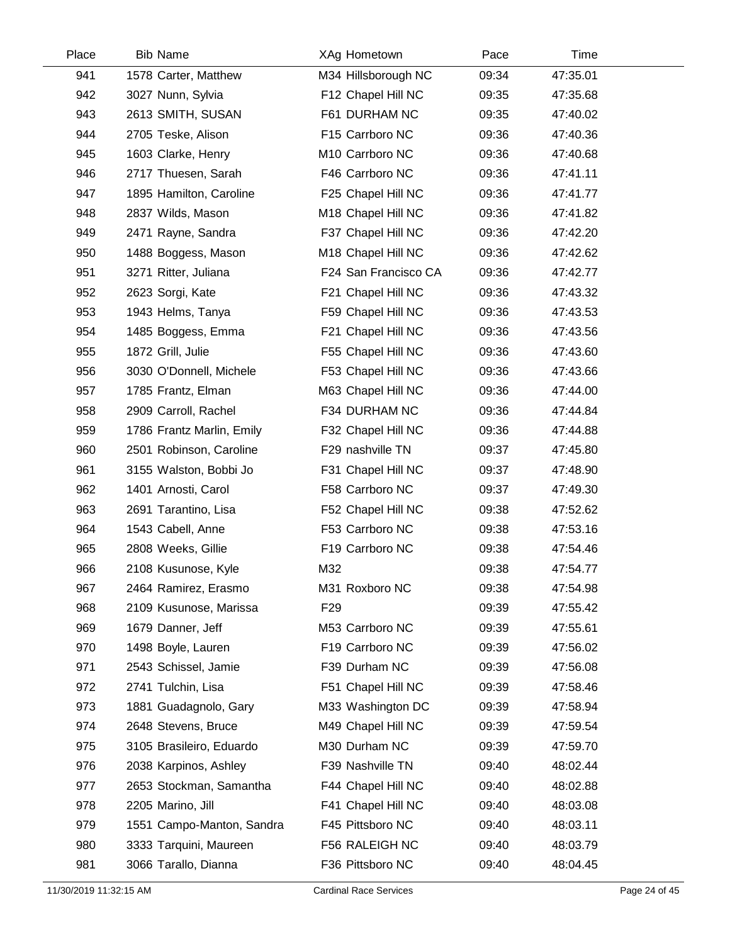| Place | <b>Bib Name</b>           | XAg Hometown         | Pace  | Time     |  |
|-------|---------------------------|----------------------|-------|----------|--|
| 941   | 1578 Carter, Matthew      | M34 Hillsborough NC  | 09:34 | 47:35.01 |  |
| 942   | 3027 Nunn, Sylvia         | F12 Chapel Hill NC   | 09:35 | 47:35.68 |  |
| 943   | 2613 SMITH, SUSAN         | F61 DURHAM NC        | 09:35 | 47:40.02 |  |
| 944   | 2705 Teske, Alison        | F15 Carrboro NC      | 09:36 | 47:40.36 |  |
| 945   | 1603 Clarke, Henry        | M10 Carrboro NC      | 09:36 | 47:40.68 |  |
| 946   | 2717 Thuesen, Sarah       | F46 Carrboro NC      | 09:36 | 47:41.11 |  |
| 947   | 1895 Hamilton, Caroline   | F25 Chapel Hill NC   | 09:36 | 47:41.77 |  |
| 948   | 2837 Wilds, Mason         | M18 Chapel Hill NC   | 09:36 | 47:41.82 |  |
| 949   | 2471 Rayne, Sandra        | F37 Chapel Hill NC   | 09:36 | 47:42.20 |  |
| 950   | 1488 Boggess, Mason       | M18 Chapel Hill NC   | 09:36 | 47:42.62 |  |
| 951   | 3271 Ritter, Juliana      | F24 San Francisco CA | 09:36 | 47:42.77 |  |
| 952   | 2623 Sorgi, Kate          | F21 Chapel Hill NC   | 09:36 | 47:43.32 |  |
| 953   | 1943 Helms, Tanya         | F59 Chapel Hill NC   | 09:36 | 47:43.53 |  |
| 954   | 1485 Boggess, Emma        | F21 Chapel Hill NC   | 09:36 | 47:43.56 |  |
| 955   | 1872 Grill, Julie         | F55 Chapel Hill NC   | 09:36 | 47:43.60 |  |
| 956   | 3030 O'Donnell, Michele   | F53 Chapel Hill NC   | 09:36 | 47:43.66 |  |
| 957   | 1785 Frantz, Elman        | M63 Chapel Hill NC   | 09:36 | 47:44.00 |  |
| 958   | 2909 Carroll, Rachel      | F34 DURHAM NC        | 09:36 | 47:44.84 |  |
| 959   | 1786 Frantz Marlin, Emily | F32 Chapel Hill NC   | 09:36 | 47:44.88 |  |
| 960   | 2501 Robinson, Caroline   | F29 nashville TN     | 09:37 | 47:45.80 |  |
| 961   | 3155 Walston, Bobbi Jo    | F31 Chapel Hill NC   | 09:37 | 47:48.90 |  |
| 962   | 1401 Arnosti, Carol       | F58 Carrboro NC      | 09:37 | 47:49.30 |  |
| 963   | 2691 Tarantino, Lisa      | F52 Chapel Hill NC   | 09:38 | 47:52.62 |  |
| 964   | 1543 Cabell, Anne         | F53 Carrboro NC      | 09:38 | 47:53.16 |  |
| 965   | 2808 Weeks, Gillie        | F19 Carrboro NC      | 09:38 | 47:54.46 |  |
| 966   | 2108 Kusunose, Kyle       | M32                  | 09:38 | 47:54.77 |  |
| 967   | 2464 Ramirez, Erasmo      | M31 Roxboro NC       | 09:38 | 47:54.98 |  |
| 968   | 2109 Kusunose, Marissa    | F <sub>29</sub>      | 09:39 | 47:55.42 |  |
| 969   | 1679 Danner, Jeff         | M53 Carrboro NC      | 09:39 | 47:55.61 |  |
| 970   | 1498 Boyle, Lauren        | F19 Carrboro NC      | 09:39 | 47:56.02 |  |
| 971   | 2543 Schissel, Jamie      | F39 Durham NC        | 09:39 | 47:56.08 |  |
| 972   | 2741 Tulchin, Lisa        | F51 Chapel Hill NC   | 09:39 | 47:58.46 |  |
| 973   | 1881 Guadagnolo, Gary     | M33 Washington DC    | 09:39 | 47:58.94 |  |
| 974   | 2648 Stevens, Bruce       | M49 Chapel Hill NC   | 09:39 | 47:59.54 |  |
| 975   | 3105 Brasileiro, Eduardo  | M30 Durham NC        | 09:39 | 47:59.70 |  |
| 976   | 2038 Karpinos, Ashley     | F39 Nashville TN     | 09:40 | 48:02.44 |  |
| 977   | 2653 Stockman, Samantha   | F44 Chapel Hill NC   | 09:40 | 48:02.88 |  |
| 978   | 2205 Marino, Jill         | F41 Chapel Hill NC   | 09:40 | 48:03.08 |  |
| 979   | 1551 Campo-Manton, Sandra | F45 Pittsboro NC     | 09:40 | 48:03.11 |  |
| 980   | 3333 Tarquini, Maureen    | F56 RALEIGH NC       | 09:40 | 48:03.79 |  |
| 981   | 3066 Tarallo, Dianna      | F36 Pittsboro NC     | 09:40 | 48:04.45 |  |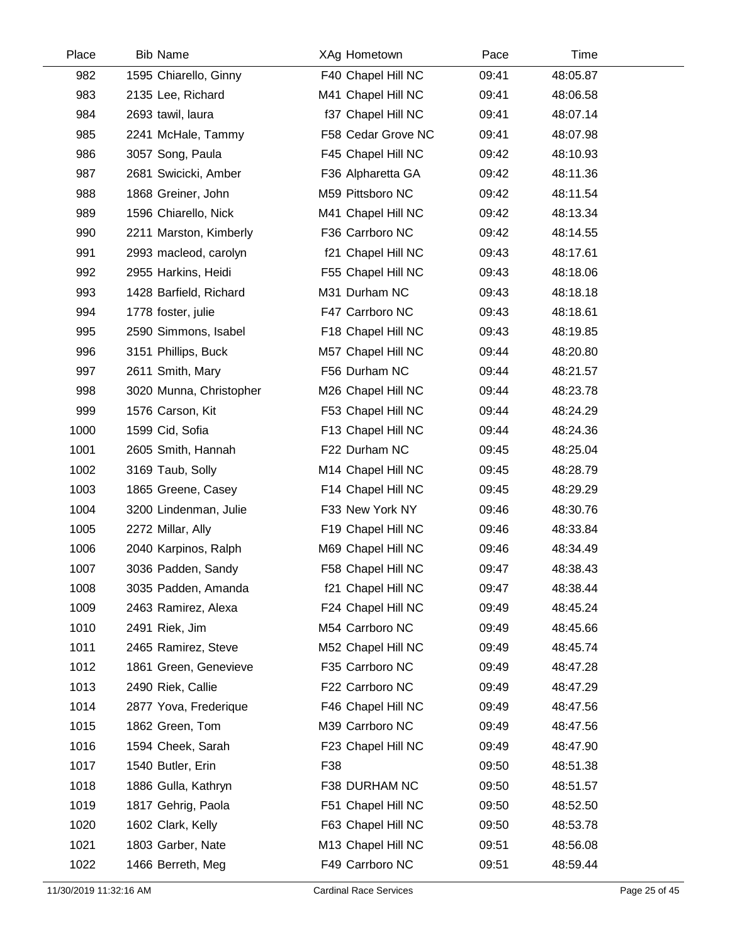| Place | <b>Bib Name</b>         | XAg Hometown       | Pace  | Time     |  |
|-------|-------------------------|--------------------|-------|----------|--|
| 982   | 1595 Chiarello, Ginny   | F40 Chapel Hill NC | 09:41 | 48:05.87 |  |
| 983   | 2135 Lee, Richard       | M41 Chapel Hill NC | 09:41 | 48:06.58 |  |
| 984   | 2693 tawil, laura       | f37 Chapel Hill NC | 09:41 | 48:07.14 |  |
| 985   | 2241 McHale, Tammy      | F58 Cedar Grove NC | 09:41 | 48:07.98 |  |
| 986   | 3057 Song, Paula        | F45 Chapel Hill NC | 09:42 | 48:10.93 |  |
| 987   | 2681 Swicicki, Amber    | F36 Alpharetta GA  | 09:42 | 48:11.36 |  |
| 988   | 1868 Greiner, John      | M59 Pittsboro NC   | 09:42 | 48:11.54 |  |
| 989   | 1596 Chiarello, Nick    | M41 Chapel Hill NC | 09:42 | 48:13.34 |  |
| 990   | 2211 Marston, Kimberly  | F36 Carrboro NC    | 09:42 | 48:14.55 |  |
| 991   | 2993 macleod, carolyn   | f21 Chapel Hill NC | 09:43 | 48:17.61 |  |
| 992   | 2955 Harkins, Heidi     | F55 Chapel Hill NC | 09:43 | 48:18.06 |  |
| 993   | 1428 Barfield, Richard  | M31 Durham NC      | 09:43 | 48:18.18 |  |
| 994   | 1778 foster, julie      | F47 Carrboro NC    | 09:43 | 48:18.61 |  |
| 995   | 2590 Simmons, Isabel    | F18 Chapel Hill NC | 09:43 | 48:19.85 |  |
| 996   | 3151 Phillips, Buck     | M57 Chapel Hill NC | 09:44 | 48:20.80 |  |
| 997   | 2611 Smith, Mary        | F56 Durham NC      | 09:44 | 48:21.57 |  |
| 998   | 3020 Munna, Christopher | M26 Chapel Hill NC | 09:44 | 48:23.78 |  |
| 999   | 1576 Carson, Kit        | F53 Chapel Hill NC | 09:44 | 48:24.29 |  |
| 1000  | 1599 Cid, Sofia         | F13 Chapel Hill NC | 09:44 | 48:24.36 |  |
| 1001  | 2605 Smith, Hannah      | F22 Durham NC      | 09:45 | 48:25.04 |  |
| 1002  | 3169 Taub, Solly        | M14 Chapel Hill NC | 09:45 | 48:28.79 |  |
| 1003  | 1865 Greene, Casey      | F14 Chapel Hill NC | 09:45 | 48:29.29 |  |
| 1004  | 3200 Lindenman, Julie   | F33 New York NY    | 09:46 | 48:30.76 |  |
| 1005  | 2272 Millar, Ally       | F19 Chapel Hill NC | 09:46 | 48:33.84 |  |
| 1006  | 2040 Karpinos, Ralph    | M69 Chapel Hill NC | 09:46 | 48:34.49 |  |
| 1007  | 3036 Padden, Sandy      | F58 Chapel Hill NC | 09:47 | 48:38.43 |  |
| 1008  | 3035 Padden, Amanda     | f21 Chapel Hill NC | 09:47 | 48:38.44 |  |
| 1009  | 2463 Ramirez, Alexa     | F24 Chapel Hill NC | 09:49 | 48:45.24 |  |
| 1010  | 2491 Riek, Jim          | M54 Carrboro NC    | 09:49 | 48:45.66 |  |
| 1011  | 2465 Ramirez, Steve     | M52 Chapel Hill NC | 09:49 | 48:45.74 |  |
| 1012  | 1861 Green, Genevieve   | F35 Carrboro NC    | 09:49 | 48:47.28 |  |
| 1013  | 2490 Riek, Callie       | F22 Carrboro NC    | 09:49 | 48:47.29 |  |
| 1014  | 2877 Yova, Frederique   | F46 Chapel Hill NC | 09:49 | 48:47.56 |  |
| 1015  | 1862 Green, Tom         | M39 Carrboro NC    | 09:49 | 48:47.56 |  |
| 1016  | 1594 Cheek, Sarah       | F23 Chapel Hill NC | 09:49 | 48:47.90 |  |
| 1017  | 1540 Butler, Erin       | F38                | 09:50 | 48:51.38 |  |
| 1018  | 1886 Gulla, Kathryn     | F38 DURHAM NC      | 09:50 | 48:51.57 |  |
| 1019  | 1817 Gehrig, Paola      | F51 Chapel Hill NC | 09:50 | 48:52.50 |  |
| 1020  | 1602 Clark, Kelly       | F63 Chapel Hill NC | 09:50 | 48:53.78 |  |
| 1021  | 1803 Garber, Nate       | M13 Chapel Hill NC | 09:51 | 48:56.08 |  |
| 1022  | 1466 Berreth, Meg       | F49 Carrboro NC    | 09:51 | 48:59.44 |  |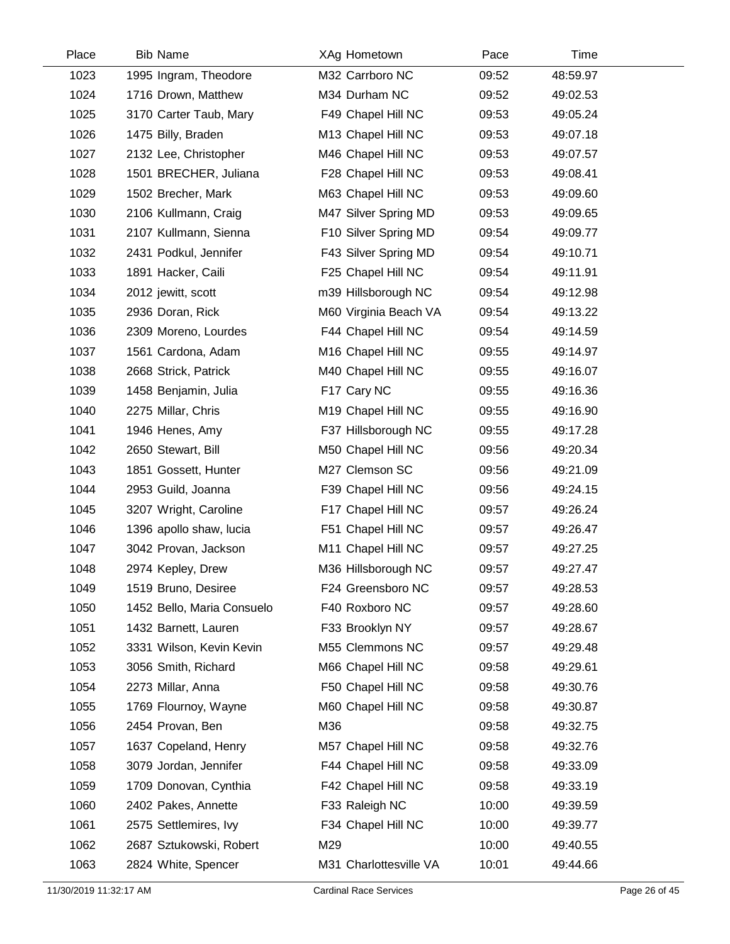| Place | <b>Bib Name</b>            | XAg Hometown           | Pace  | Time     |  |
|-------|----------------------------|------------------------|-------|----------|--|
| 1023  | 1995 Ingram, Theodore      | M32 Carrboro NC        | 09:52 | 48:59.97 |  |
| 1024  | 1716 Drown, Matthew        | M34 Durham NC          | 09:52 | 49:02.53 |  |
| 1025  | 3170 Carter Taub, Mary     | F49 Chapel Hill NC     | 09:53 | 49:05.24 |  |
| 1026  | 1475 Billy, Braden         | M13 Chapel Hill NC     | 09:53 | 49:07.18 |  |
| 1027  | 2132 Lee, Christopher      | M46 Chapel Hill NC     | 09:53 | 49:07.57 |  |
| 1028  | 1501 BRECHER, Juliana      | F28 Chapel Hill NC     | 09:53 | 49:08.41 |  |
| 1029  | 1502 Brecher, Mark         | M63 Chapel Hill NC     | 09:53 | 49:09.60 |  |
| 1030  | 2106 Kullmann, Craig       | M47 Silver Spring MD   | 09:53 | 49:09.65 |  |
| 1031  | 2107 Kullmann, Sienna      | F10 Silver Spring MD   | 09:54 | 49:09.77 |  |
| 1032  | 2431 Podkul, Jennifer      | F43 Silver Spring MD   | 09:54 | 49:10.71 |  |
| 1033  | 1891 Hacker, Caili         | F25 Chapel Hill NC     | 09:54 | 49:11.91 |  |
| 1034  | 2012 jewitt, scott         | m39 Hillsborough NC    | 09:54 | 49:12.98 |  |
| 1035  | 2936 Doran, Rick           | M60 Virginia Beach VA  | 09:54 | 49:13.22 |  |
| 1036  | 2309 Moreno, Lourdes       | F44 Chapel Hill NC     | 09:54 | 49:14.59 |  |
| 1037  | 1561 Cardona, Adam         | M16 Chapel Hill NC     | 09:55 | 49:14.97 |  |
| 1038  | 2668 Strick, Patrick       | M40 Chapel Hill NC     | 09:55 | 49:16.07 |  |
| 1039  | 1458 Benjamin, Julia       | F17 Cary NC            | 09:55 | 49:16.36 |  |
| 1040  | 2275 Millar, Chris         | M19 Chapel Hill NC     | 09:55 | 49:16.90 |  |
| 1041  | 1946 Henes, Amy            | F37 Hillsborough NC    | 09:55 | 49:17.28 |  |
| 1042  | 2650 Stewart, Bill         | M50 Chapel Hill NC     | 09:56 | 49:20.34 |  |
| 1043  | 1851 Gossett, Hunter       | M27 Clemson SC         | 09:56 | 49:21.09 |  |
| 1044  | 2953 Guild, Joanna         | F39 Chapel Hill NC     | 09:56 | 49:24.15 |  |
| 1045  | 3207 Wright, Caroline      | F17 Chapel Hill NC     | 09:57 | 49:26.24 |  |
| 1046  | 1396 apollo shaw, lucia    | F51 Chapel Hill NC     | 09:57 | 49:26.47 |  |
| 1047  | 3042 Provan, Jackson       | M11 Chapel Hill NC     | 09:57 | 49:27.25 |  |
| 1048  | 2974 Kepley, Drew          | M36 Hillsborough NC    | 09:57 | 49:27.47 |  |
| 1049  | 1519 Bruno, Desiree        | F24 Greensboro NC      | 09:57 | 49:28.53 |  |
| 1050  | 1452 Bello, Maria Consuelo | F40 Roxboro NC         | 09:57 | 49:28.60 |  |
| 1051  | 1432 Barnett, Lauren       | F33 Brooklyn NY        | 09:57 | 49:28.67 |  |
| 1052  | 3331 Wilson, Kevin Kevin   | M55 Clemmons NC        | 09:57 | 49:29.48 |  |
| 1053  | 3056 Smith, Richard        | M66 Chapel Hill NC     | 09:58 | 49:29.61 |  |
| 1054  | 2273 Millar, Anna          | F50 Chapel Hill NC     | 09:58 | 49:30.76 |  |
| 1055  | 1769 Flournoy, Wayne       | M60 Chapel Hill NC     | 09:58 | 49:30.87 |  |
| 1056  | 2454 Provan, Ben           | M36                    | 09:58 | 49:32.75 |  |
| 1057  | 1637 Copeland, Henry       | M57 Chapel Hill NC     | 09:58 | 49:32.76 |  |
| 1058  | 3079 Jordan, Jennifer      | F44 Chapel Hill NC     | 09:58 | 49:33.09 |  |
| 1059  | 1709 Donovan, Cynthia      | F42 Chapel Hill NC     | 09:58 | 49:33.19 |  |
| 1060  | 2402 Pakes, Annette        | F33 Raleigh NC         | 10:00 | 49:39.59 |  |
| 1061  | 2575 Settlemires, Ivy      | F34 Chapel Hill NC     | 10:00 | 49:39.77 |  |
| 1062  | 2687 Sztukowski, Robert    | M29                    | 10:00 | 49:40.55 |  |
| 1063  | 2824 White, Spencer        | M31 Charlottesville VA | 10:01 | 49:44.66 |  |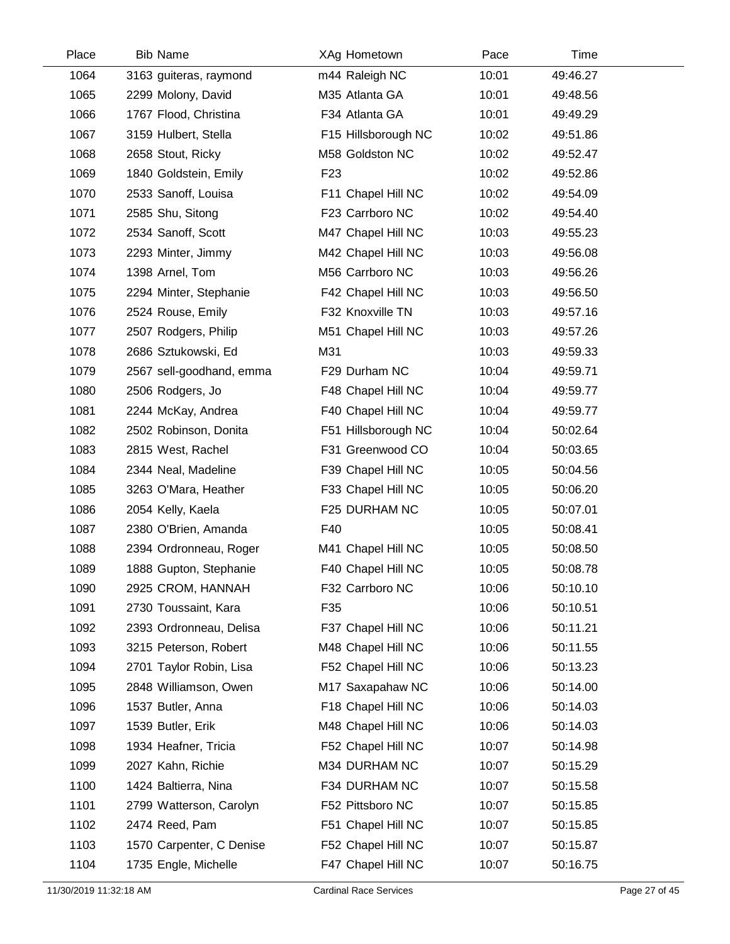| Place | <b>Bib Name</b>          | XAg Hometown        | Pace  | Time     |  |
|-------|--------------------------|---------------------|-------|----------|--|
| 1064  | 3163 guiteras, raymond   | m44 Raleigh NC      | 10:01 | 49:46.27 |  |
| 1065  | 2299 Molony, David       | M35 Atlanta GA      | 10:01 | 49:48.56 |  |
| 1066  | 1767 Flood, Christina    | F34 Atlanta GA      | 10:01 | 49:49.29 |  |
| 1067  | 3159 Hulbert, Stella     | F15 Hillsborough NC | 10:02 | 49:51.86 |  |
| 1068  | 2658 Stout, Ricky        | M58 Goldston NC     | 10:02 | 49:52.47 |  |
| 1069  | 1840 Goldstein, Emily    | F <sub>23</sub>     | 10:02 | 49:52.86 |  |
| 1070  | 2533 Sanoff, Louisa      | F11 Chapel Hill NC  | 10:02 | 49:54.09 |  |
| 1071  | 2585 Shu, Sitong         | F23 Carrboro NC     | 10:02 | 49:54.40 |  |
| 1072  | 2534 Sanoff, Scott       | M47 Chapel Hill NC  | 10:03 | 49:55.23 |  |
| 1073  | 2293 Minter, Jimmy       | M42 Chapel Hill NC  | 10:03 | 49:56.08 |  |
| 1074  | 1398 Arnel, Tom          | M56 Carrboro NC     | 10:03 | 49:56.26 |  |
| 1075  | 2294 Minter, Stephanie   | F42 Chapel Hill NC  | 10:03 | 49:56.50 |  |
| 1076  | 2524 Rouse, Emily        | F32 Knoxville TN    | 10:03 | 49:57.16 |  |
| 1077  | 2507 Rodgers, Philip     | M51 Chapel Hill NC  | 10:03 | 49:57.26 |  |
| 1078  | 2686 Sztukowski, Ed      | M31                 | 10:03 | 49:59.33 |  |
| 1079  | 2567 sell-goodhand, emma | F29 Durham NC       | 10:04 | 49:59.71 |  |
| 1080  | 2506 Rodgers, Jo         | F48 Chapel Hill NC  | 10:04 | 49:59.77 |  |
| 1081  | 2244 McKay, Andrea       | F40 Chapel Hill NC  | 10:04 | 49:59.77 |  |
| 1082  | 2502 Robinson, Donita    | F51 Hillsborough NC | 10:04 | 50:02.64 |  |
| 1083  | 2815 West, Rachel        | F31 Greenwood CO    | 10:04 | 50:03.65 |  |
| 1084  | 2344 Neal, Madeline      | F39 Chapel Hill NC  | 10:05 | 50:04.56 |  |
| 1085  | 3263 O'Mara, Heather     | F33 Chapel Hill NC  | 10:05 | 50:06.20 |  |
| 1086  | 2054 Kelly, Kaela        | F25 DURHAM NC       | 10:05 | 50:07.01 |  |
| 1087  | 2380 O'Brien, Amanda     | F40                 | 10:05 | 50:08.41 |  |
| 1088  | 2394 Ordronneau, Roger   | M41 Chapel Hill NC  | 10:05 | 50:08.50 |  |
| 1089  | 1888 Gupton, Stephanie   | F40 Chapel Hill NC  | 10:05 | 50:08.78 |  |
| 1090  | 2925 CROM, HANNAH        | F32 Carrboro NC     | 10:06 | 50:10.10 |  |
| 1091  | 2730 Toussaint, Kara     | F35                 | 10:06 | 50:10.51 |  |
| 1092  | 2393 Ordronneau, Delisa  | F37 Chapel Hill NC  | 10:06 | 50:11.21 |  |
| 1093  | 3215 Peterson, Robert    | M48 Chapel Hill NC  | 10:06 | 50:11.55 |  |
| 1094  | 2701 Taylor Robin, Lisa  | F52 Chapel Hill NC  | 10:06 | 50:13.23 |  |
| 1095  | 2848 Williamson, Owen    | M17 Saxapahaw NC    | 10:06 | 50:14.00 |  |
| 1096  | 1537 Butler, Anna        | F18 Chapel Hill NC  | 10:06 | 50:14.03 |  |
| 1097  | 1539 Butler, Erik        | M48 Chapel Hill NC  | 10:06 | 50:14.03 |  |
| 1098  | 1934 Heafner, Tricia     | F52 Chapel Hill NC  | 10:07 | 50:14.98 |  |
| 1099  | 2027 Kahn, Richie        | M34 DURHAM NC       | 10:07 | 50:15.29 |  |
| 1100  | 1424 Baltierra, Nina     | F34 DURHAM NC       | 10:07 | 50:15.58 |  |
| 1101  | 2799 Watterson, Carolyn  | F52 Pittsboro NC    | 10:07 | 50:15.85 |  |
| 1102  | 2474 Reed, Pam           | F51 Chapel Hill NC  | 10:07 | 50:15.85 |  |
| 1103  | 1570 Carpenter, C Denise | F52 Chapel Hill NC  | 10:07 | 50:15.87 |  |
| 1104  | 1735 Engle, Michelle     | F47 Chapel Hill NC  | 10:07 | 50:16.75 |  |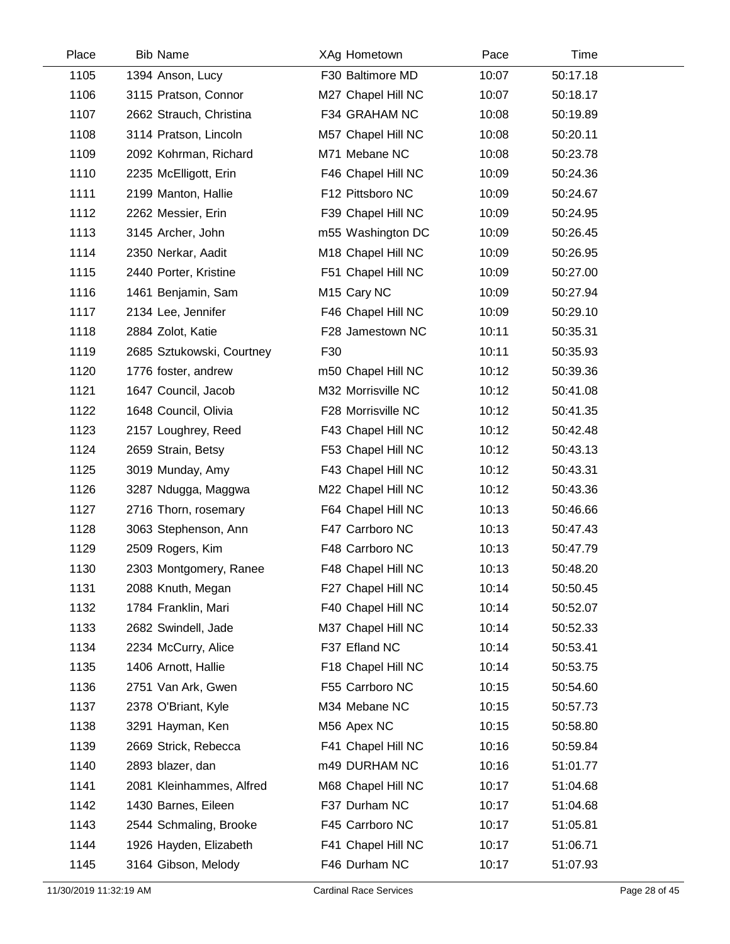| Place | <b>Bib Name</b>           | XAg Hometown            | Pace  | Time     |  |
|-------|---------------------------|-------------------------|-------|----------|--|
| 1105  | 1394 Anson, Lucy          | F30 Baltimore MD        | 10:07 | 50:17.18 |  |
| 1106  | 3115 Pratson, Connor      | M27 Chapel Hill NC      | 10:07 | 50:18.17 |  |
| 1107  | 2662 Strauch, Christina   | F34 GRAHAM NC           | 10:08 | 50:19.89 |  |
| 1108  | 3114 Pratson, Lincoln     | M57 Chapel Hill NC      | 10:08 | 50:20.11 |  |
| 1109  | 2092 Kohrman, Richard     | M71 Mebane NC           | 10:08 | 50:23.78 |  |
| 1110  | 2235 McElligott, Erin     | F46 Chapel Hill NC      | 10:09 | 50:24.36 |  |
| 1111  | 2199 Manton, Hallie       | F12 Pittsboro NC        | 10:09 | 50:24.67 |  |
| 1112  | 2262 Messier, Erin        | F39 Chapel Hill NC      | 10:09 | 50:24.95 |  |
| 1113  | 3145 Archer, John         | m55 Washington DC       | 10:09 | 50:26.45 |  |
| 1114  | 2350 Nerkar, Aadit        | M18 Chapel Hill NC      | 10:09 | 50:26.95 |  |
| 1115  | 2440 Porter, Kristine     | F51 Chapel Hill NC      | 10:09 | 50:27.00 |  |
| 1116  | 1461 Benjamin, Sam        | M <sub>15</sub> Cary NC | 10:09 | 50:27.94 |  |
| 1117  | 2134 Lee, Jennifer        | F46 Chapel Hill NC      | 10:09 | 50:29.10 |  |
| 1118  | 2884 Zolot, Katie         | F28 Jamestown NC        | 10:11 | 50:35.31 |  |
| 1119  | 2685 Sztukowski, Courtney | F30                     | 10:11 | 50:35.93 |  |
| 1120  | 1776 foster, andrew       | m50 Chapel Hill NC      | 10:12 | 50:39.36 |  |
| 1121  | 1647 Council, Jacob       | M32 Morrisville NC      | 10:12 | 50:41.08 |  |
| 1122  | 1648 Council, Olivia      | F28 Morrisville NC      | 10:12 | 50:41.35 |  |
| 1123  | 2157 Loughrey, Reed       | F43 Chapel Hill NC      | 10:12 | 50:42.48 |  |
| 1124  | 2659 Strain, Betsy        | F53 Chapel Hill NC      | 10:12 | 50:43.13 |  |
| 1125  | 3019 Munday, Amy          | F43 Chapel Hill NC      | 10:12 | 50:43.31 |  |
| 1126  | 3287 Ndugga, Maggwa       | M22 Chapel Hill NC      | 10:12 | 50:43.36 |  |
| 1127  | 2716 Thorn, rosemary      | F64 Chapel Hill NC      | 10:13 | 50:46.66 |  |
| 1128  | 3063 Stephenson, Ann      | F47 Carrboro NC         | 10:13 | 50:47.43 |  |
| 1129  | 2509 Rogers, Kim          | F48 Carrboro NC         | 10:13 | 50:47.79 |  |
| 1130  | 2303 Montgomery, Ranee    | F48 Chapel Hill NC      | 10:13 | 50:48.20 |  |
| 1131  | 2088 Knuth, Megan         | F27 Chapel Hill NC      | 10:14 | 50:50.45 |  |
| 1132  | 1784 Franklin, Mari       | F40 Chapel Hill NC      | 10:14 | 50:52.07 |  |
| 1133  | 2682 Swindell, Jade       | M37 Chapel Hill NC      | 10:14 | 50:52.33 |  |
| 1134  | 2234 McCurry, Alice       | F37 Efland NC           | 10:14 | 50:53.41 |  |
| 1135  | 1406 Arnott, Hallie       | F18 Chapel Hill NC      | 10:14 | 50:53.75 |  |
| 1136  | 2751 Van Ark, Gwen        | F55 Carrboro NC         | 10:15 | 50:54.60 |  |
| 1137  | 2378 O'Briant, Kyle       | M34 Mebane NC           | 10:15 | 50:57.73 |  |
| 1138  | 3291 Hayman, Ken          | M56 Apex NC             | 10:15 | 50:58.80 |  |
| 1139  | 2669 Strick, Rebecca      | F41 Chapel Hill NC      | 10:16 | 50:59.84 |  |
| 1140  | 2893 blazer, dan          | m49 DURHAM NC           | 10:16 | 51:01.77 |  |
| 1141  | 2081 Kleinhammes, Alfred  | M68 Chapel Hill NC      | 10:17 | 51:04.68 |  |
| 1142  | 1430 Barnes, Eileen       | F37 Durham NC           | 10:17 | 51:04.68 |  |
| 1143  | 2544 Schmaling, Brooke    | F45 Carrboro NC         | 10:17 | 51:05.81 |  |
| 1144  | 1926 Hayden, Elizabeth    | F41 Chapel Hill NC      | 10:17 | 51:06.71 |  |
| 1145  | 3164 Gibson, Melody       | F46 Durham NC           | 10:17 | 51:07.93 |  |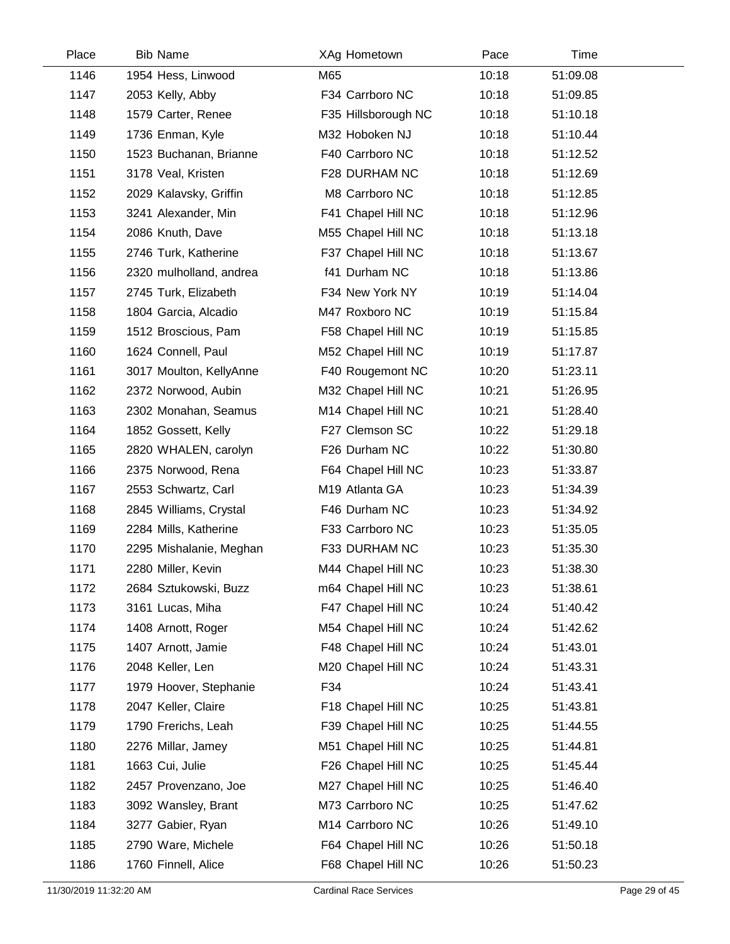| Place | <b>Bib Name</b>         |     | XAg Hometown        | Pace  | Time     |
|-------|-------------------------|-----|---------------------|-------|----------|
| 1146  | 1954 Hess, Linwood      | M65 |                     | 10:18 | 51:09.08 |
| 1147  | 2053 Kelly, Abby        |     | F34 Carrboro NC     | 10:18 | 51:09.85 |
| 1148  | 1579 Carter, Renee      |     | F35 Hillsborough NC | 10:18 | 51:10.18 |
| 1149  | 1736 Enman, Kyle        |     | M32 Hoboken NJ      | 10:18 | 51:10.44 |
| 1150  | 1523 Buchanan, Brianne  |     | F40 Carrboro NC     | 10:18 | 51:12.52 |
| 1151  | 3178 Veal, Kristen      |     | F28 DURHAM NC       | 10:18 | 51:12.69 |
| 1152  | 2029 Kalavsky, Griffin  |     | M8 Carrboro NC      | 10:18 | 51:12.85 |
| 1153  | 3241 Alexander, Min     |     | F41 Chapel Hill NC  | 10:18 | 51:12.96 |
| 1154  | 2086 Knuth, Dave        |     | M55 Chapel Hill NC  | 10:18 | 51:13.18 |
| 1155  | 2746 Turk, Katherine    |     | F37 Chapel Hill NC  | 10:18 | 51:13.67 |
| 1156  | 2320 mulholland, andrea |     | f41 Durham NC       | 10:18 | 51:13.86 |
| 1157  | 2745 Turk, Elizabeth    |     | F34 New York NY     | 10:19 | 51:14.04 |
| 1158  | 1804 Garcia, Alcadio    |     | M47 Roxboro NC      | 10:19 | 51:15.84 |
| 1159  | 1512 Broscious, Pam     |     | F58 Chapel Hill NC  | 10:19 | 51:15.85 |
| 1160  | 1624 Connell, Paul      |     | M52 Chapel Hill NC  | 10:19 | 51:17.87 |
| 1161  | 3017 Moulton, KellyAnne |     | F40 Rougemont NC    | 10:20 | 51:23.11 |
| 1162  | 2372 Norwood, Aubin     |     | M32 Chapel Hill NC  | 10:21 | 51:26.95 |
| 1163  | 2302 Monahan, Seamus    |     | M14 Chapel Hill NC  | 10:21 | 51:28.40 |
| 1164  | 1852 Gossett, Kelly     |     | F27 Clemson SC      | 10:22 | 51:29.18 |
| 1165  | 2820 WHALEN, carolyn    |     | F26 Durham NC       | 10:22 | 51:30.80 |
| 1166  | 2375 Norwood, Rena      |     | F64 Chapel Hill NC  | 10:23 | 51:33.87 |
| 1167  | 2553 Schwartz, Carl     |     | M19 Atlanta GA      | 10:23 | 51:34.39 |
| 1168  | 2845 Williams, Crystal  |     | F46 Durham NC       | 10:23 | 51:34.92 |
| 1169  | 2284 Mills, Katherine   |     | F33 Carrboro NC     | 10:23 | 51:35.05 |
| 1170  | 2295 Mishalanie, Meghan |     | F33 DURHAM NC       | 10:23 | 51:35.30 |
| 1171  | 2280 Miller, Kevin      |     | M44 Chapel Hill NC  | 10:23 | 51:38.30 |
| 1172  | 2684 Sztukowski, Buzz   |     | m64 Chapel Hill NC  | 10:23 | 51:38.61 |
| 1173  | 3161 Lucas, Miha        |     | F47 Chapel Hill NC  | 10:24 | 51:40.42 |
| 1174  | 1408 Arnott, Roger      |     | M54 Chapel Hill NC  | 10:24 | 51:42.62 |
| 1175  | 1407 Arnott, Jamie      |     | F48 Chapel Hill NC  | 10:24 | 51:43.01 |
| 1176  | 2048 Keller, Len        |     | M20 Chapel Hill NC  | 10:24 | 51:43.31 |
| 1177  | 1979 Hoover, Stephanie  | F34 |                     | 10:24 | 51:43.41 |
| 1178  | 2047 Keller, Claire     |     | F18 Chapel Hill NC  | 10:25 | 51:43.81 |
| 1179  | 1790 Frerichs, Leah     |     | F39 Chapel Hill NC  | 10:25 | 51:44.55 |
| 1180  | 2276 Millar, Jamey      |     | M51 Chapel Hill NC  | 10:25 | 51:44.81 |
| 1181  | 1663 Cui, Julie         |     | F26 Chapel Hill NC  | 10:25 | 51:45.44 |
| 1182  | 2457 Provenzano, Joe    |     | M27 Chapel Hill NC  | 10:25 | 51:46.40 |
| 1183  | 3092 Wansley, Brant     |     | M73 Carrboro NC     | 10:25 | 51:47.62 |
| 1184  | 3277 Gabier, Ryan       |     | M14 Carrboro NC     | 10:26 | 51:49.10 |
| 1185  | 2790 Ware, Michele      |     | F64 Chapel Hill NC  | 10:26 | 51:50.18 |
| 1186  | 1760 Finnell, Alice     |     | F68 Chapel Hill NC  | 10:26 | 51:50.23 |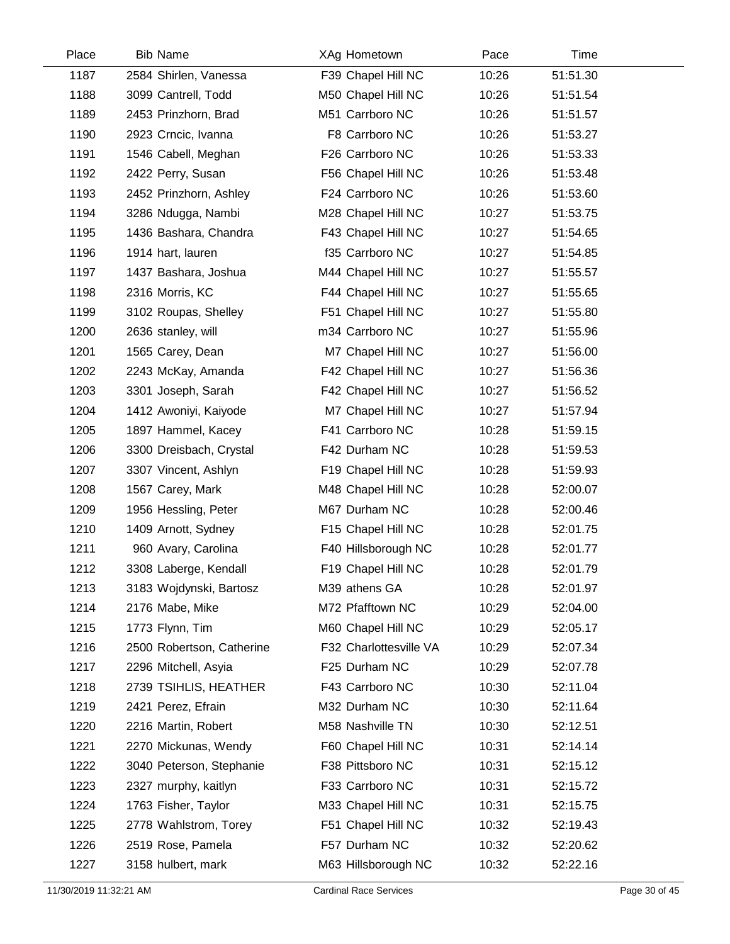| Place | <b>Bib Name</b>           | XAg Hometown           | Pace  | Time     |  |
|-------|---------------------------|------------------------|-------|----------|--|
| 1187  | 2584 Shirlen, Vanessa     | F39 Chapel Hill NC     | 10:26 | 51:51.30 |  |
| 1188  | 3099 Cantrell, Todd       | M50 Chapel Hill NC     | 10:26 | 51:51.54 |  |
| 1189  | 2453 Prinzhorn, Brad      | M51 Carrboro NC        | 10:26 | 51:51.57 |  |
| 1190  | 2923 Crncic, Ivanna       | F8 Carrboro NC         | 10:26 | 51:53.27 |  |
| 1191  | 1546 Cabell, Meghan       | F26 Carrboro NC        | 10:26 | 51:53.33 |  |
| 1192  | 2422 Perry, Susan         | F56 Chapel Hill NC     | 10:26 | 51:53.48 |  |
| 1193  | 2452 Prinzhorn, Ashley    | F24 Carrboro NC        | 10:26 | 51:53.60 |  |
| 1194  | 3286 Ndugga, Nambi        | M28 Chapel Hill NC     | 10:27 | 51:53.75 |  |
| 1195  | 1436 Bashara, Chandra     | F43 Chapel Hill NC     | 10:27 | 51:54.65 |  |
| 1196  | 1914 hart, lauren         | f35 Carrboro NC        | 10:27 | 51:54.85 |  |
| 1197  | 1437 Bashara, Joshua      | M44 Chapel Hill NC     | 10:27 | 51:55.57 |  |
| 1198  | 2316 Morris, KC           | F44 Chapel Hill NC     | 10:27 | 51:55.65 |  |
| 1199  | 3102 Roupas, Shelley      | F51 Chapel Hill NC     | 10:27 | 51:55.80 |  |
| 1200  | 2636 stanley, will        | m34 Carrboro NC        | 10:27 | 51:55.96 |  |
| 1201  | 1565 Carey, Dean          | M7 Chapel Hill NC      | 10:27 | 51:56.00 |  |
| 1202  | 2243 McKay, Amanda        | F42 Chapel Hill NC     | 10:27 | 51:56.36 |  |
| 1203  | 3301 Joseph, Sarah        | F42 Chapel Hill NC     | 10:27 | 51:56.52 |  |
| 1204  | 1412 Awoniyi, Kaiyode     | M7 Chapel Hill NC      | 10:27 | 51:57.94 |  |
| 1205  | 1897 Hammel, Kacey        | F41 Carrboro NC        | 10:28 | 51:59.15 |  |
| 1206  | 3300 Dreisbach, Crystal   | F42 Durham NC          | 10:28 | 51:59.53 |  |
| 1207  | 3307 Vincent, Ashlyn      | F19 Chapel Hill NC     | 10:28 | 51:59.93 |  |
| 1208  | 1567 Carey, Mark          | M48 Chapel Hill NC     | 10:28 | 52:00.07 |  |
| 1209  | 1956 Hessling, Peter      | M67 Durham NC          | 10:28 | 52:00.46 |  |
| 1210  | 1409 Arnott, Sydney       | F15 Chapel Hill NC     | 10:28 | 52:01.75 |  |
| 1211  | 960 Avary, Carolina       | F40 Hillsborough NC    | 10:28 | 52:01.77 |  |
| 1212  | 3308 Laberge, Kendall     | F19 Chapel Hill NC     | 10:28 | 52:01.79 |  |
| 1213  | 3183 Wojdynski, Bartosz   | M39 athens GA          | 10:28 | 52:01.97 |  |
| 1214  | 2176 Mabe, Mike           | M72 Pfafftown NC       | 10:29 | 52:04.00 |  |
| 1215  | 1773 Flynn, Tim           | M60 Chapel Hill NC     | 10:29 | 52:05.17 |  |
| 1216  | 2500 Robertson, Catherine | F32 Charlottesville VA | 10:29 | 52:07.34 |  |
| 1217  | 2296 Mitchell, Asyia      | F25 Durham NC          | 10:29 | 52:07.78 |  |
| 1218  | 2739 TSIHLIS, HEATHER     | F43 Carrboro NC        | 10:30 | 52:11.04 |  |
| 1219  | 2421 Perez, Efrain        | M32 Durham NC          | 10:30 | 52:11.64 |  |
| 1220  | 2216 Martin, Robert       | M58 Nashville TN       | 10:30 | 52:12.51 |  |
| 1221  | 2270 Mickunas, Wendy      | F60 Chapel Hill NC     | 10:31 | 52:14.14 |  |
| 1222  | 3040 Peterson, Stephanie  | F38 Pittsboro NC       | 10:31 | 52:15.12 |  |
| 1223  | 2327 murphy, kaitlyn      | F33 Carrboro NC        | 10:31 | 52:15.72 |  |
| 1224  | 1763 Fisher, Taylor       | M33 Chapel Hill NC     | 10:31 | 52:15.75 |  |
| 1225  | 2778 Wahlstrom, Torey     | F51 Chapel Hill NC     | 10:32 | 52:19.43 |  |
| 1226  | 2519 Rose, Pamela         | F57 Durham NC          | 10:32 | 52:20.62 |  |
| 1227  | 3158 hulbert, mark        | M63 Hillsborough NC    | 10:32 | 52:22.16 |  |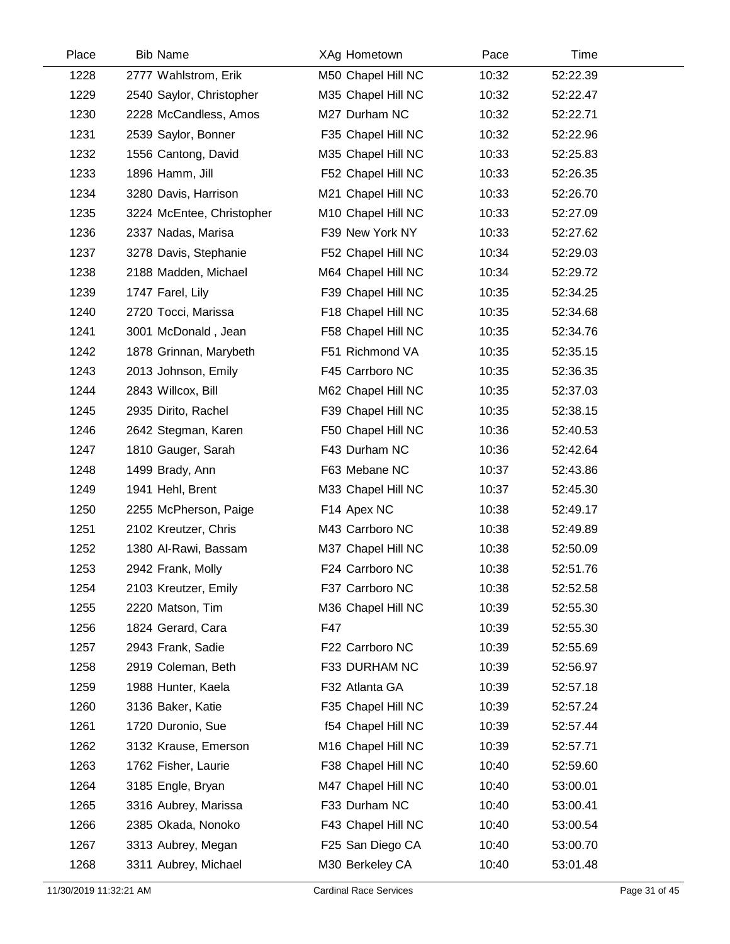| Place | <b>Bib Name</b>           | XAg Hometown       | Pace  | Time     |  |
|-------|---------------------------|--------------------|-------|----------|--|
| 1228  | 2777 Wahlstrom, Erik      | M50 Chapel Hill NC | 10:32 | 52:22.39 |  |
| 1229  | 2540 Saylor, Christopher  | M35 Chapel Hill NC | 10:32 | 52:22.47 |  |
| 1230  | 2228 McCandless, Amos     | M27 Durham NC      | 10:32 | 52:22.71 |  |
| 1231  | 2539 Saylor, Bonner       | F35 Chapel Hill NC | 10:32 | 52:22.96 |  |
| 1232  | 1556 Cantong, David       | M35 Chapel Hill NC | 10:33 | 52:25.83 |  |
| 1233  | 1896 Hamm, Jill           | F52 Chapel Hill NC | 10:33 | 52:26.35 |  |
| 1234  | 3280 Davis, Harrison      | M21 Chapel Hill NC | 10:33 | 52:26.70 |  |
| 1235  | 3224 McEntee, Christopher | M10 Chapel Hill NC | 10:33 | 52:27.09 |  |
| 1236  | 2337 Nadas, Marisa        | F39 New York NY    | 10:33 | 52:27.62 |  |
| 1237  | 3278 Davis, Stephanie     | F52 Chapel Hill NC | 10:34 | 52:29.03 |  |
| 1238  | 2188 Madden, Michael      | M64 Chapel Hill NC | 10:34 | 52:29.72 |  |
| 1239  | 1747 Farel, Lily          | F39 Chapel Hill NC | 10:35 | 52:34.25 |  |
| 1240  | 2720 Tocci, Marissa       | F18 Chapel Hill NC | 10:35 | 52:34.68 |  |
| 1241  | 3001 McDonald, Jean       | F58 Chapel Hill NC | 10:35 | 52:34.76 |  |
| 1242  | 1878 Grinnan, Marybeth    | F51 Richmond VA    | 10:35 | 52:35.15 |  |
| 1243  | 2013 Johnson, Emily       | F45 Carrboro NC    | 10:35 | 52:36.35 |  |
| 1244  | 2843 Willcox, Bill        | M62 Chapel Hill NC | 10:35 | 52:37.03 |  |
| 1245  | 2935 Dirito, Rachel       | F39 Chapel Hill NC | 10:35 | 52:38.15 |  |
| 1246  | 2642 Stegman, Karen       | F50 Chapel Hill NC | 10:36 | 52:40.53 |  |
| 1247  | 1810 Gauger, Sarah        | F43 Durham NC      | 10:36 | 52:42.64 |  |
| 1248  | 1499 Brady, Ann           | F63 Mebane NC      | 10:37 | 52:43.86 |  |
| 1249  | 1941 Hehl, Brent          | M33 Chapel Hill NC | 10:37 | 52:45.30 |  |
| 1250  | 2255 McPherson, Paige     | F14 Apex NC        | 10:38 | 52:49.17 |  |
| 1251  | 2102 Kreutzer, Chris      | M43 Carrboro NC    | 10:38 | 52:49.89 |  |
| 1252  | 1380 Al-Rawi, Bassam      | M37 Chapel Hill NC | 10:38 | 52:50.09 |  |
| 1253  | 2942 Frank, Molly         | F24 Carrboro NC    | 10:38 | 52:51.76 |  |
| 1254  | 2103 Kreutzer, Emily      | F37 Carrboro NC    | 10:38 | 52:52.58 |  |
| 1255  | 2220 Matson, Tim          | M36 Chapel Hill NC | 10:39 | 52:55.30 |  |
| 1256  | 1824 Gerard, Cara         | F47                | 10:39 | 52:55.30 |  |
| 1257  | 2943 Frank, Sadie         | F22 Carrboro NC    | 10:39 | 52:55.69 |  |
| 1258  | 2919 Coleman, Beth        | F33 DURHAM NC      | 10:39 | 52:56.97 |  |
| 1259  | 1988 Hunter, Kaela        | F32 Atlanta GA     | 10:39 | 52:57.18 |  |
| 1260  | 3136 Baker, Katie         | F35 Chapel Hill NC | 10:39 | 52:57.24 |  |
| 1261  | 1720 Duronio, Sue         | f54 Chapel Hill NC | 10:39 | 52:57.44 |  |
| 1262  | 3132 Krause, Emerson      | M16 Chapel Hill NC | 10:39 | 52:57.71 |  |
| 1263  | 1762 Fisher, Laurie       | F38 Chapel Hill NC | 10:40 | 52:59.60 |  |
| 1264  | 3185 Engle, Bryan         | M47 Chapel Hill NC | 10:40 | 53:00.01 |  |
| 1265  | 3316 Aubrey, Marissa      | F33 Durham NC      | 10:40 | 53:00.41 |  |
| 1266  | 2385 Okada, Nonoko        | F43 Chapel Hill NC | 10:40 | 53:00.54 |  |
| 1267  | 3313 Aubrey, Megan        | F25 San Diego CA   | 10:40 | 53:00.70 |  |
| 1268  | 3311 Aubrey, Michael      | M30 Berkeley CA    | 10:40 | 53:01.48 |  |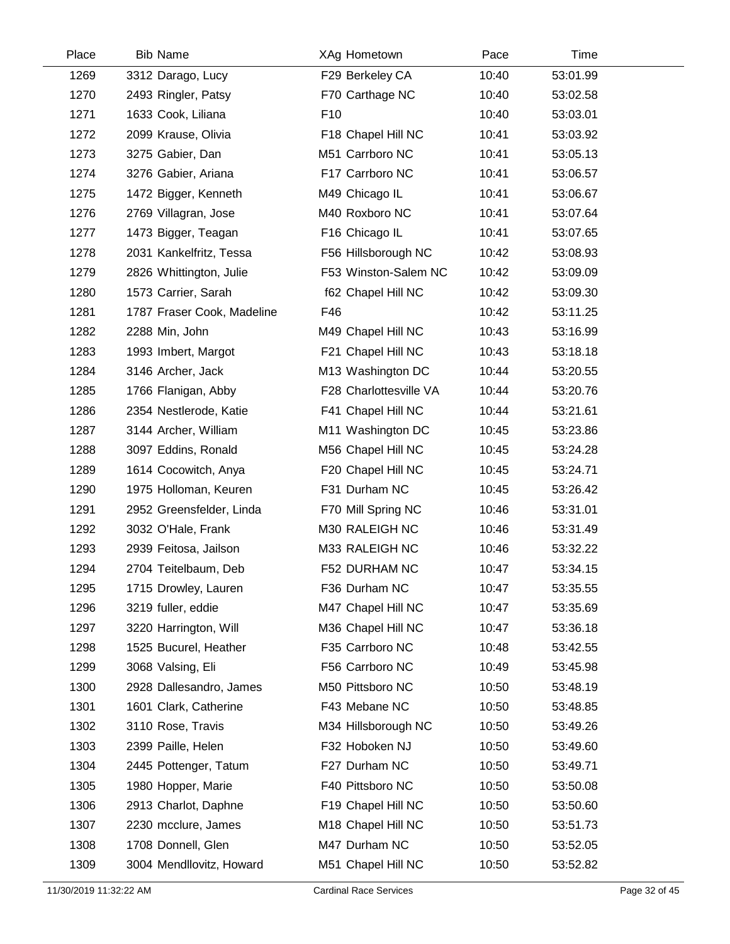| Place | <b>Bib Name</b>            | XAg Hometown           | Pace  | Time     |  |
|-------|----------------------------|------------------------|-------|----------|--|
| 1269  | 3312 Darago, Lucy          | F29 Berkeley CA        | 10:40 | 53:01.99 |  |
| 1270  | 2493 Ringler, Patsy        | F70 Carthage NC        | 10:40 | 53:02.58 |  |
| 1271  | 1633 Cook, Liliana         | F <sub>10</sub>        | 10:40 | 53:03.01 |  |
| 1272  | 2099 Krause, Olivia        | F18 Chapel Hill NC     | 10:41 | 53:03.92 |  |
| 1273  | 3275 Gabier, Dan           | M51 Carrboro NC        | 10:41 | 53:05.13 |  |
| 1274  | 3276 Gabier, Ariana        | F17 Carrboro NC        | 10:41 | 53:06.57 |  |
| 1275  | 1472 Bigger, Kenneth       | M49 Chicago IL         | 10:41 | 53:06.67 |  |
| 1276  | 2769 Villagran, Jose       | M40 Roxboro NC         | 10:41 | 53:07.64 |  |
| 1277  | 1473 Bigger, Teagan        | F16 Chicago IL         | 10:41 | 53:07.65 |  |
| 1278  | 2031 Kankelfritz, Tessa    | F56 Hillsborough NC    | 10:42 | 53:08.93 |  |
| 1279  | 2826 Whittington, Julie    | F53 Winston-Salem NC   | 10:42 | 53:09.09 |  |
| 1280  | 1573 Carrier, Sarah        | f62 Chapel Hill NC     | 10:42 | 53:09.30 |  |
| 1281  | 1787 Fraser Cook, Madeline | F46                    | 10:42 | 53:11.25 |  |
| 1282  | 2288 Min, John             | M49 Chapel Hill NC     | 10:43 | 53:16.99 |  |
| 1283  | 1993 Imbert, Margot        | F21 Chapel Hill NC     | 10:43 | 53:18.18 |  |
| 1284  | 3146 Archer, Jack          | M13 Washington DC      | 10:44 | 53:20.55 |  |
| 1285  | 1766 Flanigan, Abby        | F28 Charlottesville VA | 10:44 | 53:20.76 |  |
| 1286  | 2354 Nestlerode, Katie     | F41 Chapel Hill NC     | 10:44 | 53:21.61 |  |
| 1287  | 3144 Archer, William       | M11 Washington DC      | 10:45 | 53:23.86 |  |
| 1288  | 3097 Eddins, Ronald        | M56 Chapel Hill NC     | 10:45 | 53:24.28 |  |
| 1289  | 1614 Cocowitch, Anya       | F20 Chapel Hill NC     | 10:45 | 53:24.71 |  |
| 1290  | 1975 Holloman, Keuren      | F31 Durham NC          | 10:45 | 53:26.42 |  |
| 1291  | 2952 Greensfelder, Linda   | F70 Mill Spring NC     | 10:46 | 53:31.01 |  |
| 1292  | 3032 O'Hale, Frank         | M30 RALEIGH NC         | 10:46 | 53:31.49 |  |
| 1293  | 2939 Feitosa, Jailson      | M33 RALEIGH NC         | 10:46 | 53:32.22 |  |
| 1294  | 2704 Teitelbaum, Deb       | F52 DURHAM NC          | 10:47 | 53:34.15 |  |
| 1295  | 1715 Drowley, Lauren       | F36 Durham NC          | 10:47 | 53:35.55 |  |
| 1296  | 3219 fuller, eddie         | M47 Chapel Hill NC     | 10:47 | 53:35.69 |  |
| 1297  | 3220 Harrington, Will      | M36 Chapel Hill NC     | 10:47 | 53:36.18 |  |
| 1298  | 1525 Bucurel, Heather      | F35 Carrboro NC        | 10:48 | 53:42.55 |  |
| 1299  | 3068 Valsing, Eli          | F56 Carrboro NC        | 10:49 | 53:45.98 |  |
| 1300  | 2928 Dallesandro, James    | M50 Pittsboro NC       | 10:50 | 53:48.19 |  |
| 1301  | 1601 Clark, Catherine      | F43 Mebane NC          | 10:50 | 53:48.85 |  |
| 1302  | 3110 Rose, Travis          | M34 Hillsborough NC    | 10:50 | 53:49.26 |  |
| 1303  | 2399 Paille, Helen         | F32 Hoboken NJ         | 10:50 | 53:49.60 |  |
| 1304  | 2445 Pottenger, Tatum      | F27 Durham NC          | 10:50 | 53:49.71 |  |
| 1305  | 1980 Hopper, Marie         | F40 Pittsboro NC       | 10:50 | 53:50.08 |  |
| 1306  | 2913 Charlot, Daphne       | F19 Chapel Hill NC     | 10:50 | 53:50.60 |  |
| 1307  | 2230 mcclure, James        | M18 Chapel Hill NC     | 10:50 | 53:51.73 |  |
| 1308  | 1708 Donnell, Glen         | M47 Durham NC          | 10:50 | 53:52.05 |  |
| 1309  | 3004 Mendllovitz, Howard   | M51 Chapel Hill NC     | 10:50 | 53:52.82 |  |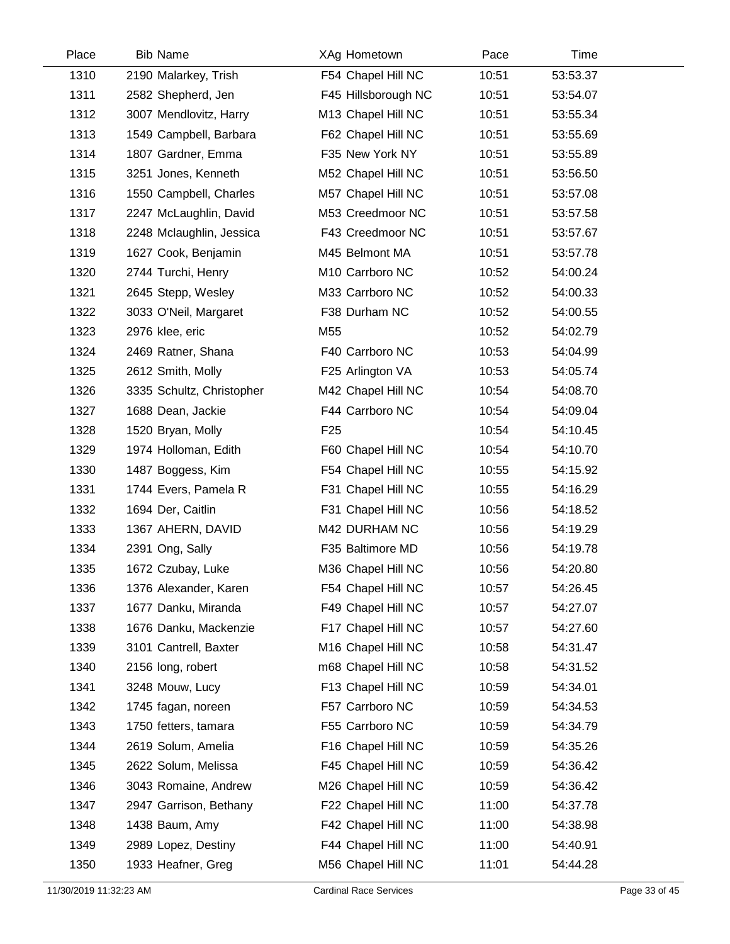| Place | <b>Bib Name</b>           | XAg Hometown        | Pace  | Time     |  |
|-------|---------------------------|---------------------|-------|----------|--|
| 1310  | 2190 Malarkey, Trish      | F54 Chapel Hill NC  | 10:51 | 53:53.37 |  |
| 1311  | 2582 Shepherd, Jen        | F45 Hillsborough NC | 10:51 | 53:54.07 |  |
| 1312  | 3007 Mendlovitz, Harry    | M13 Chapel Hill NC  | 10:51 | 53:55.34 |  |
| 1313  | 1549 Campbell, Barbara    | F62 Chapel Hill NC  | 10:51 | 53:55.69 |  |
| 1314  | 1807 Gardner, Emma        | F35 New York NY     | 10:51 | 53:55.89 |  |
| 1315  | 3251 Jones, Kenneth       | M52 Chapel Hill NC  | 10:51 | 53:56.50 |  |
| 1316  | 1550 Campbell, Charles    | M57 Chapel Hill NC  | 10:51 | 53:57.08 |  |
| 1317  | 2247 McLaughlin, David    | M53 Creedmoor NC    | 10:51 | 53:57.58 |  |
| 1318  | 2248 Mclaughlin, Jessica  | F43 Creedmoor NC    | 10:51 | 53:57.67 |  |
| 1319  | 1627 Cook, Benjamin       | M45 Belmont MA      | 10:51 | 53:57.78 |  |
| 1320  | 2744 Turchi, Henry        | M10 Carrboro NC     | 10:52 | 54:00.24 |  |
| 1321  | 2645 Stepp, Wesley        | M33 Carrboro NC     | 10:52 | 54:00.33 |  |
| 1322  | 3033 O'Neil, Margaret     | F38 Durham NC       | 10:52 | 54:00.55 |  |
| 1323  | 2976 klee, eric           | M55                 | 10:52 | 54:02.79 |  |
| 1324  | 2469 Ratner, Shana        | F40 Carrboro NC     | 10:53 | 54:04.99 |  |
| 1325  | 2612 Smith, Molly         | F25 Arlington VA    | 10:53 | 54:05.74 |  |
| 1326  | 3335 Schultz, Christopher | M42 Chapel Hill NC  | 10:54 | 54:08.70 |  |
| 1327  | 1688 Dean, Jackie         | F44 Carrboro NC     | 10:54 | 54:09.04 |  |
| 1328  | 1520 Bryan, Molly         | F <sub>25</sub>     | 10:54 | 54:10.45 |  |
| 1329  | 1974 Holloman, Edith      | F60 Chapel Hill NC  | 10:54 | 54:10.70 |  |
| 1330  | 1487 Boggess, Kim         | F54 Chapel Hill NC  | 10:55 | 54:15.92 |  |
| 1331  | 1744 Evers, Pamela R      | F31 Chapel Hill NC  | 10:55 | 54:16.29 |  |
| 1332  | 1694 Der, Caitlin         | F31 Chapel Hill NC  | 10:56 | 54:18.52 |  |
| 1333  | 1367 AHERN, DAVID         | M42 DURHAM NC       | 10:56 | 54:19.29 |  |
| 1334  | 2391 Ong, Sally           | F35 Baltimore MD    | 10:56 | 54:19.78 |  |
| 1335  | 1672 Czubay, Luke         | M36 Chapel Hill NC  | 10:56 | 54:20.80 |  |
| 1336  | 1376 Alexander, Karen     | F54 Chapel Hill NC  | 10:57 | 54:26.45 |  |
| 1337  | 1677 Danku, Miranda       | F49 Chapel Hill NC  | 10:57 | 54:27.07 |  |
| 1338  | 1676 Danku, Mackenzie     | F17 Chapel Hill NC  | 10:57 | 54:27.60 |  |
| 1339  | 3101 Cantrell, Baxter     | M16 Chapel Hill NC  | 10:58 | 54:31.47 |  |
| 1340  | 2156 long, robert         | m68 Chapel Hill NC  | 10:58 | 54:31.52 |  |
| 1341  | 3248 Mouw, Lucy           | F13 Chapel Hill NC  | 10:59 | 54:34.01 |  |
| 1342  | 1745 fagan, noreen        | F57 Carrboro NC     | 10:59 | 54:34.53 |  |
| 1343  | 1750 fetters, tamara      | F55 Carrboro NC     | 10:59 | 54:34.79 |  |
| 1344  | 2619 Solum, Amelia        | F16 Chapel Hill NC  | 10:59 | 54:35.26 |  |
| 1345  | 2622 Solum, Melissa       | F45 Chapel Hill NC  | 10:59 | 54:36.42 |  |
| 1346  | 3043 Romaine, Andrew      | M26 Chapel Hill NC  | 10:59 | 54:36.42 |  |
| 1347  | 2947 Garrison, Bethany    | F22 Chapel Hill NC  | 11:00 | 54:37.78 |  |
| 1348  | 1438 Baum, Amy            | F42 Chapel Hill NC  | 11:00 | 54:38.98 |  |
| 1349  | 2989 Lopez, Destiny       | F44 Chapel Hill NC  | 11:00 | 54:40.91 |  |
| 1350  | 1933 Heafner, Greg        | M56 Chapel Hill NC  | 11:01 | 54:44.28 |  |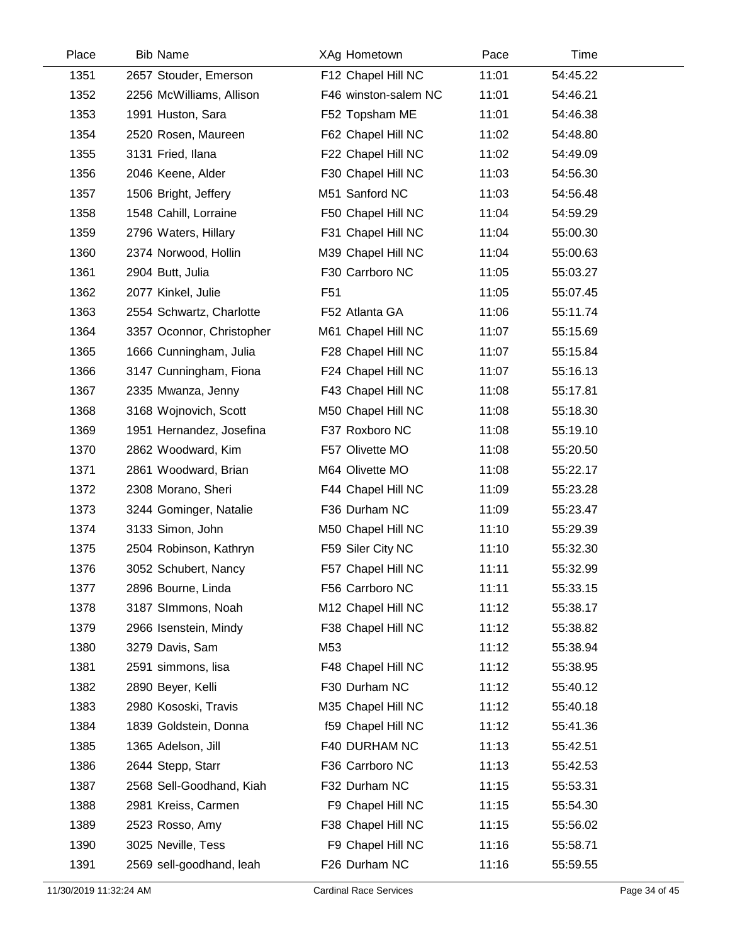| Place | <b>Bib Name</b>           | XAg Hometown         | Pace  | Time     |  |
|-------|---------------------------|----------------------|-------|----------|--|
| 1351  | 2657 Stouder, Emerson     | F12 Chapel Hill NC   | 11:01 | 54:45.22 |  |
| 1352  | 2256 McWilliams, Allison  | F46 winston-salem NC | 11:01 | 54:46.21 |  |
| 1353  | 1991 Huston, Sara         | F52 Topsham ME       | 11:01 | 54:46.38 |  |
| 1354  | 2520 Rosen, Maureen       | F62 Chapel Hill NC   | 11:02 | 54:48.80 |  |
| 1355  | 3131 Fried, Ilana         | F22 Chapel Hill NC   | 11:02 | 54:49.09 |  |
| 1356  | 2046 Keene, Alder         | F30 Chapel Hill NC   | 11:03 | 54:56.30 |  |
| 1357  | 1506 Bright, Jeffery      | M51 Sanford NC       | 11:03 | 54:56.48 |  |
| 1358  | 1548 Cahill, Lorraine     | F50 Chapel Hill NC   | 11:04 | 54:59.29 |  |
| 1359  | 2796 Waters, Hillary      | F31 Chapel Hill NC   | 11:04 | 55:00.30 |  |
| 1360  | 2374 Norwood, Hollin      | M39 Chapel Hill NC   | 11:04 | 55:00.63 |  |
| 1361  | 2904 Butt, Julia          | F30 Carrboro NC      | 11:05 | 55:03.27 |  |
| 1362  | 2077 Kinkel, Julie        | F <sub>51</sub>      | 11:05 | 55:07.45 |  |
| 1363  | 2554 Schwartz, Charlotte  | F52 Atlanta GA       | 11:06 | 55:11.74 |  |
| 1364  | 3357 Oconnor, Christopher | M61 Chapel Hill NC   | 11:07 | 55:15.69 |  |
| 1365  | 1666 Cunningham, Julia    | F28 Chapel Hill NC   | 11:07 | 55:15.84 |  |
| 1366  | 3147 Cunningham, Fiona    | F24 Chapel Hill NC   | 11:07 | 55:16.13 |  |
| 1367  | 2335 Mwanza, Jenny        | F43 Chapel Hill NC   | 11:08 | 55:17.81 |  |
| 1368  | 3168 Wojnovich, Scott     | M50 Chapel Hill NC   | 11:08 | 55:18.30 |  |
| 1369  | 1951 Hernandez, Josefina  | F37 Roxboro NC       | 11:08 | 55:19.10 |  |
| 1370  | 2862 Woodward, Kim        | F57 Olivette MO      | 11:08 | 55:20.50 |  |
| 1371  | 2861 Woodward, Brian      | M64 Olivette MO      | 11:08 | 55:22.17 |  |
| 1372  | 2308 Morano, Sheri        | F44 Chapel Hill NC   | 11:09 | 55:23.28 |  |
| 1373  | 3244 Gominger, Natalie    | F36 Durham NC        | 11:09 | 55:23.47 |  |
| 1374  | 3133 Simon, John          | M50 Chapel Hill NC   | 11:10 | 55:29.39 |  |
| 1375  | 2504 Robinson, Kathryn    | F59 Siler City NC    | 11:10 | 55:32.30 |  |
| 1376  | 3052 Schubert, Nancy      | F57 Chapel Hill NC   | 11:11 | 55:32.99 |  |
| 1377  | 2896 Bourne, Linda        | F56 Carrboro NC      | 11:11 | 55:33.15 |  |
| 1378  | 3187 SImmons, Noah        | M12 Chapel Hill NC   | 11:12 | 55:38.17 |  |
| 1379  | 2966 Isenstein, Mindy     | F38 Chapel Hill NC   | 11:12 | 55:38.82 |  |
| 1380  | 3279 Davis, Sam           | M53                  | 11:12 | 55:38.94 |  |
| 1381  | 2591 simmons, lisa        | F48 Chapel Hill NC   | 11:12 | 55:38.95 |  |
| 1382  | 2890 Beyer, Kelli         | F30 Durham NC        | 11:12 | 55:40.12 |  |
| 1383  | 2980 Kososki, Travis      | M35 Chapel Hill NC   | 11:12 | 55:40.18 |  |
| 1384  | 1839 Goldstein, Donna     | f59 Chapel Hill NC   | 11:12 | 55:41.36 |  |
| 1385  | 1365 Adelson, Jill        | F40 DURHAM NC        | 11:13 | 55:42.51 |  |
| 1386  | 2644 Stepp, Starr         | F36 Carrboro NC      | 11:13 | 55:42.53 |  |
| 1387  | 2568 Sell-Goodhand, Kiah  | F32 Durham NC        | 11:15 | 55:53.31 |  |
| 1388  | 2981 Kreiss, Carmen       | F9 Chapel Hill NC    | 11:15 | 55:54.30 |  |
| 1389  | 2523 Rosso, Amy           | F38 Chapel Hill NC   | 11:15 | 55:56.02 |  |
| 1390  | 3025 Neville, Tess        | F9 Chapel Hill NC    | 11:16 | 55:58.71 |  |
| 1391  | 2569 sell-goodhand, leah  | F26 Durham NC        | 11:16 | 55:59.55 |  |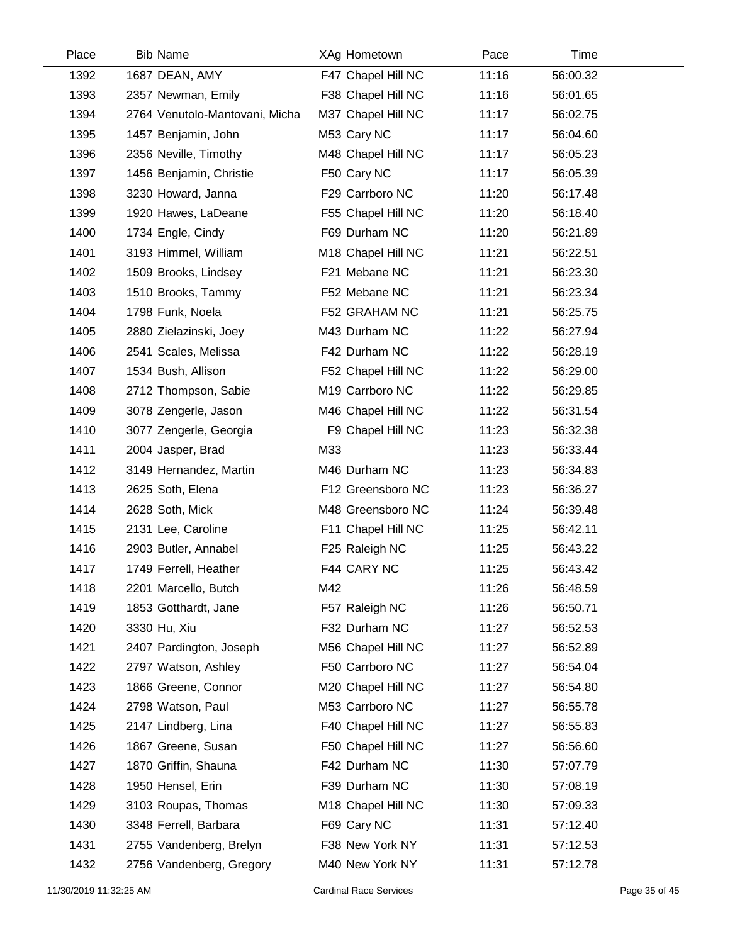| Place | <b>Bib Name</b>                | XAg Hometown       | Pace  | Time     |  |
|-------|--------------------------------|--------------------|-------|----------|--|
| 1392  | 1687 DEAN, AMY                 | F47 Chapel Hill NC | 11:16 | 56:00.32 |  |
| 1393  | 2357 Newman, Emily             | F38 Chapel Hill NC | 11:16 | 56:01.65 |  |
| 1394  | 2764 Venutolo-Mantovani, Micha | M37 Chapel Hill NC | 11:17 | 56:02.75 |  |
| 1395  | 1457 Benjamin, John            | M53 Cary NC        | 11:17 | 56:04.60 |  |
| 1396  | 2356 Neville, Timothy          | M48 Chapel Hill NC | 11:17 | 56:05.23 |  |
| 1397  | 1456 Benjamin, Christie        | F50 Cary NC        | 11:17 | 56:05.39 |  |
| 1398  | 3230 Howard, Janna             | F29 Carrboro NC    | 11:20 | 56:17.48 |  |
| 1399  | 1920 Hawes, LaDeane            | F55 Chapel Hill NC | 11:20 | 56:18.40 |  |
| 1400  | 1734 Engle, Cindy              | F69 Durham NC      | 11:20 | 56:21.89 |  |
| 1401  | 3193 Himmel, William           | M18 Chapel Hill NC | 11:21 | 56:22.51 |  |
| 1402  | 1509 Brooks, Lindsey           | F21 Mebane NC      | 11:21 | 56:23.30 |  |
| 1403  | 1510 Brooks, Tammy             | F52 Mebane NC      | 11:21 | 56:23.34 |  |
| 1404  | 1798 Funk, Noela               | F52 GRAHAM NC      | 11:21 | 56:25.75 |  |
| 1405  | 2880 Zielazinski, Joey         | M43 Durham NC      | 11:22 | 56:27.94 |  |
| 1406  | 2541 Scales, Melissa           | F42 Durham NC      | 11:22 | 56:28.19 |  |
| 1407  | 1534 Bush, Allison             | F52 Chapel Hill NC | 11:22 | 56:29.00 |  |
| 1408  | 2712 Thompson, Sabie           | M19 Carrboro NC    | 11:22 | 56:29.85 |  |
| 1409  | 3078 Zengerle, Jason           | M46 Chapel Hill NC | 11:22 | 56:31.54 |  |
| 1410  | 3077 Zengerle, Georgia         | F9 Chapel Hill NC  | 11:23 | 56:32.38 |  |
| 1411  | 2004 Jasper, Brad              | M33                | 11:23 | 56:33.44 |  |
| 1412  | 3149 Hernandez, Martin         | M46 Durham NC      | 11:23 | 56:34.83 |  |
| 1413  | 2625 Soth, Elena               | F12 Greensboro NC  | 11:23 | 56:36.27 |  |
| 1414  | 2628 Soth, Mick                | M48 Greensboro NC  | 11:24 | 56:39.48 |  |
| 1415  | 2131 Lee, Caroline             | F11 Chapel Hill NC | 11:25 | 56:42.11 |  |
| 1416  | 2903 Butler, Annabel           | F25 Raleigh NC     | 11:25 | 56:43.22 |  |
| 1417  | 1749 Ferrell, Heather          | F44 CARY NC        | 11:25 | 56:43.42 |  |
| 1418  | 2201 Marcello, Butch           | M42                | 11:26 | 56:48.59 |  |
| 1419  | 1853 Gotthardt, Jane           | F57 Raleigh NC     | 11:26 | 56:50.71 |  |
| 1420  | 3330 Hu, Xiu                   | F32 Durham NC      | 11:27 | 56:52.53 |  |
| 1421  | 2407 Pardington, Joseph        | M56 Chapel Hill NC | 11:27 | 56:52.89 |  |
| 1422  | 2797 Watson, Ashley            | F50 Carrboro NC    | 11:27 | 56:54.04 |  |
| 1423  | 1866 Greene, Connor            | M20 Chapel Hill NC | 11:27 | 56:54.80 |  |
| 1424  | 2798 Watson, Paul              | M53 Carrboro NC    | 11:27 | 56:55.78 |  |
| 1425  | 2147 Lindberg, Lina            | F40 Chapel Hill NC | 11:27 | 56:55.83 |  |
| 1426  | 1867 Greene, Susan             | F50 Chapel Hill NC | 11:27 | 56:56.60 |  |
| 1427  | 1870 Griffin, Shauna           | F42 Durham NC      | 11:30 | 57:07.79 |  |
| 1428  | 1950 Hensel, Erin              | F39 Durham NC      | 11:30 | 57:08.19 |  |
| 1429  | 3103 Roupas, Thomas            | M18 Chapel Hill NC | 11:30 | 57:09.33 |  |
| 1430  | 3348 Ferrell, Barbara          | F69 Cary NC        | 11:31 | 57:12.40 |  |
| 1431  | 2755 Vandenberg, Brelyn        | F38 New York NY    | 11:31 | 57:12.53 |  |
| 1432  | 2756 Vandenberg, Gregory       | M40 New York NY    | 11:31 | 57:12.78 |  |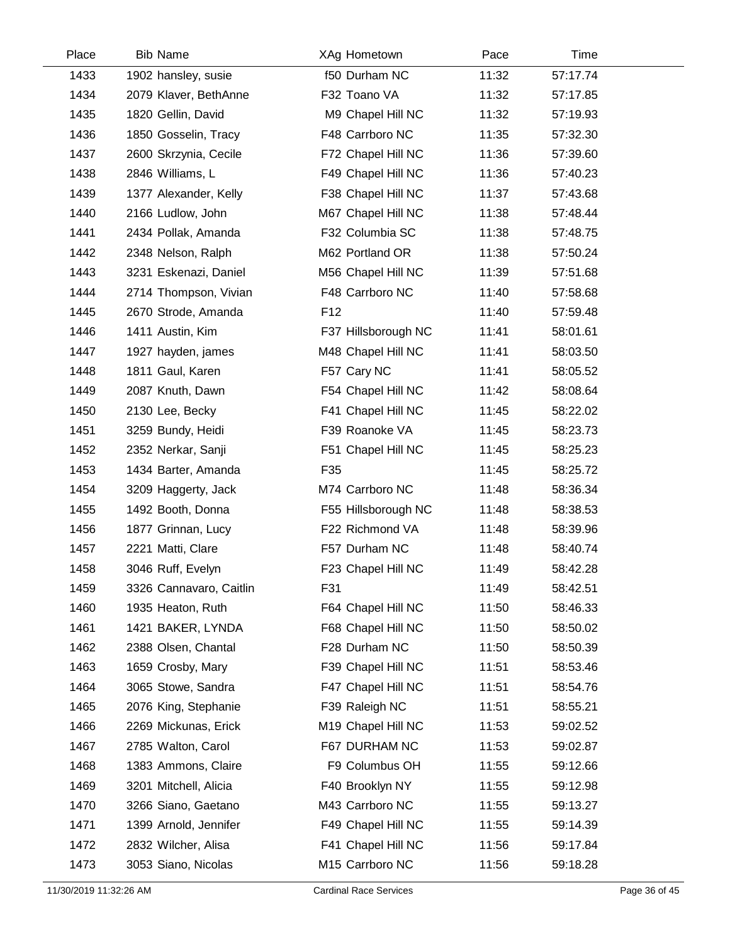| Place | <b>Bib Name</b>         | XAg Hometown        | Pace  | Time     |  |
|-------|-------------------------|---------------------|-------|----------|--|
| 1433  | 1902 hansley, susie     | f50 Durham NC       | 11:32 | 57:17.74 |  |
| 1434  | 2079 Klaver, BethAnne   | F32 Toano VA        | 11:32 | 57:17.85 |  |
| 1435  | 1820 Gellin, David      | M9 Chapel Hill NC   | 11:32 | 57:19.93 |  |
| 1436  | 1850 Gosselin, Tracy    | F48 Carrboro NC     | 11:35 | 57:32.30 |  |
| 1437  | 2600 Skrzynia, Cecile   | F72 Chapel Hill NC  | 11:36 | 57:39.60 |  |
| 1438  | 2846 Williams, L        | F49 Chapel Hill NC  | 11:36 | 57:40.23 |  |
| 1439  | 1377 Alexander, Kelly   | F38 Chapel Hill NC  | 11:37 | 57:43.68 |  |
| 1440  | 2166 Ludlow, John       | M67 Chapel Hill NC  | 11:38 | 57:48.44 |  |
| 1441  | 2434 Pollak, Amanda     | F32 Columbia SC     | 11:38 | 57:48.75 |  |
| 1442  | 2348 Nelson, Ralph      | M62 Portland OR     | 11:38 | 57:50.24 |  |
| 1443  | 3231 Eskenazi, Daniel   | M56 Chapel Hill NC  | 11:39 | 57:51.68 |  |
| 1444  | 2714 Thompson, Vivian   | F48 Carrboro NC     | 11:40 | 57:58.68 |  |
| 1445  | 2670 Strode, Amanda     | F <sub>12</sub>     | 11:40 | 57:59.48 |  |
| 1446  | 1411 Austin, Kim        | F37 Hillsborough NC | 11:41 | 58:01.61 |  |
| 1447  | 1927 hayden, james      | M48 Chapel Hill NC  | 11:41 | 58:03.50 |  |
| 1448  | 1811 Gaul, Karen        | F57 Cary NC         | 11:41 | 58:05.52 |  |
| 1449  | 2087 Knuth, Dawn        | F54 Chapel Hill NC  | 11:42 | 58:08.64 |  |
| 1450  | 2130 Lee, Becky         | F41 Chapel Hill NC  | 11:45 | 58:22.02 |  |
| 1451  | 3259 Bundy, Heidi       | F39 Roanoke VA      | 11:45 | 58:23.73 |  |
| 1452  | 2352 Nerkar, Sanji      | F51 Chapel Hill NC  | 11:45 | 58:25.23 |  |
| 1453  | 1434 Barter, Amanda     | F35                 | 11:45 | 58:25.72 |  |
| 1454  | 3209 Haggerty, Jack     | M74 Carrboro NC     | 11:48 | 58:36.34 |  |
| 1455  | 1492 Booth, Donna       | F55 Hillsborough NC | 11:48 | 58:38.53 |  |
| 1456  | 1877 Grinnan, Lucy      | F22 Richmond VA     | 11:48 | 58:39.96 |  |
| 1457  | 2221 Matti, Clare       | F57 Durham NC       | 11:48 | 58:40.74 |  |
| 1458  | 3046 Ruff, Evelyn       | F23 Chapel Hill NC  | 11:49 | 58:42.28 |  |
| 1459  | 3326 Cannavaro, Caitlin | F31                 | 11:49 | 58:42.51 |  |
| 1460  | 1935 Heaton, Ruth       | F64 Chapel Hill NC  | 11:50 | 58:46.33 |  |
| 1461  | 1421 BAKER, LYNDA       | F68 Chapel Hill NC  | 11:50 | 58:50.02 |  |
| 1462  | 2388 Olsen, Chantal     | F28 Durham NC       | 11:50 | 58:50.39 |  |
| 1463  | 1659 Crosby, Mary       | F39 Chapel Hill NC  | 11:51 | 58:53.46 |  |
| 1464  | 3065 Stowe, Sandra      | F47 Chapel Hill NC  | 11:51 | 58:54.76 |  |
| 1465  | 2076 King, Stephanie    | F39 Raleigh NC      | 11:51 | 58:55.21 |  |
| 1466  | 2269 Mickunas, Erick    | M19 Chapel Hill NC  | 11:53 | 59:02.52 |  |
| 1467  | 2785 Walton, Carol      | F67 DURHAM NC       | 11:53 | 59:02.87 |  |
| 1468  | 1383 Ammons, Claire     | F9 Columbus OH      | 11:55 | 59:12.66 |  |
| 1469  | 3201 Mitchell, Alicia   | F40 Brooklyn NY     | 11:55 | 59:12.98 |  |
| 1470  | 3266 Siano, Gaetano     | M43 Carrboro NC     | 11:55 | 59:13.27 |  |
| 1471  | 1399 Arnold, Jennifer   | F49 Chapel Hill NC  | 11:55 | 59:14.39 |  |
| 1472  | 2832 Wilcher, Alisa     | F41 Chapel Hill NC  | 11:56 | 59:17.84 |  |
| 1473  | 3053 Siano, Nicolas     | M15 Carrboro NC     | 11:56 | 59:18.28 |  |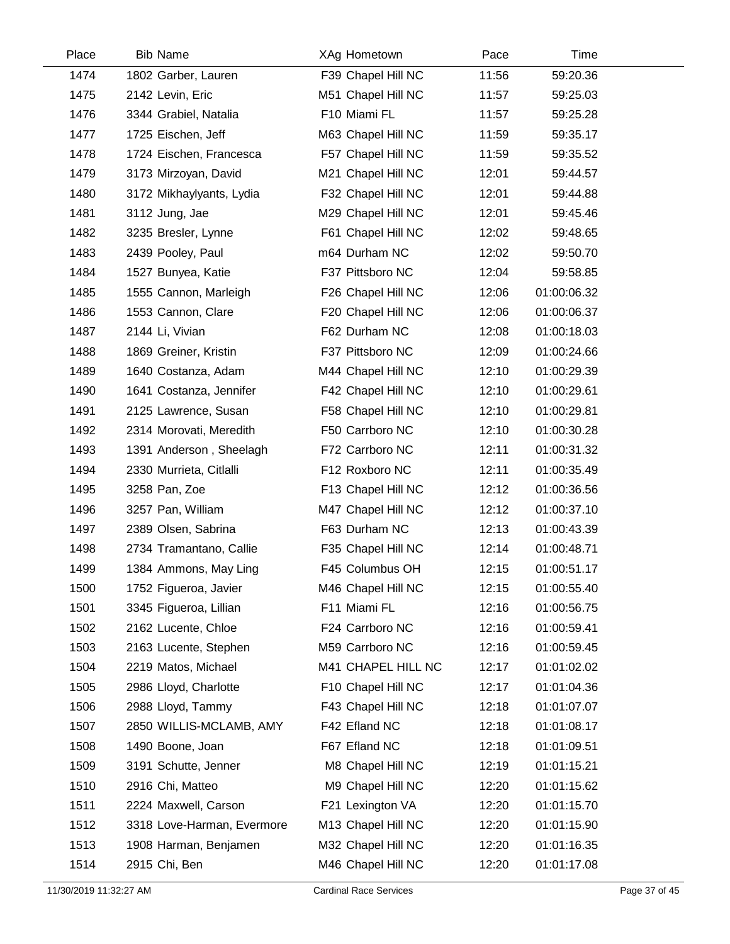| Place | <b>Bib Name</b>            | XAg Hometown       | Pace  | Time        |  |
|-------|----------------------------|--------------------|-------|-------------|--|
| 1474  | 1802 Garber, Lauren        | F39 Chapel Hill NC | 11:56 | 59:20.36    |  |
| 1475  | 2142 Levin, Eric           | M51 Chapel Hill NC | 11:57 | 59:25.03    |  |
| 1476  | 3344 Grabiel, Natalia      | F10 Miami FL       | 11:57 | 59:25.28    |  |
| 1477  | 1725 Eischen, Jeff         | M63 Chapel Hill NC | 11:59 | 59:35.17    |  |
| 1478  | 1724 Eischen, Francesca    | F57 Chapel Hill NC | 11:59 | 59:35.52    |  |
| 1479  | 3173 Mirzoyan, David       | M21 Chapel Hill NC | 12:01 | 59:44.57    |  |
| 1480  | 3172 Mikhaylyants, Lydia   | F32 Chapel Hill NC | 12:01 | 59:44.88    |  |
| 1481  | 3112 Jung, Jae             | M29 Chapel Hill NC | 12:01 | 59:45.46    |  |
| 1482  | 3235 Bresler, Lynne        | F61 Chapel Hill NC | 12:02 | 59:48.65    |  |
| 1483  | 2439 Pooley, Paul          | m64 Durham NC      | 12:02 | 59:50.70    |  |
| 1484  | 1527 Bunyea, Katie         | F37 Pittsboro NC   | 12:04 | 59:58.85    |  |
| 1485  | 1555 Cannon, Marleigh      | F26 Chapel Hill NC | 12:06 | 01:00:06.32 |  |
| 1486  | 1553 Cannon, Clare         | F20 Chapel Hill NC | 12:06 | 01:00:06.37 |  |
| 1487  | 2144 Li, Vivian            | F62 Durham NC      | 12:08 | 01:00:18.03 |  |
| 1488  | 1869 Greiner, Kristin      | F37 Pittsboro NC   | 12:09 | 01:00:24.66 |  |
| 1489  | 1640 Costanza, Adam        | M44 Chapel Hill NC | 12:10 | 01:00:29.39 |  |
| 1490  | 1641 Costanza, Jennifer    | F42 Chapel Hill NC | 12:10 | 01:00:29.61 |  |
| 1491  | 2125 Lawrence, Susan       | F58 Chapel Hill NC | 12:10 | 01:00:29.81 |  |
| 1492  | 2314 Morovati, Meredith    | F50 Carrboro NC    | 12:10 | 01:00:30.28 |  |
| 1493  | 1391 Anderson, Sheelagh    | F72 Carrboro NC    | 12:11 | 01:00:31.32 |  |
| 1494  | 2330 Murrieta, Citlalli    | F12 Roxboro NC     | 12:11 | 01:00:35.49 |  |
| 1495  | 3258 Pan, Zoe              | F13 Chapel Hill NC | 12:12 | 01:00:36.56 |  |
| 1496  | 3257 Pan, William          | M47 Chapel Hill NC | 12:12 | 01:00:37.10 |  |
| 1497  | 2389 Olsen, Sabrina        | F63 Durham NC      | 12:13 | 01:00:43.39 |  |
| 1498  | 2734 Tramantano, Callie    | F35 Chapel Hill NC | 12:14 | 01:00:48.71 |  |
| 1499  | 1384 Ammons, May Ling      | F45 Columbus OH    | 12:15 | 01:00:51.17 |  |
| 1500  | 1752 Figueroa, Javier      | M46 Chapel Hill NC | 12:15 | 01:00:55.40 |  |
| 1501  | 3345 Figueroa, Lillian     | F11 Miami FL       | 12:16 | 01:00:56.75 |  |
| 1502  | 2162 Lucente, Chloe        | F24 Carrboro NC    | 12:16 | 01:00:59.41 |  |
| 1503  | 2163 Lucente, Stephen      | M59 Carrboro NC    | 12:16 | 01:00:59.45 |  |
| 1504  | 2219 Matos, Michael        | M41 CHAPEL HILL NC | 12:17 | 01:01:02.02 |  |
| 1505  | 2986 Lloyd, Charlotte      | F10 Chapel Hill NC | 12:17 | 01:01:04.36 |  |
| 1506  | 2988 Lloyd, Tammy          | F43 Chapel Hill NC | 12:18 | 01:01:07.07 |  |
| 1507  | 2850 WILLIS-MCLAMB, AMY    | F42 Efland NC      | 12:18 | 01:01:08.17 |  |
| 1508  | 1490 Boone, Joan           | F67 Efland NC      | 12:18 | 01:01:09.51 |  |
| 1509  | 3191 Schutte, Jenner       | M8 Chapel Hill NC  | 12:19 | 01:01:15.21 |  |
| 1510  | 2916 Chi, Matteo           | M9 Chapel Hill NC  | 12:20 | 01:01:15.62 |  |
| 1511  | 2224 Maxwell, Carson       | F21 Lexington VA   | 12:20 | 01:01:15.70 |  |
| 1512  | 3318 Love-Harman, Evermore | M13 Chapel Hill NC | 12:20 | 01:01:15.90 |  |
| 1513  | 1908 Harman, Benjamen      | M32 Chapel Hill NC | 12:20 | 01:01:16.35 |  |
| 1514  | 2915 Chi, Ben              | M46 Chapel Hill NC | 12:20 | 01:01:17.08 |  |

Ĺ,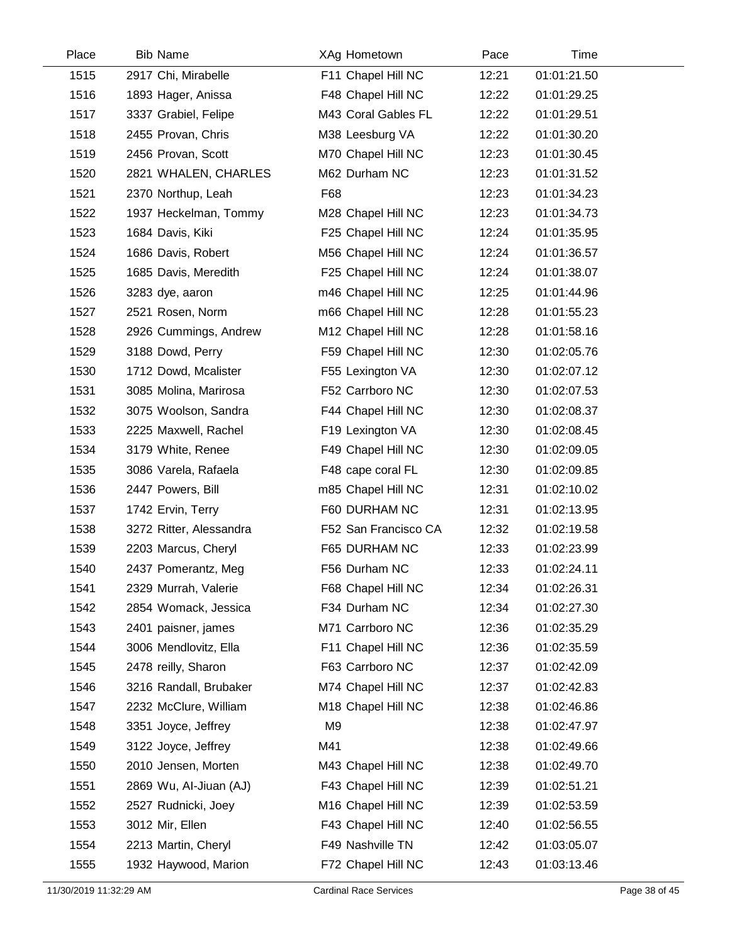| Place | <b>Bib Name</b>         | XAg Hometown         | Pace  | Time        |  |
|-------|-------------------------|----------------------|-------|-------------|--|
| 1515  | 2917 Chi, Mirabelle     | F11 Chapel Hill NC   | 12:21 | 01:01:21.50 |  |
| 1516  | 1893 Hager, Anissa      | F48 Chapel Hill NC   | 12:22 | 01:01:29.25 |  |
| 1517  | 3337 Grabiel, Felipe    | M43 Coral Gables FL  | 12:22 | 01:01:29.51 |  |
| 1518  | 2455 Provan, Chris      | M38 Leesburg VA      | 12:22 | 01:01:30.20 |  |
| 1519  | 2456 Provan, Scott      | M70 Chapel Hill NC   | 12:23 | 01:01:30.45 |  |
| 1520  | 2821 WHALEN, CHARLES    | M62 Durham NC        | 12:23 | 01:01:31.52 |  |
| 1521  | 2370 Northup, Leah      | F68                  | 12:23 | 01:01:34.23 |  |
| 1522  | 1937 Heckelman, Tommy   | M28 Chapel Hill NC   | 12:23 | 01:01:34.73 |  |
| 1523  | 1684 Davis, Kiki        | F25 Chapel Hill NC   | 12:24 | 01:01:35.95 |  |
| 1524  | 1686 Davis, Robert      | M56 Chapel Hill NC   | 12:24 | 01:01:36.57 |  |
| 1525  | 1685 Davis, Meredith    | F25 Chapel Hill NC   | 12:24 | 01:01:38.07 |  |
| 1526  | 3283 dye, aaron         | m46 Chapel Hill NC   | 12:25 | 01:01:44.96 |  |
| 1527  | 2521 Rosen, Norm        | m66 Chapel Hill NC   | 12:28 | 01:01:55.23 |  |
| 1528  | 2926 Cummings, Andrew   | M12 Chapel Hill NC   | 12:28 | 01:01:58.16 |  |
| 1529  | 3188 Dowd, Perry        | F59 Chapel Hill NC   | 12:30 | 01:02:05.76 |  |
| 1530  | 1712 Dowd, Mcalister    | F55 Lexington VA     | 12:30 | 01:02:07.12 |  |
| 1531  | 3085 Molina, Marirosa   | F52 Carrboro NC      | 12:30 | 01:02:07.53 |  |
| 1532  | 3075 Woolson, Sandra    | F44 Chapel Hill NC   | 12:30 | 01:02:08.37 |  |
| 1533  | 2225 Maxwell, Rachel    | F19 Lexington VA     | 12:30 | 01:02:08.45 |  |
| 1534  | 3179 White, Renee       | F49 Chapel Hill NC   | 12:30 | 01:02:09.05 |  |
| 1535  | 3086 Varela, Rafaela    | F48 cape coral FL    | 12:30 | 01:02:09.85 |  |
| 1536  | 2447 Powers, Bill       | m85 Chapel Hill NC   | 12:31 | 01:02:10.02 |  |
| 1537  | 1742 Ervin, Terry       | F60 DURHAM NC        | 12:31 | 01:02:13.95 |  |
| 1538  | 3272 Ritter, Alessandra | F52 San Francisco CA | 12:32 | 01:02:19.58 |  |
| 1539  | 2203 Marcus, Cheryl     | F65 DURHAM NC        | 12:33 | 01:02:23.99 |  |
| 1540  | 2437 Pomerantz, Meg     | F56 Durham NC        | 12:33 | 01:02:24.11 |  |
| 1541  | 2329 Murrah, Valerie    | F68 Chapel Hill NC   | 12:34 | 01:02:26.31 |  |
| 1542  | 2854 Womack, Jessica    | F34 Durham NC        | 12:34 | 01:02:27.30 |  |
| 1543  | 2401 paisner, james     | M71 Carrboro NC      | 12:36 | 01:02:35.29 |  |
| 1544  | 3006 Mendlovitz, Ella   | F11 Chapel Hill NC   | 12:36 | 01:02:35.59 |  |
| 1545  | 2478 reilly, Sharon     | F63 Carrboro NC      | 12:37 | 01:02:42.09 |  |
| 1546  | 3216 Randall, Brubaker  | M74 Chapel Hill NC   | 12:37 | 01:02:42.83 |  |
| 1547  | 2232 McClure, William   | M18 Chapel Hill NC   | 12:38 | 01:02:46.86 |  |
| 1548  | 3351 Joyce, Jeffrey     | M9                   | 12:38 | 01:02:47.97 |  |
| 1549  | 3122 Joyce, Jeffrey     | M41                  | 12:38 | 01:02:49.66 |  |
| 1550  | 2010 Jensen, Morten     | M43 Chapel Hill NC   | 12:38 | 01:02:49.70 |  |
| 1551  | 2869 Wu, Al-Jiuan (AJ)  | F43 Chapel Hill NC   | 12:39 | 01:02:51.21 |  |
| 1552  | 2527 Rudnicki, Joey     | M16 Chapel Hill NC   | 12:39 | 01:02:53.59 |  |
| 1553  | 3012 Mir, Ellen         | F43 Chapel Hill NC   | 12:40 | 01:02:56.55 |  |
| 1554  | 2213 Martin, Cheryl     | F49 Nashville TN     | 12:42 | 01:03:05.07 |  |
| 1555  | 1932 Haywood, Marion    | F72 Chapel Hill NC   | 12:43 | 01:03:13.46 |  |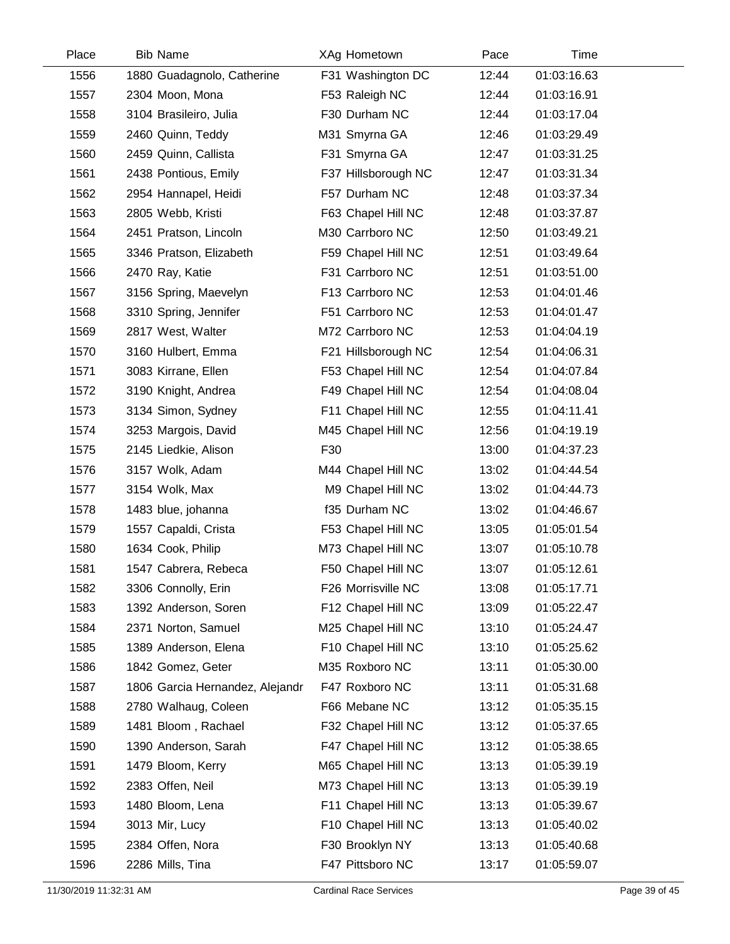| Place | <b>Bib Name</b>                 | XAg Hometown        | Pace  | Time        |  |
|-------|---------------------------------|---------------------|-------|-------------|--|
| 1556  | 1880 Guadagnolo, Catherine      | F31 Washington DC   | 12:44 | 01:03:16.63 |  |
| 1557  | 2304 Moon, Mona                 | F53 Raleigh NC      | 12:44 | 01:03:16.91 |  |
| 1558  | 3104 Brasileiro, Julia          | F30 Durham NC       | 12:44 | 01:03:17.04 |  |
| 1559  | 2460 Quinn, Teddy               | M31 Smyrna GA       | 12:46 | 01:03:29.49 |  |
| 1560  | 2459 Quinn, Callista            | F31 Smyrna GA       | 12:47 | 01:03:31.25 |  |
| 1561  | 2438 Pontious, Emily            | F37 Hillsborough NC | 12:47 | 01:03:31.34 |  |
| 1562  | 2954 Hannapel, Heidi            | F57 Durham NC       | 12:48 | 01:03:37.34 |  |
| 1563  | 2805 Webb, Kristi               | F63 Chapel Hill NC  | 12:48 | 01:03:37.87 |  |
| 1564  | 2451 Pratson, Lincoln           | M30 Carrboro NC     | 12:50 | 01:03:49.21 |  |
| 1565  | 3346 Pratson, Elizabeth         | F59 Chapel Hill NC  | 12:51 | 01:03:49.64 |  |
| 1566  | 2470 Ray, Katie                 | F31 Carrboro NC     | 12:51 | 01:03:51.00 |  |
| 1567  | 3156 Spring, Maevelyn           | F13 Carrboro NC     | 12:53 | 01:04:01.46 |  |
| 1568  | 3310 Spring, Jennifer           | F51 Carrboro NC     | 12:53 | 01:04:01.47 |  |
| 1569  | 2817 West, Walter               | M72 Carrboro NC     | 12:53 | 01:04:04.19 |  |
| 1570  | 3160 Hulbert, Emma              | F21 Hillsborough NC | 12:54 | 01:04:06.31 |  |
| 1571  | 3083 Kirrane, Ellen             | F53 Chapel Hill NC  | 12:54 | 01:04:07.84 |  |
| 1572  | 3190 Knight, Andrea             | F49 Chapel Hill NC  | 12:54 | 01:04:08.04 |  |
| 1573  | 3134 Simon, Sydney              | F11 Chapel Hill NC  | 12:55 | 01:04:11.41 |  |
| 1574  | 3253 Margois, David             | M45 Chapel Hill NC  | 12:56 | 01:04:19.19 |  |
| 1575  | 2145 Liedkie, Alison            | F30                 | 13:00 | 01:04:37.23 |  |
| 1576  | 3157 Wolk, Adam                 | M44 Chapel Hill NC  | 13:02 | 01:04:44.54 |  |
| 1577  | 3154 Wolk, Max                  | M9 Chapel Hill NC   | 13:02 | 01:04:44.73 |  |
| 1578  | 1483 blue, johanna              | f35 Durham NC       | 13:02 | 01:04:46.67 |  |
| 1579  | 1557 Capaldi, Crista            | F53 Chapel Hill NC  | 13:05 | 01:05:01.54 |  |
| 1580  | 1634 Cook, Philip               | M73 Chapel Hill NC  | 13:07 | 01:05:10.78 |  |
| 1581  | 1547 Cabrera, Rebeca            | F50 Chapel Hill NC  | 13:07 | 01:05:12.61 |  |
| 1582  | 3306 Connolly, Erin             | F26 Morrisville NC  | 13:08 | 01:05:17.71 |  |
| 1583  | 1392 Anderson, Soren            | F12 Chapel Hill NC  | 13:09 | 01:05:22.47 |  |
| 1584  | 2371 Norton, Samuel             | M25 Chapel Hill NC  | 13:10 | 01:05:24.47 |  |
| 1585  | 1389 Anderson, Elena            | F10 Chapel Hill NC  | 13:10 | 01:05:25.62 |  |
| 1586  | 1842 Gomez, Geter               | M35 Roxboro NC      | 13:11 | 01:05:30.00 |  |
| 1587  | 1806 Garcia Hernandez, Alejandr | F47 Roxboro NC      | 13:11 | 01:05:31.68 |  |
| 1588  | 2780 Walhaug, Coleen            | F66 Mebane NC       | 13:12 | 01:05:35.15 |  |
| 1589  | 1481 Bloom, Rachael             | F32 Chapel Hill NC  | 13:12 | 01:05:37.65 |  |
| 1590  | 1390 Anderson, Sarah            | F47 Chapel Hill NC  | 13:12 | 01:05:38.65 |  |
| 1591  | 1479 Bloom, Kerry               | M65 Chapel Hill NC  | 13:13 | 01:05:39.19 |  |
| 1592  | 2383 Offen, Neil                | M73 Chapel Hill NC  | 13:13 | 01:05:39.19 |  |
| 1593  | 1480 Bloom, Lena                | F11 Chapel Hill NC  | 13:13 | 01:05:39.67 |  |
| 1594  | 3013 Mir, Lucy                  | F10 Chapel Hill NC  | 13:13 | 01:05:40.02 |  |
| 1595  | 2384 Offen, Nora                | F30 Brooklyn NY     | 13:13 | 01:05:40.68 |  |
| 1596  | 2286 Mills, Tina                | F47 Pittsboro NC    | 13:17 | 01:05:59.07 |  |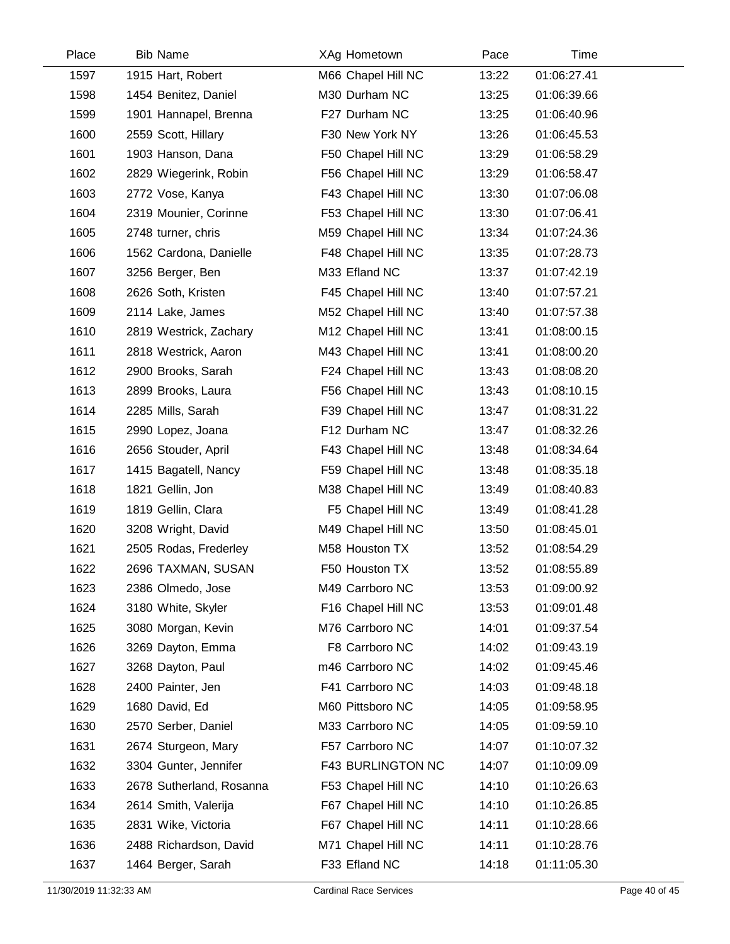| Place | <b>Bib Name</b>          | XAg Hometown       | Pace  | Time        |  |
|-------|--------------------------|--------------------|-------|-------------|--|
| 1597  | 1915 Hart, Robert        | M66 Chapel Hill NC | 13:22 | 01:06:27.41 |  |
| 1598  | 1454 Benitez, Daniel     | M30 Durham NC      | 13:25 | 01:06:39.66 |  |
| 1599  | 1901 Hannapel, Brenna    | F27 Durham NC      | 13:25 | 01:06:40.96 |  |
| 1600  | 2559 Scott, Hillary      | F30 New York NY    | 13:26 | 01:06:45.53 |  |
| 1601  | 1903 Hanson, Dana        | F50 Chapel Hill NC | 13:29 | 01:06:58.29 |  |
| 1602  | 2829 Wiegerink, Robin    | F56 Chapel Hill NC | 13:29 | 01:06:58.47 |  |
| 1603  | 2772 Vose, Kanya         | F43 Chapel Hill NC | 13:30 | 01:07:06.08 |  |
| 1604  | 2319 Mounier, Corinne    | F53 Chapel Hill NC | 13:30 | 01:07:06.41 |  |
| 1605  | 2748 turner, chris       | M59 Chapel Hill NC | 13:34 | 01:07:24.36 |  |
| 1606  | 1562 Cardona, Danielle   | F48 Chapel Hill NC | 13:35 | 01:07:28.73 |  |
| 1607  | 3256 Berger, Ben         | M33 Efland NC      | 13:37 | 01:07:42.19 |  |
| 1608  | 2626 Soth, Kristen       | F45 Chapel Hill NC | 13:40 | 01:07:57.21 |  |
| 1609  | 2114 Lake, James         | M52 Chapel Hill NC | 13:40 | 01:07:57.38 |  |
| 1610  | 2819 Westrick, Zachary   | M12 Chapel Hill NC | 13:41 | 01:08:00.15 |  |
| 1611  | 2818 Westrick, Aaron     | M43 Chapel Hill NC | 13:41 | 01:08:00.20 |  |
| 1612  | 2900 Brooks, Sarah       | F24 Chapel Hill NC | 13:43 | 01:08:08.20 |  |
| 1613  | 2899 Brooks, Laura       | F56 Chapel Hill NC | 13:43 | 01:08:10.15 |  |
| 1614  | 2285 Mills, Sarah        | F39 Chapel Hill NC | 13:47 | 01:08:31.22 |  |
| 1615  | 2990 Lopez, Joana        | F12 Durham NC      | 13:47 | 01:08:32.26 |  |
| 1616  | 2656 Stouder, April      | F43 Chapel Hill NC | 13:48 | 01:08:34.64 |  |
| 1617  | 1415 Bagatell, Nancy     | F59 Chapel Hill NC | 13:48 | 01:08:35.18 |  |
| 1618  | 1821 Gellin, Jon         | M38 Chapel Hill NC | 13:49 | 01:08:40.83 |  |
| 1619  | 1819 Gellin, Clara       | F5 Chapel Hill NC  | 13:49 | 01:08:41.28 |  |
| 1620  | 3208 Wright, David       | M49 Chapel Hill NC | 13:50 | 01:08:45.01 |  |
| 1621  | 2505 Rodas, Frederley    | M58 Houston TX     | 13:52 | 01:08:54.29 |  |
| 1622  | 2696 TAXMAN, SUSAN       | F50 Houston TX     | 13:52 | 01:08:55.89 |  |
| 1623  | 2386 Olmedo, Jose        | M49 Carrboro NC    | 13:53 | 01:09:00.92 |  |
| 1624  | 3180 White, Skyler       | F16 Chapel Hill NC | 13:53 | 01:09:01.48 |  |
| 1625  | 3080 Morgan, Kevin       | M76 Carrboro NC    | 14:01 | 01:09:37.54 |  |
| 1626  | 3269 Dayton, Emma        | F8 Carrboro NC     | 14:02 | 01:09:43.19 |  |
| 1627  | 3268 Dayton, Paul        | m46 Carrboro NC    | 14:02 | 01:09:45.46 |  |
| 1628  | 2400 Painter, Jen        | F41 Carrboro NC    | 14:03 | 01:09:48.18 |  |
| 1629  | 1680 David, Ed           | M60 Pittsboro NC   | 14:05 | 01:09:58.95 |  |
| 1630  | 2570 Serber, Daniel      | M33 Carrboro NC    | 14:05 | 01:09:59.10 |  |
| 1631  | 2674 Sturgeon, Mary      | F57 Carrboro NC    | 14:07 | 01:10:07.32 |  |
| 1632  | 3304 Gunter, Jennifer    | F43 BURLINGTON NC  | 14:07 | 01:10:09.09 |  |
| 1633  | 2678 Sutherland, Rosanna | F53 Chapel Hill NC | 14:10 | 01:10:26.63 |  |
| 1634  | 2614 Smith, Valerija     | F67 Chapel Hill NC | 14:10 | 01:10:26.85 |  |
| 1635  | 2831 Wike, Victoria      | F67 Chapel Hill NC | 14:11 | 01:10:28.66 |  |
| 1636  | 2488 Richardson, David   | M71 Chapel Hill NC | 14:11 | 01:10:28.76 |  |
| 1637  | 1464 Berger, Sarah       | F33 Efland NC      | 14:18 | 01:11:05.30 |  |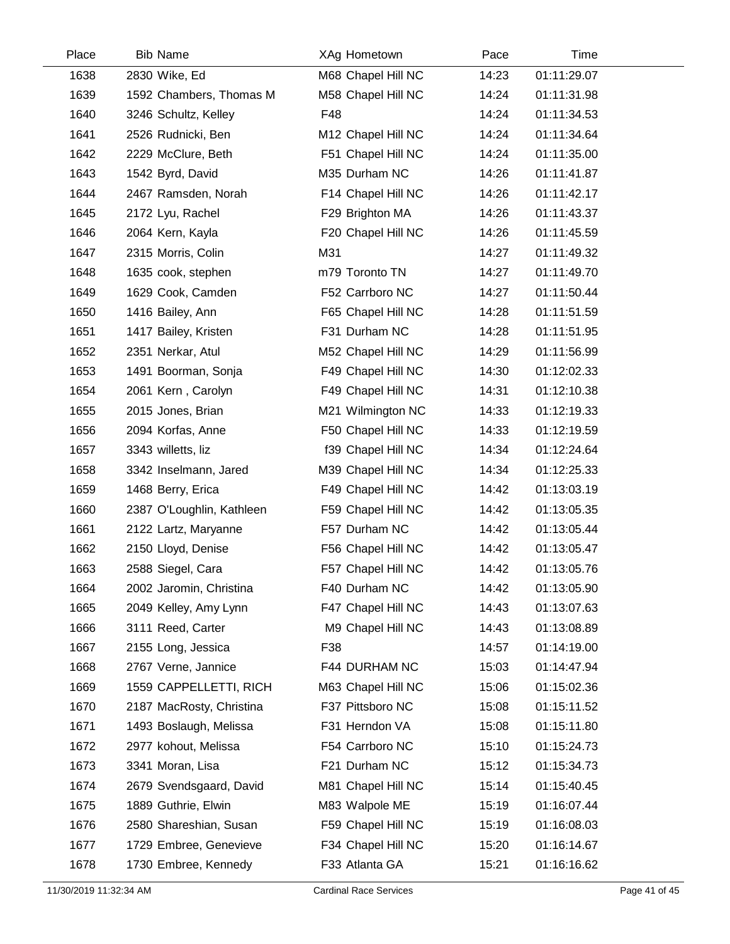| Place | <b>Bib Name</b>           | XAg Hometown       | Pace  | Time        |  |
|-------|---------------------------|--------------------|-------|-------------|--|
| 1638  | 2830 Wike, Ed             | M68 Chapel Hill NC | 14:23 | 01:11:29.07 |  |
| 1639  | 1592 Chambers, Thomas M   | M58 Chapel Hill NC | 14:24 | 01:11:31.98 |  |
| 1640  | 3246 Schultz, Kelley      | F48                | 14:24 | 01:11:34.53 |  |
| 1641  | 2526 Rudnicki, Ben        | M12 Chapel Hill NC | 14:24 | 01:11:34.64 |  |
| 1642  | 2229 McClure, Beth        | F51 Chapel Hill NC | 14:24 | 01:11:35.00 |  |
| 1643  | 1542 Byrd, David          | M35 Durham NC      | 14:26 | 01:11:41.87 |  |
| 1644  | 2467 Ramsden, Norah       | F14 Chapel Hill NC | 14:26 | 01:11:42.17 |  |
| 1645  | 2172 Lyu, Rachel          | F29 Brighton MA    | 14:26 | 01:11:43.37 |  |
| 1646  | 2064 Kern, Kayla          | F20 Chapel Hill NC | 14:26 | 01:11:45.59 |  |
| 1647  | 2315 Morris, Colin        | M31                | 14:27 | 01:11:49.32 |  |
| 1648  | 1635 cook, stephen        | m79 Toronto TN     | 14:27 | 01:11:49.70 |  |
| 1649  | 1629 Cook, Camden         | F52 Carrboro NC    | 14:27 | 01:11:50.44 |  |
| 1650  | 1416 Bailey, Ann          | F65 Chapel Hill NC | 14:28 | 01:11:51.59 |  |
| 1651  | 1417 Bailey, Kristen      | F31 Durham NC      | 14:28 | 01:11:51.95 |  |
| 1652  | 2351 Nerkar, Atul         | M52 Chapel Hill NC | 14:29 | 01:11:56.99 |  |
| 1653  | 1491 Boorman, Sonja       | F49 Chapel Hill NC | 14:30 | 01:12:02.33 |  |
| 1654  | 2061 Kern, Carolyn        | F49 Chapel Hill NC | 14:31 | 01:12:10.38 |  |
| 1655  | 2015 Jones, Brian         | M21 Wilmington NC  | 14:33 | 01:12:19.33 |  |
| 1656  | 2094 Korfas, Anne         | F50 Chapel Hill NC | 14:33 | 01:12:19.59 |  |
| 1657  | 3343 willetts, liz        | f39 Chapel Hill NC | 14:34 | 01:12:24.64 |  |
| 1658  | 3342 Inselmann, Jared     | M39 Chapel Hill NC | 14:34 | 01:12:25.33 |  |
| 1659  | 1468 Berry, Erica         | F49 Chapel Hill NC | 14:42 | 01:13:03.19 |  |
| 1660  | 2387 O'Loughlin, Kathleen | F59 Chapel Hill NC | 14:42 | 01:13:05.35 |  |
| 1661  | 2122 Lartz, Maryanne      | F57 Durham NC      | 14:42 | 01:13:05.44 |  |
| 1662  | 2150 Lloyd, Denise        | F56 Chapel Hill NC | 14:42 | 01:13:05.47 |  |
| 1663  | 2588 Siegel, Cara         | F57 Chapel Hill NC | 14:42 | 01:13:05.76 |  |
| 1664  | 2002 Jaromin, Christina   | F40 Durham NC      | 14:42 | 01:13:05.90 |  |
| 1665  | 2049 Kelley, Amy Lynn     | F47 Chapel Hill NC | 14:43 | 01:13:07.63 |  |
| 1666  | 3111 Reed, Carter         | M9 Chapel Hill NC  | 14:43 | 01:13:08.89 |  |
| 1667  | 2155 Long, Jessica        | F38                | 14:57 | 01:14:19.00 |  |
| 1668  | 2767 Verne, Jannice       | F44 DURHAM NC      | 15:03 | 01:14:47.94 |  |
| 1669  | 1559 CAPPELLETTI, RICH    | M63 Chapel Hill NC | 15:06 | 01:15:02.36 |  |
| 1670  | 2187 MacRosty, Christina  | F37 Pittsboro NC   | 15:08 | 01:15:11.52 |  |
| 1671  | 1493 Boslaugh, Melissa    | F31 Herndon VA     | 15:08 | 01:15:11.80 |  |
| 1672  | 2977 kohout, Melissa      | F54 Carrboro NC    | 15:10 | 01:15:24.73 |  |
| 1673  | 3341 Moran, Lisa          | F21 Durham NC      | 15:12 | 01:15:34.73 |  |
| 1674  | 2679 Svendsgaard, David   | M81 Chapel Hill NC | 15:14 | 01:15:40.45 |  |
| 1675  | 1889 Guthrie, Elwin       | M83 Walpole ME     | 15:19 | 01:16:07.44 |  |
| 1676  | 2580 Shareshian, Susan    | F59 Chapel Hill NC | 15:19 | 01:16:08.03 |  |
| 1677  | 1729 Embree, Genevieve    | F34 Chapel Hill NC | 15:20 | 01:16:14.67 |  |
| 1678  | 1730 Embree, Kennedy      | F33 Atlanta GA     | 15:21 | 01:16:16.62 |  |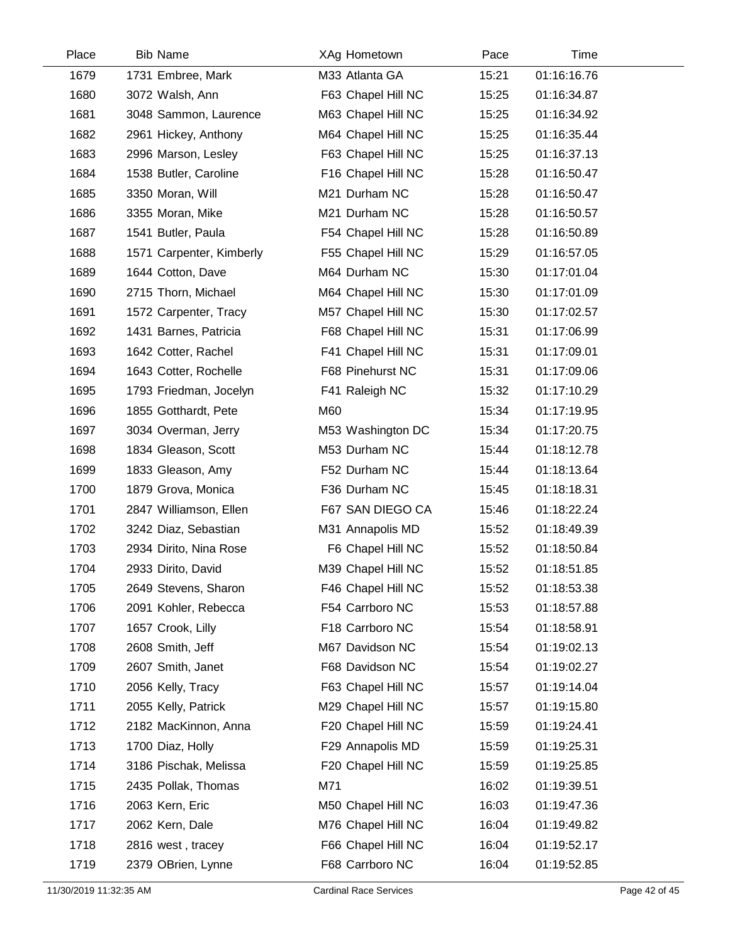| Place | <b>Bib Name</b>          | XAg Hometown       | Pace  | Time        |
|-------|--------------------------|--------------------|-------|-------------|
| 1679  | 1731 Embree, Mark        | M33 Atlanta GA     | 15:21 | 01:16:16.76 |
| 1680  | 3072 Walsh, Ann          | F63 Chapel Hill NC | 15:25 | 01:16:34.87 |
| 1681  | 3048 Sammon, Laurence    | M63 Chapel Hill NC | 15:25 | 01:16:34.92 |
| 1682  | 2961 Hickey, Anthony     | M64 Chapel Hill NC | 15:25 | 01:16:35.44 |
| 1683  | 2996 Marson, Lesley      | F63 Chapel Hill NC | 15:25 | 01:16:37.13 |
| 1684  | 1538 Butler, Caroline    | F16 Chapel Hill NC | 15:28 | 01:16:50.47 |
| 1685  | 3350 Moran, Will         | M21 Durham NC      | 15:28 | 01:16:50.47 |
| 1686  | 3355 Moran, Mike         | M21 Durham NC      | 15:28 | 01:16:50.57 |
| 1687  | 1541 Butler, Paula       | F54 Chapel Hill NC | 15:28 | 01:16:50.89 |
| 1688  | 1571 Carpenter, Kimberly | F55 Chapel Hill NC | 15:29 | 01:16:57.05 |
| 1689  | 1644 Cotton, Dave        | M64 Durham NC      | 15:30 | 01:17:01.04 |
| 1690  | 2715 Thorn, Michael      | M64 Chapel Hill NC | 15:30 | 01:17:01.09 |
| 1691  | 1572 Carpenter, Tracy    | M57 Chapel Hill NC | 15:30 | 01:17:02.57 |
| 1692  | 1431 Barnes, Patricia    | F68 Chapel Hill NC | 15:31 | 01:17:06.99 |
| 1693  | 1642 Cotter, Rachel      | F41 Chapel Hill NC | 15:31 | 01:17:09.01 |
| 1694  | 1643 Cotter, Rochelle    | F68 Pinehurst NC   | 15:31 | 01:17:09.06 |
| 1695  | 1793 Friedman, Jocelyn   | F41 Raleigh NC     | 15:32 | 01:17:10.29 |
| 1696  | 1855 Gotthardt, Pete     | M60                | 15:34 | 01:17:19.95 |
| 1697  | 3034 Overman, Jerry      | M53 Washington DC  | 15:34 | 01:17:20.75 |
| 1698  | 1834 Gleason, Scott      | M53 Durham NC      | 15:44 | 01:18:12.78 |
| 1699  | 1833 Gleason, Amy        | F52 Durham NC      | 15:44 | 01:18:13.64 |
| 1700  | 1879 Grova, Monica       | F36 Durham NC      | 15:45 | 01:18:18.31 |
| 1701  | 2847 Williamson, Ellen   | F67 SAN DIEGO CA   | 15:46 | 01:18:22.24 |
| 1702  | 3242 Diaz, Sebastian     | M31 Annapolis MD   | 15:52 | 01:18:49.39 |
| 1703  | 2934 Dirito, Nina Rose   | F6 Chapel Hill NC  | 15:52 | 01:18:50.84 |
| 1704  | 2933 Dirito, David       | M39 Chapel Hill NC | 15:52 | 01:18:51.85 |
| 1705  | 2649 Stevens, Sharon     | F46 Chapel Hill NC | 15:52 | 01:18:53.38 |
| 1706  | 2091 Kohler, Rebecca     | F54 Carrboro NC    | 15:53 | 01:18:57.88 |
| 1707  | 1657 Crook, Lilly        | F18 Carrboro NC    | 15:54 | 01:18:58.91 |
| 1708  | 2608 Smith, Jeff         | M67 Davidson NC    | 15:54 | 01:19:02.13 |
| 1709  | 2607 Smith, Janet        | F68 Davidson NC    | 15:54 | 01:19:02.27 |
| 1710  | 2056 Kelly, Tracy        | F63 Chapel Hill NC | 15:57 | 01:19:14.04 |
| 1711  | 2055 Kelly, Patrick      | M29 Chapel Hill NC | 15:57 | 01:19:15.80 |
| 1712  | 2182 MacKinnon, Anna     | F20 Chapel Hill NC | 15:59 | 01:19:24.41 |
| 1713  | 1700 Diaz, Holly         | F29 Annapolis MD   | 15:59 | 01:19:25.31 |
| 1714  | 3186 Pischak, Melissa    | F20 Chapel Hill NC | 15:59 | 01:19:25.85 |
| 1715  | 2435 Pollak, Thomas      | M71                | 16:02 | 01:19:39.51 |
| 1716  | 2063 Kern, Eric          | M50 Chapel Hill NC | 16:03 | 01:19:47.36 |
| 1717  | 2062 Kern, Dale          | M76 Chapel Hill NC | 16:04 | 01:19:49.82 |
| 1718  | 2816 west, tracey        | F66 Chapel Hill NC | 16:04 | 01:19:52.17 |
| 1719  | 2379 OBrien, Lynne       | F68 Carrboro NC    | 16:04 | 01:19:52.85 |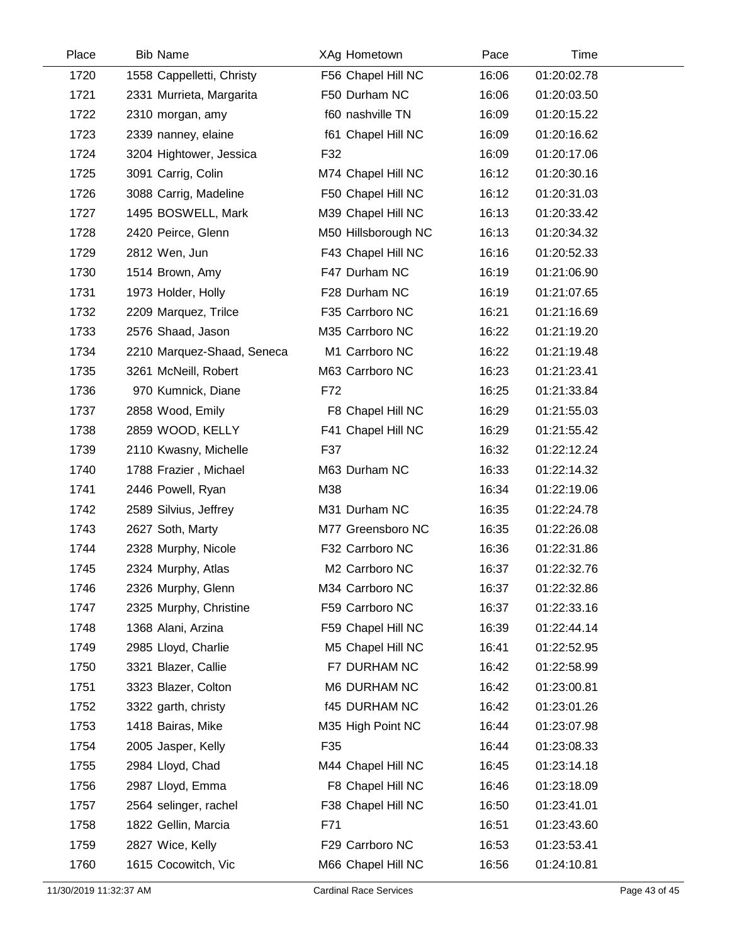| Place | <b>Bib Name</b>            | XAg Hometown         | Pace  | Time        |  |
|-------|----------------------------|----------------------|-------|-------------|--|
| 1720  | 1558 Cappelletti, Christy  | F56 Chapel Hill NC   | 16:06 | 01:20:02.78 |  |
| 1721  | 2331 Murrieta, Margarita   | F50 Durham NC        | 16:06 | 01:20:03.50 |  |
| 1722  | 2310 morgan, amy           | f60 nashville TN     | 16:09 | 01:20:15.22 |  |
| 1723  | 2339 nanney, elaine        | f61 Chapel Hill NC   | 16:09 | 01:20:16.62 |  |
| 1724  | 3204 Hightower, Jessica    | F32                  | 16:09 | 01:20:17.06 |  |
| 1725  | 3091 Carrig, Colin         | M74 Chapel Hill NC   | 16:12 | 01:20:30.16 |  |
| 1726  | 3088 Carrig, Madeline      | F50 Chapel Hill NC   | 16:12 | 01:20:31.03 |  |
| 1727  | 1495 BOSWELL, Mark         | M39 Chapel Hill NC   | 16:13 | 01:20:33.42 |  |
| 1728  | 2420 Peirce, Glenn         | M50 Hillsborough NC  | 16:13 | 01:20:34.32 |  |
| 1729  | 2812 Wen, Jun              | F43 Chapel Hill NC   | 16:16 | 01:20:52.33 |  |
| 1730  | 1514 Brown, Amy            | F47 Durham NC        | 16:19 | 01:21:06.90 |  |
| 1731  | 1973 Holder, Holly         | F28 Durham NC        | 16:19 | 01:21:07.65 |  |
| 1732  | 2209 Marquez, Trilce       | F35 Carrboro NC      | 16:21 | 01:21:16.69 |  |
| 1733  | 2576 Shaad, Jason          | M35 Carrboro NC      | 16:22 | 01:21:19.20 |  |
| 1734  | 2210 Marquez-Shaad, Seneca | M1 Carrboro NC       | 16:22 | 01:21:19.48 |  |
| 1735  | 3261 McNeill, Robert       | M63 Carrboro NC      | 16:23 | 01:21:23.41 |  |
| 1736  | 970 Kumnick, Diane         | F72                  | 16:25 | 01:21:33.84 |  |
| 1737  | 2858 Wood, Emily           | F8 Chapel Hill NC    | 16:29 | 01:21:55.03 |  |
| 1738  | 2859 WOOD, KELLY           | F41 Chapel Hill NC   | 16:29 | 01:21:55.42 |  |
| 1739  | 2110 Kwasny, Michelle      | F37                  | 16:32 | 01:22:12.24 |  |
| 1740  | 1788 Frazier, Michael      | M63 Durham NC        | 16:33 | 01:22:14.32 |  |
| 1741  | 2446 Powell, Ryan          | M38                  | 16:34 | 01:22:19.06 |  |
| 1742  | 2589 Silvius, Jeffrey      | M31 Durham NC        | 16:35 | 01:22:24.78 |  |
| 1743  | 2627 Soth, Marty           | M77 Greensboro NC    | 16:35 | 01:22:26.08 |  |
| 1744  | 2328 Murphy, Nicole        | F32 Carrboro NC      | 16:36 | 01:22:31.86 |  |
| 1745  | 2324 Murphy, Atlas         | M2 Carrboro NC       | 16:37 | 01:22:32.76 |  |
| 1746  | 2326 Murphy, Glenn         | M34 Carrboro NC      | 16:37 | 01:22:32.86 |  |
| 1747  | 2325 Murphy, Christine     | F59 Carrboro NC      | 16:37 | 01:22:33.16 |  |
| 1748  | 1368 Alani, Arzina         | F59 Chapel Hill NC   | 16:39 | 01:22:44.14 |  |
| 1749  | 2985 Lloyd, Charlie        | M5 Chapel Hill NC    | 16:41 | 01:22:52.95 |  |
| 1750  | 3321 Blazer, Callie        | F7 DURHAM NC         | 16:42 | 01:22:58.99 |  |
| 1751  | 3323 Blazer, Colton        | M6 DURHAM NC         | 16:42 | 01:23:00.81 |  |
| 1752  | 3322 garth, christy        | <b>f45 DURHAM NC</b> | 16:42 | 01:23:01.26 |  |
| 1753  | 1418 Bairas, Mike          | M35 High Point NC    | 16:44 | 01:23:07.98 |  |
| 1754  | 2005 Jasper, Kelly         | F35                  | 16:44 | 01:23:08.33 |  |
| 1755  | 2984 Lloyd, Chad           | M44 Chapel Hill NC   | 16:45 | 01:23:14.18 |  |
| 1756  | 2987 Lloyd, Emma           | F8 Chapel Hill NC    | 16:46 | 01:23:18.09 |  |
| 1757  | 2564 selinger, rachel      | F38 Chapel Hill NC   | 16:50 | 01:23:41.01 |  |
| 1758  | 1822 Gellin, Marcia        | F71                  | 16:51 | 01:23:43.60 |  |
| 1759  | 2827 Wice, Kelly           | F29 Carrboro NC      | 16:53 | 01:23:53.41 |  |
| 1760  | 1615 Cocowitch, Vic        | M66 Chapel Hill NC   | 16:56 | 01:24:10.81 |  |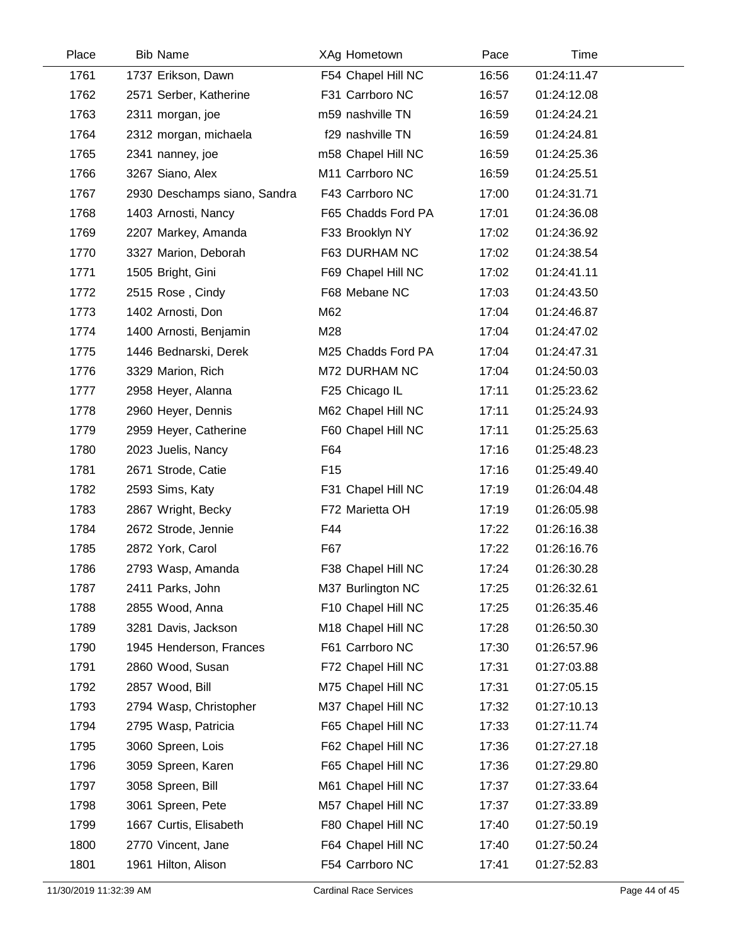| Place | <b>Bib Name</b>              | XAg Hometown       | Pace  | Time        |  |
|-------|------------------------------|--------------------|-------|-------------|--|
| 1761  | 1737 Erikson, Dawn           | F54 Chapel Hill NC | 16:56 | 01:24:11.47 |  |
| 1762  | 2571 Serber, Katherine       | F31 Carrboro NC    | 16:57 | 01:24:12.08 |  |
| 1763  | 2311 morgan, joe             | m59 nashville TN   | 16:59 | 01:24:24.21 |  |
| 1764  | 2312 morgan, michaela        | f29 nashville TN   | 16:59 | 01:24:24.81 |  |
| 1765  | 2341 nanney, joe             | m58 Chapel Hill NC | 16:59 | 01:24:25.36 |  |
| 1766  | 3267 Siano, Alex             | M11 Carrboro NC    | 16:59 | 01:24:25.51 |  |
| 1767  | 2930 Deschamps siano, Sandra | F43 Carrboro NC    | 17:00 | 01:24:31.71 |  |
| 1768  | 1403 Arnosti, Nancy          | F65 Chadds Ford PA | 17:01 | 01:24:36.08 |  |
| 1769  | 2207 Markey, Amanda          | F33 Brooklyn NY    | 17:02 | 01:24:36.92 |  |
| 1770  | 3327 Marion, Deborah         | F63 DURHAM NC      | 17:02 | 01:24:38.54 |  |
| 1771  | 1505 Bright, Gini            | F69 Chapel Hill NC | 17:02 | 01:24:41.11 |  |
| 1772  | 2515 Rose, Cindy             | F68 Mebane NC      | 17:03 | 01:24:43.50 |  |
| 1773  | 1402 Arnosti, Don            | M62                | 17:04 | 01:24:46.87 |  |
| 1774  | 1400 Arnosti, Benjamin       | M28                | 17:04 | 01:24:47.02 |  |
| 1775  | 1446 Bednarski, Derek        | M25 Chadds Ford PA | 17:04 | 01:24:47.31 |  |
| 1776  | 3329 Marion, Rich            | M72 DURHAM NC      | 17:04 | 01:24:50.03 |  |
| 1777  | 2958 Heyer, Alanna           | F25 Chicago IL     | 17:11 | 01:25:23.62 |  |
| 1778  | 2960 Heyer, Dennis           | M62 Chapel Hill NC | 17:11 | 01:25:24.93 |  |
| 1779  | 2959 Heyer, Catherine        | F60 Chapel Hill NC | 17:11 | 01:25:25.63 |  |
| 1780  | 2023 Juelis, Nancy           | F64                | 17:16 | 01:25:48.23 |  |
| 1781  | 2671 Strode, Catie           | F <sub>15</sub>    | 17:16 | 01:25:49.40 |  |
| 1782  | 2593 Sims, Katy              | F31 Chapel Hill NC | 17:19 | 01:26:04.48 |  |
| 1783  | 2867 Wright, Becky           | F72 Marietta OH    | 17:19 | 01:26:05.98 |  |
| 1784  | 2672 Strode, Jennie          | F44                | 17:22 | 01:26:16.38 |  |
| 1785  | 2872 York, Carol             | F67                | 17:22 | 01:26:16.76 |  |
| 1786  | 2793 Wasp, Amanda            | F38 Chapel Hill NC | 17:24 | 01:26:30.28 |  |
| 1787  | 2411 Parks, John             | M37 Burlington NC  | 17:25 | 01:26:32.61 |  |
| 1788  | 2855 Wood, Anna              | F10 Chapel Hill NC | 17:25 | 01:26:35.46 |  |
| 1789  | 3281 Davis, Jackson          | M18 Chapel Hill NC | 17:28 | 01:26:50.30 |  |
| 1790  | 1945 Henderson, Frances      | F61 Carrboro NC    | 17:30 | 01:26:57.96 |  |
| 1791  | 2860 Wood, Susan             | F72 Chapel Hill NC | 17:31 | 01:27:03.88 |  |
| 1792  | 2857 Wood, Bill              | M75 Chapel Hill NC | 17:31 | 01:27:05.15 |  |
| 1793  | 2794 Wasp, Christopher       | M37 Chapel Hill NC | 17:32 | 01:27:10.13 |  |
| 1794  | 2795 Wasp, Patricia          | F65 Chapel Hill NC | 17:33 | 01:27:11.74 |  |
| 1795  | 3060 Spreen, Lois            | F62 Chapel Hill NC | 17:36 | 01:27:27.18 |  |
| 1796  | 3059 Spreen, Karen           | F65 Chapel Hill NC | 17:36 | 01:27:29.80 |  |
| 1797  | 3058 Spreen, Bill            | M61 Chapel Hill NC | 17:37 | 01:27:33.64 |  |
| 1798  | 3061 Spreen, Pete            | M57 Chapel Hill NC | 17:37 | 01:27:33.89 |  |
| 1799  | 1667 Curtis, Elisabeth       | F80 Chapel Hill NC | 17:40 | 01:27:50.19 |  |
| 1800  | 2770 Vincent, Jane           | F64 Chapel Hill NC | 17:40 | 01:27:50.24 |  |
| 1801  | 1961 Hilton, Alison          | F54 Carrboro NC    | 17:41 | 01:27:52.83 |  |